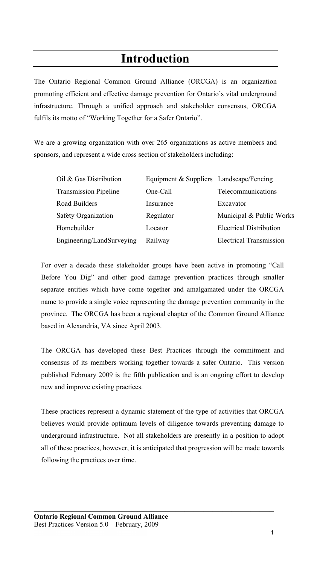# **Introduction**

The Ontario Regional Common Ground Alliance (ORCGA) is an organization promoting efficient and effective damage prevention for Ontario's vital underground infrastructure. Through a unified approach and stakeholder consensus, ORCGA fulfils its motto of "Working Together for a Safer Ontario".

We are a growing organization with over 265 organizations as active members and sponsors, and represent a wide cross section of stakeholders including:

| Oil & Gas Distribution       | Equipment & Suppliers Landscape/Fencing |                                |
|------------------------------|-----------------------------------------|--------------------------------|
| <b>Transmission Pipeline</b> | One-Call                                | Telecommunications             |
| Road Builders                | Insurance                               | Excavator                      |
| Safety Organization          | Regulator                               | Municipal & Public Works       |
| Homebuilder                  | Locator                                 | <b>Electrical Distribution</b> |
| Engineering/LandSurveying    | Railway                                 | <b>Electrical Transmission</b> |

For over a decade these stakeholder groups have been active in promoting "Call Before You Dig" and other good damage prevention practices through smaller separate entities which have come together and amalgamated under the ORCGA name to provide a single voice representing the damage prevention community in the province. The ORCGA has been a regional chapter of the Common Ground Alliance based in Alexandria, VA since April 2003.

The ORCGA has developed these Best Practices through the commitment and consensus of its members working together towards a safer Ontario. This version published February 2009 is the fifth publication and is an ongoing effort to develop new and improve existing practices.

These practices represent a dynamic statement of the type of activities that ORCGA believes would provide optimum levels of diligence towards preventing damage to underground infrastructure. Not all stakeholders are presently in a position to adopt all of these practices, however, it is anticipated that progression will be made towards following the practices over time.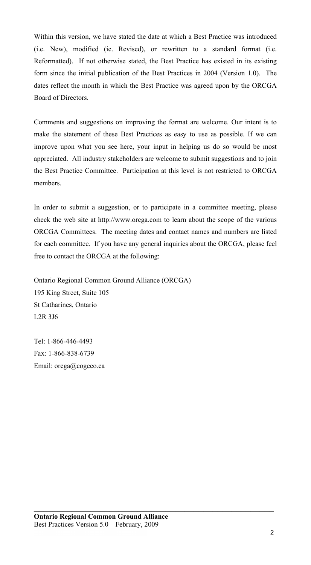Within this version, we have stated the date at which a Best Practice was introduced (i.e. New), modified (ie. Revised), or rewritten to a standard format (i.e. Reformatted). If not otherwise stated, the Best Practice has existed in its existing form since the initial publication of the Best Practices in 2004 (Version 1.0). The dates reflect the month in which the Best Practice was agreed upon by the ORCGA Board of Directors.

Comments and suggestions on improving the format are welcome. Our intent is to make the statement of these Best Practices as easy to use as possible. If we can improve upon what you see here, your input in helping us do so would be most appreciated. All industry stakeholders are welcome to submit suggestions and to join the Best Practice Committee. Participation at this level is not restricted to ORCGA members.

In order to submit a suggestion, or to participate in a committee meeting, please check the web site at http://www.orcga.com to learn about the scope of the various ORCGA Committees. The meeting dates and contact names and numbers are listed for each committee. If you have any general inquiries about the ORCGA, please feel free to contact the ORCGA at the following:

**\_\_\_\_\_\_\_\_\_\_\_\_\_\_\_\_\_\_\_\_\_\_\_\_\_\_\_\_\_\_\_\_\_\_\_\_\_\_\_\_\_\_\_\_\_\_\_\_\_\_\_** 

Ontario Regional Common Ground Alliance (ORCGA) 195 King Street, Suite 105 St Catharines, Ontario L2R 3J6

Tel: 1-866-446-4493 Fax: 1-866-838-6739 Email: orcga@cogeco.ca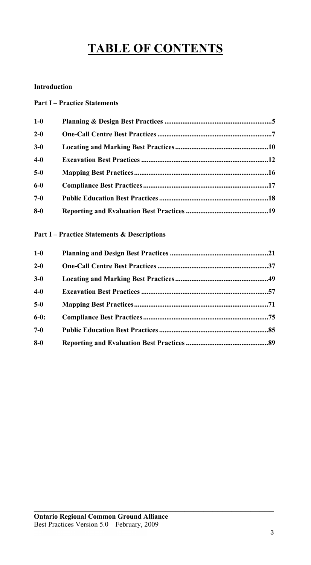# **TABLE OF CONTENTS**

# **Introduction**

# **Part I – Practice Statements**

| $1-0$   |  |
|---------|--|
| $2 - 0$ |  |
| $3-0$   |  |
| $4-0$   |  |
| $5-0$   |  |
| $6-0$   |  |
| $7-0$   |  |
| $8-0$   |  |

# **Part I – Practice Statements & Descriptions**

| $1-0$   |  |
|---------|--|
| $2 - 0$ |  |
| $3-0$   |  |
| $4-0$   |  |
| $5-0$   |  |
| $6-0:$  |  |
| $7-0$   |  |
| $8-0$   |  |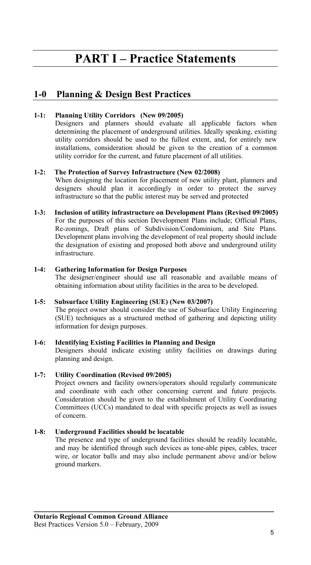# **PART I – Practice Statements**

# **1-0 Planning & Design Best Practices**

# **1-1: Planning Utility Corridors (New 09/2005)**

Designers and planners should evaluate all applicable factors when determining the placement of underground utilities. Ideally speaking, existing utility corridors should be used to the fullest extent, and, for entirely new installations, consideration should be given to the creation of a common utility corridor for the current, and future placement of all utilities.

# **1-2: The Protection of Survey Infrastructure (New 02/2008)**

When designing the location for placement of new utility plant, planners and designers should plan it accordingly in order to protect the survey infrastructure so that the public interest may be served and protected

#### **1-3: Inclusion of utility infrastructure on Development Plans (Revised 09/2005)** For the purposes of this section Development Plans include; Official Plans, Re-zonings, Draft plans of Subdivision/Condominium, and Site Plans. Development plans involving the development of real property should include the designation of existing and proposed both above and underground utility infrastructure.

#### **1-4: Gathering Information for Design Purposes**

The designer/engineer should use all reasonable and available means of obtaining information about utility facilities in the area to be developed.

#### **1-5: Subsurface Utility Engineering (SUE) (New 03/2007)**

The project owner should consider the use of Subsurface Utility Engineering (SUE) techniques as a structured method of gathering and depicting utility information for design purposes.

#### **1-6: Identifying Existing Facilities in Planning and Design**

Designers should indicate existing utility facilities on drawings during planning and design.

# **1-7: Utility Coordination (Revised 09/2005)**

Project owners and facility owners/operators should regularly communicate and coordinate with each other concerning current and future projects. Consideration should be given to the establishment of Utility Coordinating Committees (UCCs) mandated to deal with specific projects as well as issues of concern.

# **1-8: Underground Facilities should be locatable**

The presence and type of underground facilities should be readily locatable, and may be identified through such devices as tone-able pipes, cables, tracer wire, or locator balls and may also include permanent above and/or below ground markers.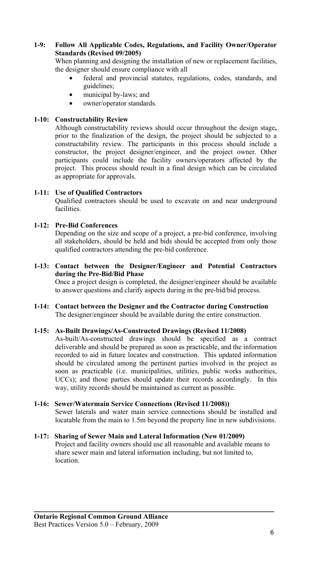# **1-9: Follow All Applicable Codes, Regulations, and Facility Owner/Operator Standards (Revised 09/2005)**

When planning and designing the installation of new or replacement facilities, the designer should ensure compliance with all

- federal and provincial statutes, regulations, codes, standards, and guidelines;
- municipal by-laws; and
- owner/operator standards.

# **1-10: Constructability Review**

Although constructability reviews should occur throughout the design stage**,**  prior to the finalization of the design, the project should be subjected to a constructability review. The participants in this process should include a constructor, the project designer/engineer, and the project owner. Other participants could include the facility owners/operators affected by the project. This process should result in a final design which can be circulated as appropriate for approvals.

# **1-11: Use of Qualified Contractors**

Qualified contractors should be used to excavate on and near underground facilities.

# **1-12: Pre-Bid Conferences**

Depending on the size and scope of a project, a pre-bid conference, involving all stakeholders, should be held and bids should be accepted from only those qualified contractors attending the pre-bid conference.

#### **1-13: Contact between the Designer/Engineer and Potential Contractors during the Pre-Bid/Bid Phase**

Once a project design is completed, the designer/engineer should be available to answer questions and clarify aspects during in the pre-bid/bid process.

#### **1-14: Contact between the Designer and the Contractor during Construction**  The designer/engineer should be available during the entire construction.

#### **1-15: As-Built Drawings/As-Constructed Drawings (Revised 11/2008)**

As-built/As-constructed drawings should be specified as a contract deliverable and should be prepared as soon as practicable, and the information recorded to aid in future locates and construction. This updated information should be circulated among the pertinent parties involved in the project as soon as practicable (i.e. municipalities, utilities, public works authorities, UCCs); and those parties should update their records accordingly. In this way, utility records should be maintained as current as possible.

#### **1-16: Sewer/Watermain Service Connections (Revised 11/2008))**

Sewer laterals and water main service connections should be installed and locatable from the main to 1.5m beyond the property line in new subdivisions.

#### **1-17: Sharing of Sewer Main and Lateral Information (New 01/2009)**

Project and facility owners should use all reasonable and available means to share sewer main and lateral information including, but not limited to, location.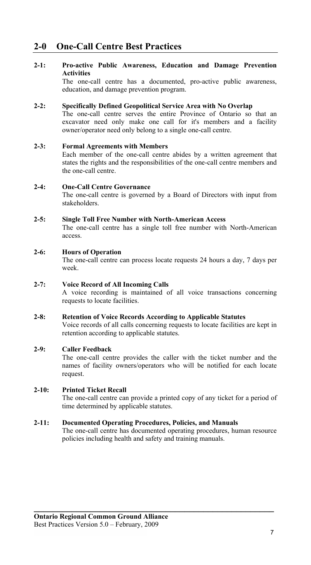# **2-0 One-Call Centre Best Practices**

# **2-1: Pro-active Public Awareness, Education and Damage Prevention Activities**

The one-call centre has a documented, pro-active public awareness, education, and damage prevention program.

#### **2-2: Specifically Defined Geopolitical Service Area with No Overlap**

The one-call centre serves the entire Province of Ontario so that an excavator need only make one call for it's members and a facility owner/operator need only belong to a single one-call centre.

#### **2-3: Formal Agreements with Members**

Each member of the one-call centre abides by a written agreement that states the rights and the responsibilities of the one-call centre members and the one-call centre.

#### **2-4: One-Call Centre Governance**

The one-call centre is governed by a Board of Directors with input from stakeholders.

#### **2-5: Single Toll Free Number with North-American Access**

The one-call centre has a single toll free number with North-American access.

#### **2-6: Hours of Operation**

The one-call centre can process locate requests 24 hours a day, 7 days per week.

#### **2-7: Voice Record of All Incoming Calls**

A voice recording is maintained of all voice transactions concerning requests to locate facilities.

#### **2-8: Retention of Voice Records According to Applicable Statutes**

Voice records of all calls concerning requests to locate facilities are kept in retention according to applicable statutes.

#### **2-9: Caller Feedback**

The one-call centre provides the caller with the ticket number and the names of facility owners/operators who will be notified for each locate request.

#### **2-10: Printed Ticket Recall**

The one-call centre can provide a printed copy of any ticket for a period of time determined by applicable statutes.

#### **2-11: Documented Operating Procedures, Policies, and Manuals**

The one-call centre has documented operating procedures, human resource policies including health and safety and training manuals.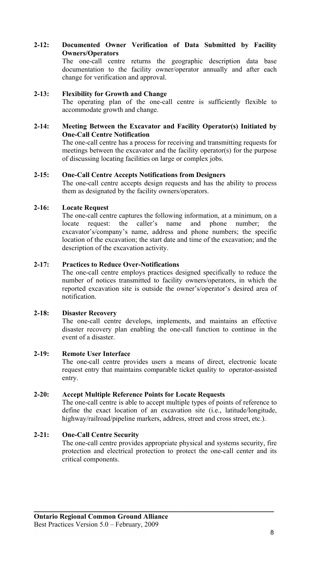# **2-12: Documented Owner Verification of Data Submitted by Facility Owners/Operators**

The one-call centre returns the geographic description data base documentation to the facility owner/operator annually and after each change for verification and approval.

#### **2-13: Flexibility for Growth and Change**

The operating plan of the one-call centre is sufficiently flexible to accommodate growth and change.

#### **2-14: Meeting Between the Excavator and Facility Operator(s) Initiated by One-Call Centre Notification**

The one-call centre has a process for receiving and transmitting requests for meetings between the excavator and the facility operator(s) for the purpose of discussing locating facilities on large or complex jobs.

# **2-15: One-Call Centre Accepts Notifications from Designers**

The one-call centre accepts design requests and has the ability to process them as designated by the facility owners/operators.

# **2-16: Locate Request**

The one-call centre captures the following information, at a minimum, on a locate request: the caller's name and phone number; the excavator's/company's name, address and phone numbers; the specific location of the excavation; the start date and time of the excavation; and the description of the excavation activity.

# **2-17: Practices to Reduce Over-Notifications**

The one-call centre employs practices designed specifically to reduce the number of notices transmitted to facility owners/operators, in which the reported excavation site is outside the owner's/operator's desired area of notification.

#### **2-18: Disaster Recovery**

The one-call centre develops, implements, and maintains an effective disaster recovery plan enabling the one-call function to continue in the event of a disaster.

#### **2-19: Remote User Interface**

The one-call centre provides users a means of direct, electronic locate request entry that maintains comparable ticket quality to operator-assisted entry.

### **2-20: Accept Multiple Reference Points for Locate Requests**

The one-call centre is able to accept multiple types of points of reference to define the exact location of an excavation site (i.e., latitude/longitude, highway/railroad/pipeline markers, address, street and cross street, etc.).

# **2-21: One-Call Centre Security**

The one-call centre provides appropriate physical and systems security, fire protection and electrical protection to protect the one-call center and its critical components.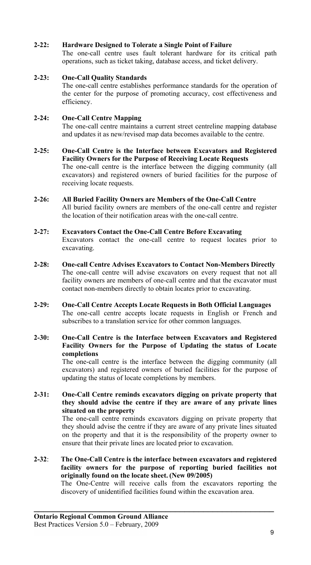# **2-22: Hardware Designed to Tolerate a Single Point of Failure**

The one-call centre uses fault tolerant hardware for its critical path operations, such as ticket taking, database access, and ticket delivery.

# **2-23: One-Call Quality Standards**

The one-call centre establishes performance standards for the operation of the center for the purpose of promoting accuracy, cost effectiveness and efficiency.

# **2-24: One-Call Centre Mapping**

The one-call centre maintains a current street centreline mapping database and updates it as new/revised map data becomes available to the centre.

- **2-25: One-Call Centre is the Interface between Excavators and Registered Facility Owners for the Purpose of Receiving Locate Requests**  The one-call centre is the interface between the digging community (all excavators) and registered owners of buried facilities for the purpose of receiving locate requests.
- **2-26: All Buried Facility Owners are Members of the One-Call Centre**  All buried facility owners are members of the one-call centre and register the location of their notification areas with the one-call centre.

# **2-27: Excavators Contact the One-Call Centre Before Excavating**

Excavators contact the one-call centre to request locates prior to excavating.

- **2-28: One-call Centre Advises Excavators to Contact Non-Members Directly**  The one-call centre will advise excavators on every request that not all facility owners are members of one-call centre and that the excavator must contact non-members directly to obtain locates prior to excavating.
- **2-29: One-Call Centre Accepts Locate Requests in Both Official Languages** The one-call centre accepts locate requests in English or French and subscribes to a translation service for other common languages.

#### **2-30: One-Call Centre is the Interface between Excavators and Registered Facility Owners for the Purpose of Updating the status of Locate completions**

The one-call centre is the interface between the digging community (all excavators) and registered owners of buried facilities for the purpose of updating the status of locate completions by members.

# **2-31: One-Call Centre reminds excavators digging on private property that they should advise the centre if they are aware of any private lines situated on the property**

The one-call centre reminds excavators digging on private property that they should advise the centre if they are aware of any private lines situated on the property and that it is the responsibility of the property owner to ensure that their private lines are located prior to excavation.

**2-32**: **The One-Call Centre is the interface between excavators and registered facility owners for the purpose of reporting buried facilities not originally found on the locate sheet. (New 09/2005)**

**\_\_\_\_\_\_\_\_\_\_\_\_\_\_\_\_\_\_\_\_\_\_\_\_\_\_\_\_\_\_\_\_\_\_\_\_\_\_\_\_\_\_\_\_\_\_\_\_\_\_\_** 

 The One-Centre will receive calls from the excavators reporting the discovery of unidentified facilities found within the excavation area.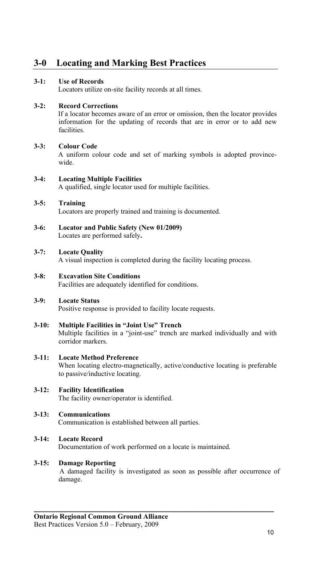# **3-0 Locating and Marking Best Practices**

# **3-1: Use of Records**

Locators utilize on-site facility records at all times.

# **3-2: Record Corrections**

 If a locator becomes aware of an error or omission, then the locator provides information for the updating of records that are in error or to add new facilities.

# **3-3: Colour Code**

 A uniform colour code and set of marking symbols is adopted provincewide.

# **3-4: Locating Multiple Facilities**

A qualified, single locator used for multiple facilities.

# **3-5: Training**

Locators are properly trained and training is documented.

**3-6: Locator and Public Safety (New 01/2009)** Locates are performed safely**.** 

# **3-7: Locate Quality**

A visual inspection is completed during the facility locating process.

#### **3-8: Excavation Site Conditions**  Facilities are adequately identified for conditions.

#### **3-9: Locate Status**

Positive response is provided to facility locate requests.

#### **3-10: Multiple Facilities in "Joint Use" Trench**

 Multiple facilities in a "joint-use" trench are marked individually and with corridor markers.

**3-11: Locate Method Preference**  When locating electro-magnetically, active/conductive locating is preferable to passive/inductive locating.

#### **3-12: Facility Identification**  The facility owner/operator is identified.

#### **3-13: Communications**

Communication is established between all parties.

# **3-14: Locate Record**

Documentation of work performed on a locate is maintained.

#### **3-15: Damage Reporting**

A damaged facility is investigated as soon as possible after occurrence of damage.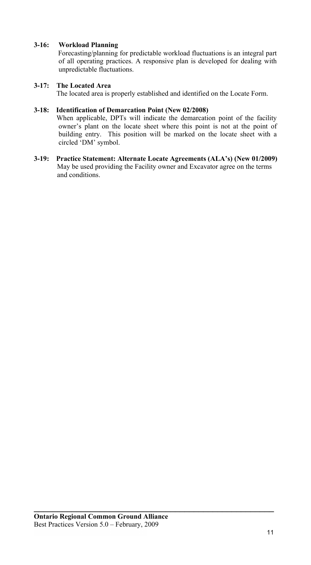# **3-16: Workload Planning**

 Forecasting/planning for predictable workload fluctuations is an integral part of all operating practices. A responsive plan is developed for dealing with unpredictable fluctuations.

# **3-17: The Located Area**

The located area is properly established and identified on the Locate Form.

# **3-18: Identification of Demarcation Point (New 02/2008)**

When applicable, DPTs will indicate the demarcation point of the facility owner's plant on the locate sheet where this point is not at the point of building entry. This position will be marked on the locate sheet with a circled 'DM' symbol.

**3-19: Practice Statement: Alternate Locate Agreements (ALA's) (New 01/2009)** May be used providing the Facility owner and Excavator agree on the terms and conditions.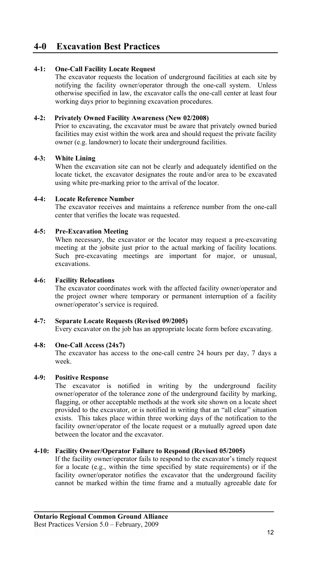# **4-0 Excavation Best Practices**

# **4-1: One-Call Facility Locate Request**

The excavator requests the location of underground facilities at each site by notifying the facility owner/operator through the one-call system. Unless otherwise specified in law, the excavator calls the one-call center at least four working days prior to beginning excavation procedures.

# **4-2: Privately Owned Facility Awareness (New 02/2008)**

Prior to excavating, the excavator must be aware that privately owned buried facilities may exist within the work area and should request the private facility owner (e.g. landowner) to locate their underground facilities.

# **4-3: White Lining**

When the excavation site can not be clearly and adequately identified on the locate ticket, the excavator designates the route and/or area to be excavated using white pre-marking prior to the arrival of the locator.

# **4-4: Locate Reference Number**

The excavator receives and maintains a reference number from the one-call center that verifies the locate was requested.

# **4-5: Pre-Excavation Meeting**

When necessary, the excavator or the locator may request a pre-excavating meeting at the jobsite just prior to the actual marking of facility locations. Such pre-excavating meetings are important for major, or unusual, excavations.

#### **4-6: Facility Relocations**

The excavator coordinates work with the affected facility owner/operator and the project owner where temporary or permanent interruption of a facility owner/operator's service is required.

#### **4-7: Separate Locate Requests (Revised 09/2005)**

Every excavator on the job has an appropriate locate form before excavating.

### **4-8: One-Call Access (24x7)**

The excavator has access to the one-call centre 24 hours per day, 7 days a week.

#### **4-9: Positive Response**

The excavator is notified in writing by the underground facility owner/operator of the tolerance zone of the underground facility by marking, flagging, or other acceptable methods at the work site shown on a locate sheet provided to the excavator, or is notified in writing that an "all clear" situation exists. This takes place within three working days of the notification to the facility owner/operator of the locate request or a mutually agreed upon date between the locator and the excavator.

#### **4-10: Facility Owner/Operator Failure to Respond (Revised 05/2005)**

If the facility owner/operator fails to respond to the excavator's timely request for a locate (e.g., within the time specified by state requirements) or if the facility owner/operator notifies the excavator that the underground facility cannot be marked within the time frame and a mutually agreeable date for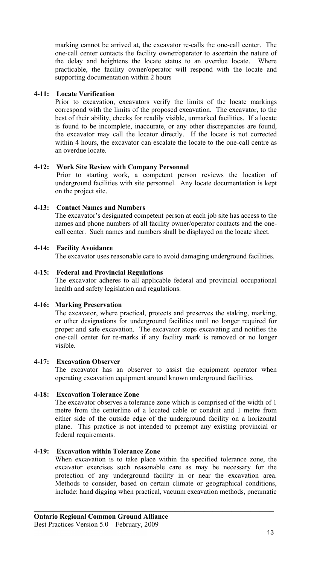marking cannot be arrived at, the excavator re-calls the one-call center. The one-call center contacts the facility owner/operator to ascertain the nature of the delay and heightens the locate status to an overdue locate. Where practicable, the facility owner/operator will respond with the locate and supporting documentation within 2 hours

# **4-11: Locate Verification**

Prior to excavation, excavators verify the limits of the locate markings correspond with the limits of the proposed excavation. The excavator, to the best of their ability, checks for readily visible, unmarked facilities. If a locate is found to be incomplete, inaccurate, or any other discrepancies are found, the excavator may call the locator directly. If the locate is not corrected within 4 hours, the excavator can escalate the locate to the one-call centre as an overdue locate.

# **4-12: Work Site Review with Company Personnel**

Prior to starting work, a competent person reviews the location of underground facilities with site personnel. Any locate documentation is kept on the project site.

# **4-13: Contact Names and Numbers**

The excavator's designated competent person at each job site has access to the names and phone numbers of all facility owner/operator contacts and the onecall center. Such names and numbers shall be displayed on the locate sheet.

#### **4-14: Facility Avoidance**

The excavator uses reasonable care to avoid damaging underground facilities.

# **4-15: Federal and Provincial Regulations**

The excavator adheres to all applicable federal and provincial occupational health and safety legislation and regulations.

#### **4-16: Marking Preservation**

The excavator, where practical, protects and preserves the staking, marking, or other designations for underground facilities until no longer required for proper and safe excavation. The excavator stops excavating and notifies the one-call center for re-marks if any facility mark is removed or no longer visible.

#### **4-17: Excavation Observer**

The excavator has an observer to assist the equipment operator when operating excavation equipment around known underground facilities.

### **4-18: Excavation Tolerance Zone**

The excavator observes a tolerance zone which is comprised of the width of 1 metre from the centerline of a located cable or conduit and 1 metre from either side of the outside edge of the underground facility on a horizontal plane. This practice is not intended to preempt any existing provincial or federal requirements.

### **4-19: Excavation within Tolerance Zone**

When excavation is to take place within the specified tolerance zone, the excavator exercises such reasonable care as may be necessary for the protection of any underground facility in or near the excavation area. Methods to consider, based on certain climate or geographical conditions, include: hand digging when practical, vacuum excavation methods, pneumatic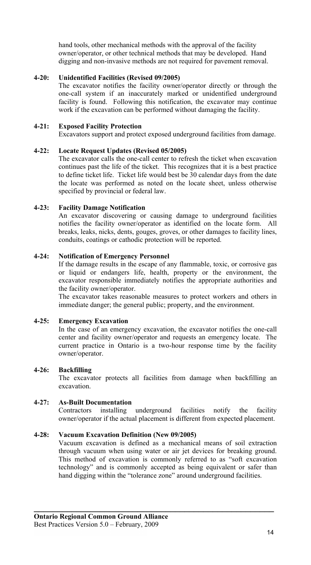hand tools, other mechanical methods with the approval of the facility owner/operator, or other technical methods that may be developed. Hand digging and non-invasive methods are not required for pavement removal.

# **4-20: Unidentified Facilities (Revised 09/2005)**

The excavator notifies the facility owner/operator directly or through the one-call system if an inaccurately marked or unidentified underground facility is found. Following this notification, the excavator may continue work if the excavation can be performed without damaging the facility.

# **4-21: Exposed Facility Protection**

Excavators support and protect exposed underground facilities from damage.

#### **4-22: Locate Request Updates (Revised 05/2005)**

The excavator calls the one-call center to refresh the ticket when excavation continues past the life of the ticket. This recognizes that it is a best practice to define ticket life. Ticket life would best be 30 calendar days from the date the locate was performed as noted on the locate sheet, unless otherwise specified by provincial or federal law.

# **4-23: Facility Damage Notification**

An excavator discovering or causing damage to underground facilities notifies the facility owner/operator as identified on the locate form. All breaks, leaks, nicks, dents, gouges, groves, or other damages to facility lines, conduits, coatings or cathodic protection will be reported.

#### **4-24: Notification of Emergency Personnel**

If the damage results in the escape of any flammable, toxic, or corrosive gas or liquid or endangers life, health, property or the environment, the excavator responsible immediately notifies the appropriate authorities and the facility owner/operator.

The excavator takes reasonable measures to protect workers and others in immediate danger; the general public; property, and the environment.

#### **4-25: Emergency Excavation**

In the case of an emergency excavation, the excavator notifies the one-call center and facility owner/operator and requests an emergency locate. The current practice in Ontario is a two-hour response time by the facility owner/operator.

#### **4-26: Backfilling**

The excavator protects all facilities from damage when backfilling an excavation.

#### **4-27: As-Built Documentation**

Contractors installing underground facilities notify the facility owner/operator if the actual placement is different from expected placement.

#### **4-28: Vacuum Excavation Definition (New 09/2005)**

Vacuum excavation is defined as a mechanical means of soil extraction through vacuum when using water or air jet devices for breaking ground. This method of excavation is commonly referred to as "soft excavation technology" and is commonly accepted as being equivalent or safer than hand digging within the "tolerance zone" around underground facilities.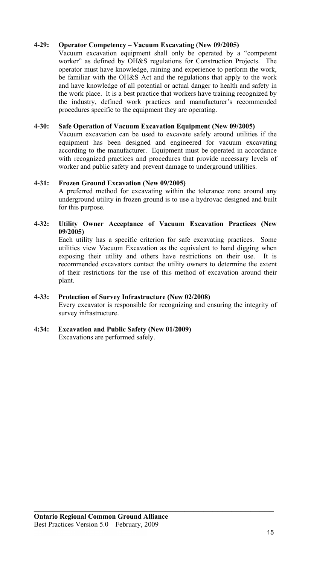# **4-29: Operator Competency – Vacuum Excavating (New 09/2005)**

Vacuum excavation equipment shall only be operated by a "competent worker" as defined by OH&S regulations for Construction Projects. The operator must have knowledge, raining and experience to perform the work, be familiar with the OH&S Act and the regulations that apply to the work and have knowledge of all potential or actual danger to health and safety in the work place. It is a best practice that workers have training recognized by the industry, defined work practices and manufacturer's recommended procedures specific to the equipment they are operating.

#### **4-30: Safe Operation of Vacuum Excavation Equipment (New 09/2005)**

Vacuum excavation can be used to excavate safely around utilities if the equipment has been designed and engineered for vacuum excavating according to the manufacturer. Equipment must be operated in accordance with recognized practices and procedures that provide necessary levels of worker and public safety and prevent damage to underground utilities.

#### **4-31: Frozen Ground Excavation (New 09/2005)**

A preferred method for excavating within the tolerance zone around any underground utility in frozen ground is to use a hydrovac designed and built for this purpose.

# **4-32: Utility Owner Acceptance of Vacuum Excavation Practices (New 09/2005)**

Each utility has a specific criterion for safe excavating practices. Some utilities view Vacuum Excavation as the equivalent to hand digging when exposing their utility and others have restrictions on their use. It is recommended excavators contact the utility owners to determine the extent of their restrictions for the use of this method of excavation around their plant.

#### **4-33: Protection of Survey Infrastructure (New 02/2008)**

Every excavator is responsible for recognizing and ensuring the integrity of survey infrastructure.

**\_\_\_\_\_\_\_\_\_\_\_\_\_\_\_\_\_\_\_\_\_\_\_\_\_\_\_\_\_\_\_\_\_\_\_\_\_\_\_\_\_\_\_\_\_\_\_\_\_\_\_** 

**4:34: Excavation and Public Safety (New 01/2009)**  Excavations are performed safely.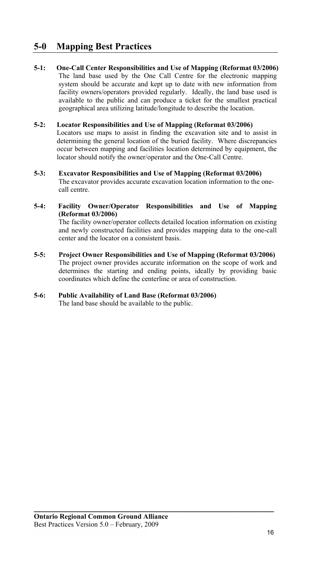# **5-0 Mapping Best Practices**

**5-1: One-Call Center Responsibilities and Use of Mapping (Reformat 03/2006)**  The land base used by the One Call Centre for the electronic mapping system should be accurate and kept up to date with new information from facility owners/operators provided regularly. Ideally, the land base used is available to the public and can produce a ticket for the smallest practical geographical area utilizing latitude/longitude to describe the location.

# **5-2: Locator Responsibilities and Use of Mapping (Reformat 03/2006)**

Locators use maps to assist in finding the excavation site and to assist in determining the general location of the buried facility. Where discrepancies occur between mapping and facilities location determined by equipment, the locator should notify the owner/operator and the One-Call Centre.

**5-3: Excavator Responsibilities and Use of Mapping (Reformat 03/2006)**  The excavator provides accurate excavation location information to the one call centre.

# **5-4: Facility Owner/Operator Responsibilities and Use of Mapping (Reformat 03/2006)**

The facility owner/operator collects detailed location information on existing and newly constructed facilities and provides mapping data to the one-call center and the locator on a consistent basis.

**5-5: Project Owner Responsibilities and Use of Mapping (Reformat 03/2006)** The project owner provides accurate information on the scope of work and determines the starting and ending points, ideally by providing basic coordinates which define the centerline or area of construction.

**\_\_\_\_\_\_\_\_\_\_\_\_\_\_\_\_\_\_\_\_\_\_\_\_\_\_\_\_\_\_\_\_\_\_\_\_\_\_\_\_\_\_\_\_\_\_\_\_\_\_\_** 

#### **5-6: Public Availability of Land Base (Reformat 03/2006)**  The land base should be available to the public.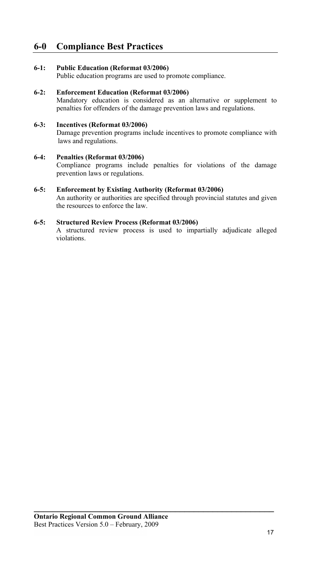# **6-0 Compliance Best Practices**

# **6-1: Public Education (Reformat 03/2006)**

Public education programs are used to promote compliance.

#### **6-2: Enforcement Education (Reformat 03/2006)**

Mandatory education is considered as an alternative or supplement to penalties for offenders of the damage prevention laws and regulations.

# **6-3: Incentives (Reformat 03/2006)**

Damage prevention programs include incentives to promote compliance with laws and regulations.

#### **6-4: Penalties (Reformat 03/2006)**

Compliance programs include penalties for violations of the damage prevention laws or regulations.

#### **6-5: Enforcement by Existing Authority (Reformat 03/2006)**

An authority or authorities are specified through provincial statutes and given the resources to enforce the law.

# **6-5: Structured Review Process (Reformat 03/2006)**

A structured review process is used to impartially adjudicate alleged violations.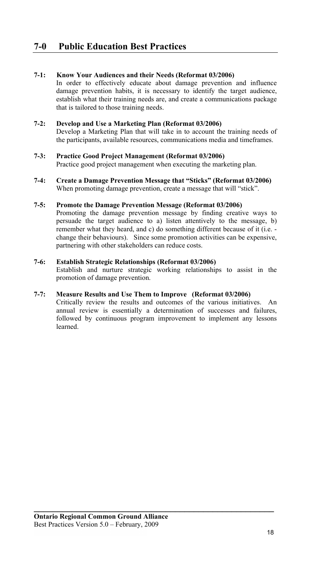# **7-1: Know Your Audiences and their Needs (Reformat 03/2006)**

In order to effectively educate about damage prevention and influence damage prevention habits, it is necessary to identify the target audience, establish what their training needs are, and create a communications package that is tailored to those training needs.

#### **7-2: Develop and Use a Marketing Plan (Reformat 03/2006)**

Develop a Marketing Plan that will take in to account the training needs of the participants, available resources, communications media and timeframes.

### **7-3: Practice Good Project Management (Reformat 03/2006)**

Practice good project management when executing the marketing plan.

**7-4: Create a Damage Prevention Message that "Sticks" (Reformat 03/2006)** When promoting damage prevention, create a message that will "stick".

#### **7-5: Promote the Damage Prevention Message (Reformat 03/2006)**

Promoting the damage prevention message by finding creative ways to persuade the target audience to a) listen attentively to the message, b) remember what they heard, and c) do something different because of it (i.e. change their behaviours). Since some promotion activities can be expensive, partnering with other stakeholders can reduce costs.

#### **7-6: Establish Strategic Relationships (Reformat 03/2006)**

Establish and nurture strategic working relationships to assist in the promotion of damage prevention.

# **7-7: Measure Results and Use Them to Improve (Reformat 03/2006)**

Critically review the results and outcomes of the various initiatives. An annual review is essentially a determination of successes and failures, followed by continuous program improvement to implement any lessons learned.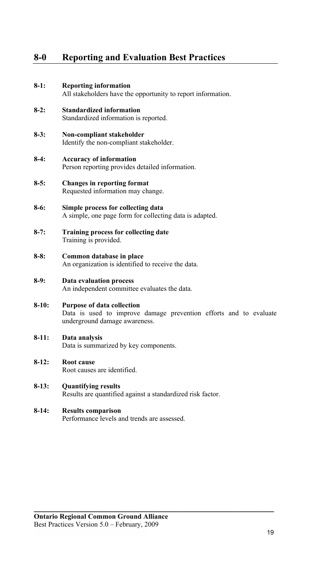# **8-0 Reporting and Evaluation Best Practices**

- **8-1: Reporting information** All stakeholders have the opportunity to report information.
- **8-2: Standardized information**  Standardized information is reported.
- **8-3: Non-compliant stakeholder**  Identify the non-compliant stakeholder.
- **8-4: Accuracy of information** Person reporting provides detailed information.
- **8-5: Changes in reporting format** Requested information may change.
- **8-6: Simple process for collecting data** A simple, one page form for collecting data is adapted.
- **8-7: Training process for collecting date**  Training is provided.
- **8-8: Common database in place** An organization is identified to receive the data.
- **8-9: Data evaluation process** An independent committee evaluates the data.
- **8-10: Purpose of data collection** Data is used to improve damage prevention efforts and to evaluate underground damage awareness.

**\_\_\_\_\_\_\_\_\_\_\_\_\_\_\_\_\_\_\_\_\_\_\_\_\_\_\_\_\_\_\_\_\_\_\_\_\_\_\_\_\_\_\_\_\_\_\_\_\_\_\_** 

**8-11: Data analysis**

Data is summarized by key components.

**8-12: Root cause** 

Root causes are identified.

- **8-13: Quantifying results** Results are quantified against a standardized risk factor.
- **8-14: Results comparison** Performance levels and trends are assessed.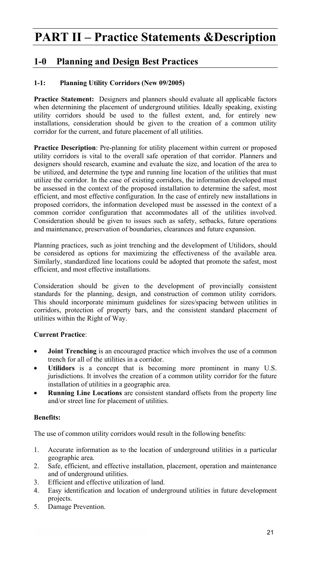# **PART II – Practice Statements &Description**

# **1-0 Planning and Design Best Practices**

# **1-1: Planning Utility Corridors (New 09/2005)**

**Practice Statement:** Designers and planners should evaluate all applicable factors when determining the placement of underground utilities. Ideally speaking, existing utility corridors should be used to the fullest extent, and, for entirely new installations, consideration should be given to the creation of a common utility corridor for the current, and future placement of all utilities.

**Practice Description**: Pre-planning for utility placement within current or proposed utility corridors is vital to the overall safe operation of that corridor. Planners and designers should research, examine and evaluate the size, and location of the area to be utilized, and determine the type and running line location of the utilities that must utilize the corridor. In the case of existing corridors, the information developed must be assessed in the context of the proposed installation to determine the safest, most efficient, and most effective configuration. In the case of entirely new installations in proposed corridors, the information developed must be assessed in the context of a common corridor configuration that accommodates all of the utilities involved. Consideration should be given to issues such as safety, setbacks, future operations and maintenance, preservation of boundaries, clearances and future expansion.

Planning practices, such as joint trenching and the development of Utilidors, should be considered as options for maximizing the effectiveness of the available area. Similarly, standardized line locations could be adopted that promote the safest, most efficient, and most effective installations.

Consideration should be given to the development of provincially consistent standards for the planning, design, and construction of common utility corridors. This should incorporate minimum guidelines for sizes/spacing between utilities in corridors, protection of property bars, and the consistent standard placement of utilities within the Right of Way.

# **Current Practice**:

- **Joint Trenching** is an encouraged practice which involves the use of a common trench for all of the utilities in a corridor.
- Utilidors is a concept that is becoming more prominent in many U.S. jurisdictions. It involves the creation of a common utility corridor for the future installation of utilities in a geographic area.
- **Running Line Locations** are consistent standard offsets from the property line and/or street line for placement of utilities.

#### **Benefits:**

The use of common utility corridors would result in the following benefits:

- 1. Accurate information as to the location of underground utilities in a particular geographic area.
- 2. Safe, efficient, and effective installation, placement, operation and maintenance and of underground utilities.
- 3. Efficient and effective utilization of land.
- 4. Easy identification and location of underground utilities in future development projects.
- 5. Damage Prevention.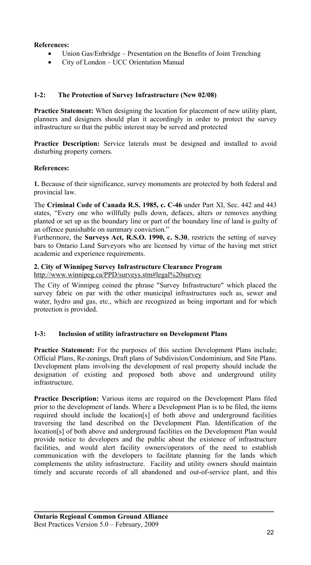# **References:**

- Union Gas/Enbridge Presentation on the Benefits of Joint Trenching
- City of London UCC Orientation Manual

# **1-2: The Protection of Survey Infrastructure (New 02/08)**

**Practice Statement:** When designing the location for placement of new utility plant, planners and designers should plan it accordingly in order to protect the survey infrastructure so that the public interest may be served and protected

**Practice Description:** Service laterals must be designed and installed to avoid disturbing property corners.

# **References:**

**1.** Because of their significance, survey monuments are protected by both federal and provincial law.

The **Criminal Code of Canada R.S. 1985, c. C-46** under Part XI, Sec. 442 and 443 states, "Every one who willfully pulls down, defaces, alters or removes anything planted or set up as the boundary line or part of the boundary line of land is guilty of an offence punishable on summary conviction."

Furthermore, the **Surveys Act, R.S.O. 1990, c. S.30**, restricts the setting of survey bars to Ontario Land Surveyors who are licensed by virtue of the having met strict academic and experience requirements.

# **2. City of Winnipeg Survey Infrastructure Clearance Program**

http://www.winnipeg.ca/PPD/surveys.stm#legal%20survey

The City of Winnipeg coined the phrase "Survey Infrastructure" which placed the survey fabric on par with the other municipal infrastructures such as, sewer and water, hydro and gas, etc., which are recognized as being important and for which protection is provided.

# **1-3: Inclusion of utility infrastructure on Development Plans**

Practice Statement: For the purposes of this section Development Plans include; Official Plans, Re-zonings, Draft plans of Subdivision/Condominium, and Site Plans. Development plans involving the development of real property should include the designation of existing and proposed both above and underground utility infrastructure.

**Practice Description:** Various items are required on the Development Plans filed prior to the development of lands. Where a Development Plan is to be filed, the items required should include the location[s] of both above and underground facilities traversing the land described on the Development Plan. Identification of the location[s] of both above and underground facilities on the Development Plan would provide notice to developers and the public about the existence of infrastructure facilities, and would alert facility owners/operators of the need to establish communication with the developers to facilitate planning for the lands which complements the utility infrastructure. Facility and utility owners should maintain timely and accurate records of all abandoned and out-of-service plant, and this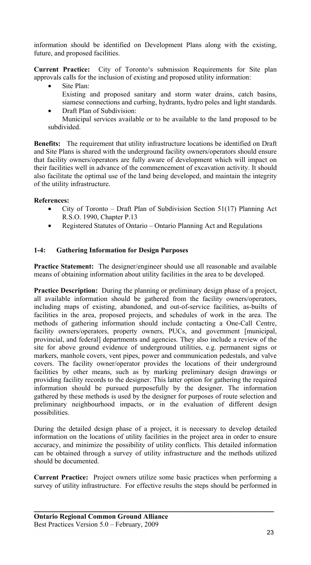information should be identified on Development Plans along with the existing, future, and proposed facilities.

**Current Practice:** City of Toronto's submission Requirements for Site plan approvals calls for the inclusion of existing and proposed utility information:

- Site Plan:
- Existing and proposed sanitary and storm water drains, catch basins, siamese connections and curbing, hydrants, hydro poles and light standards.
- Draft Plan of Subdivision:

Municipal services available or to be available to the land proposed to be subdivided.

**Benefits:** The requirement that utility infrastructure locations be identified on Draft and Site Plans is shared with the underground facility owners/operators should ensure that facility owners/operators are fully aware of development which will impact on their facilities well in advance of the commencement of excavation activity. It should also facilitate the optimal use of the land being developed, and maintain the integrity of the utility infrastructure.

# **References:**

- City of Toronto Draft Plan of Subdivision Section 51(17) Planning Act R.S.O. 1990, Chapter P.13
- Registered Statutes of Ontario Ontario Planning Act and Regulations

# **1-4: Gathering Information for Design Purposes**

**Practice Statement:** The designer/engineer should use all reasonable and available means of obtaining information about utility facilities in the area to be developed.

**Practice Description:** During the planning or preliminary design phase of a project, all available information should be gathered from the facility owners/operators, including maps of existing, abandoned, and out-of-service facilities, as-builts of facilities in the area, proposed projects, and schedules of work in the area. The methods of gathering information should include contacting a One-Call Centre, facility owners/operators, property owners, PUCs, and government [municipal, provincial, and federal] departments and agencies. They also include a review of the site for above ground evidence of underground utilities, e.g. permanent signs or markers, manhole covers, vent pipes, power and communication pedestals, and valve covers. The facility owner/operator provides the locations of their underground facilities by other means, such as by marking preliminary design drawings or providing facility records to the designer. This latter option for gathering the required information should be pursued purposefully by the designer. The information gathered by these methods is used by the designer for purposes of route selection and preliminary neighbourhood impacts, or in the evaluation of different design possibilities.

During the detailed design phase of a project, it is necessary to develop detailed information on the locations of utility facilities in the project area in order to ensure accuracy, and minimize the possibility of utility conflicts. This detailed information can be obtained through a survey of utility infrastructure and the methods utilized should be documented.

**Current Practice:** Project owners utilize some basic practices when performing a survey of utility infrastructure. For effective results the steps should be performed in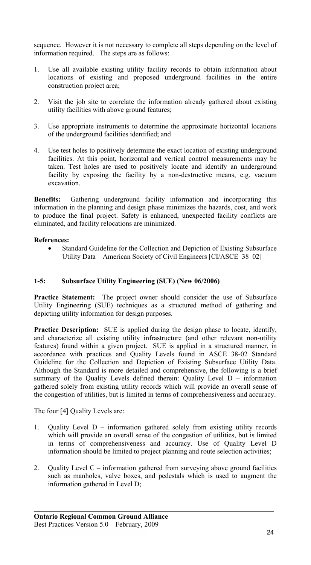sequence. However it is not necessary to complete all steps depending on the level of information required. The steps are as follows:

- 1. Use all available existing utility facility records to obtain information about locations of existing and proposed underground facilities in the entire construction project area;
- 2. Visit the job site to correlate the information already gathered about existing utility facilities with above ground features;
- 3. Use appropriate instruments to determine the approximate horizontal locations of the underground facilities identified; and
- 4. Use test holes to positively determine the exact location of existing underground facilities. At this point, horizontal and vertical control measurements may be taken. Test holes are used to positively locate and identify an underground facility by exposing the facility by a non-destructive means, e.g. vacuum excavation.

**Benefits:** Gathering underground facility information and incorporating this information in the planning and design phase minimizes the hazards, cost, and work to produce the final project. Safety is enhanced, unexpected facility conflicts are eliminated, and facility relocations are minimized.

# **References:**

Standard Guideline for the Collection and Depiction of Existing Subsurface Utility Data – American Society of Civil Engineers [CI/ASCE 38–02]

# **1-5: Subsurface Utility Engineering (SUE) (New 06/2006)**

**Practice Statement:** The project owner should consider the use of Subsurface Utility Engineering (SUE) techniques as a structured method of gathering and depicting utility information for design purposes.

**Practice Description:** SUE is applied during the design phase to locate, identify, and characterize all existing utility infrastructure (and other relevant non-utility features) found within a given project. SUE is applied in a structured manner, in accordance with practices and Quality Levels found in ASCE 38-02 Standard Guideline for the Collection and Depiction of Existing Subsurface Utility Data. Although the Standard is more detailed and comprehensive, the following is a brief summary of the Quality Levels defined therein: Quality Level D – information gathered solely from existing utility records which will provide an overall sense of the congestion of utilities, but is limited in terms of comprehensiveness and accuracy.

The four [4] Quality Levels are:

- 1. Quality Level D information gathered solely from existing utility records which will provide an overall sense of the congestion of utilities, but is limited in terms of comprehensiveness and accuracy. Use of Quality Level D information should be limited to project planning and route selection activities;
- 2. Quality Level C information gathered from surveying above ground facilities such as manholes, valve boxes, and pedestals which is used to augment the information gathered in Level D;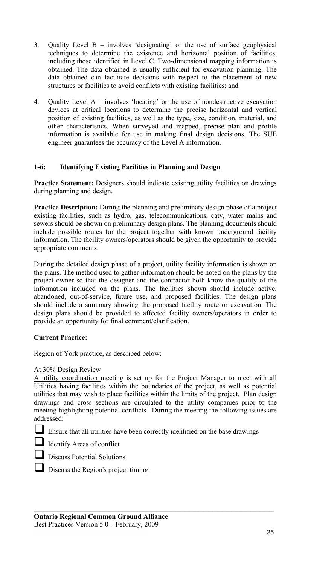- 3. Quality Level B involves 'designating' or the use of surface geophysical techniques to determine the existence and horizontal position of facilities, including those identified in Level C. Two-dimensional mapping information is obtained. The data obtained is usually sufficient for excavation planning. The data obtained can facilitate decisions with respect to the placement of new structures or facilities to avoid conflicts with existing facilities; and
- 4. Quality Level A involves 'locating' or the use of nondestructive excavation devices at critical locations to determine the precise horizontal and vertical position of existing facilities, as well as the type, size, condition, material, and other characteristics. When surveyed and mapped, precise plan and profile information is available for use in making final design decisions. The SUE engineer guarantees the accuracy of the Level A information.

# **1-6: Identifying Existing Facilities in Planning and Design**

Practice Statement: Designers should indicate existing utility facilities on drawings during planning and design.

**Practice Description:** During the planning and preliminary design phase of a project existing facilities, such as hydro, gas, telecommunications, catv, water mains and sewers should be shown on preliminary design plans. The planning documents should include possible routes for the project together with known underground facility information. The facility owners/operators should be given the opportunity to provide appropriate comments.

During the detailed design phase of a project, utility facility information is shown on the plans. The method used to gather information should be noted on the plans by the project owner so that the designer and the contractor both know the quality of the information included on the plans. The facilities shown should include active, abandoned, out-of-service, future use, and proposed facilities. The design plans should include a summary showing the proposed facility route or excavation. The design plans should be provided to affected facility owners/operators in order to provide an opportunity for final comment/clarification.

#### **Current Practice:**

Region of York practice, as described below:

#### At 30% Design Review

A utility coordination meeting is set up for the Project Manager to meet with all Utilities having facilities within the boundaries of the project, as well as potential utilities that may wish to place facilities within the limits of the project. Plan design drawings and cross sections are circulated to the utility companies prior to the meeting highlighting potential conflicts. During the meeting the following issues are addressed:

Ensure that all utilities have been correctly identified on the base drawings

**\_\_\_\_\_\_\_\_\_\_\_\_\_\_\_\_\_\_\_\_\_\_\_\_\_\_\_\_\_\_\_\_\_\_\_\_\_\_\_\_\_\_\_\_\_\_\_\_\_\_\_** 





Discuss Potential Solutions

Discuss the Region's project timing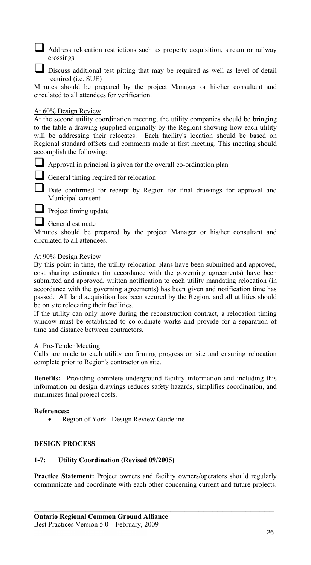Address relocation restrictions such as property acquisition, stream or railway crossings

Discuss additional test pitting that may be required as well as level of detail required (i.e. SUE)

Minutes should be prepared by the project Manager or his/her consultant and circulated to all attendees for verification.

#### At 60% Design Review

At the second utility coordination meeting, the utility companies should be bringing to the table a drawing (supplied originally by the Region) showing how each utility will be addressing their relocates. Each facility's location should be based on Regional standard offsets and comments made at first meeting. This meeting should accomplish the following:

Approval in principal is given for the overall co-ordination plan

General timing required for relocation

Date confirmed for receipt by Region for final drawings for approval and Municipal consent

**Project timing update** 

General estimate

Minutes should be prepared by the project Manager or his/her consultant and circulated to all attendees.

#### At 90% Design Review

By this point in time, the utility relocation plans have been submitted and approved, cost sharing estimates (in accordance with the governing agreements) have been submitted and approved, written notification to each utility mandating relocation (in accordance with the governing agreements) has been given and notification time has passed. All land acquisition has been secured by the Region, and all utilities should be on site relocating their facilities.

If the utility can only move during the reconstruction contract, a relocation timing window must be established to co-ordinate works and provide for a separation of time and distance between contractors.

#### At Pre-Tender Meeting

Calls are made to each utility confirming progress on site and ensuring relocation complete prior to Region's contractor on site.

**Benefits:** Providing complete underground facility information and including this information on design drawings reduces safety hazards, simplifies coordination, and minimizes final project costs.

#### **References:**

• Region of York –Design Review Guideline

#### **DESIGN PROCESS**

### **1-7: Utility Coordination (Revised 09/2005)**

**Practice Statement:** Project owners and facility owners/operators should regularly communicate and coordinate with each other concerning current and future projects.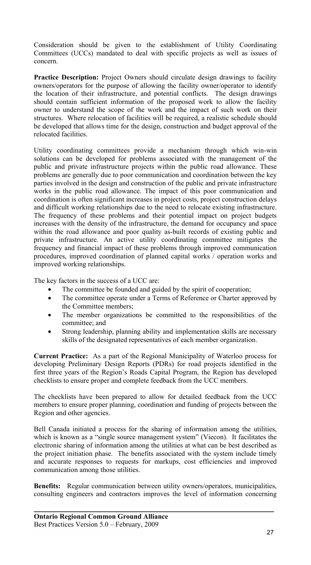Consideration should be given to the establishment of Utility Coordinating Committees (UCCs) mandated to deal with specific projects as well as issues of concern.

**Practice Description:** Project Owners should circulate design drawings to facility owners/operators for the purpose of allowing the facility owner/operator to identify the location of their infrastructure, and potential conflicts. The design drawings should contain sufficient information of the proposed work to allow the facility owner to understand the scope of the work and the impact of such work on their structures. Where relocation of facilities will be required, a realistic schedule should be developed that allows time for the design, construction and budget approval of the relocated facilities.

Utility coordinating committees provide a mechanism through which win-win solutions can be developed for problems associated with the management of the public and private infrastructure projects within the public road allowance. These problems are generally due to poor communication and coordination between the key parties involved in the design and construction of the public and private infrastructure works in the public road allowance. The impact of this poor communication and coordination is often significant increases in project costs, project construction delays and difficult working relationships due to the need to relocate existing infrastructure. The frequency of these problems and their potential impact on project budgets increases with the density of the infrastructure, the demand for occupancy and space within the road allowance and poor quality as-built records of existing public and private infrastructure. An active utility coordinating committee mitigates the frequency and financial impact of these problems through improved communication procedures, improved coordination of planned capital works / operation works and improved working relationships.

The key factors in the success of a UCC are:

- The committee be founded and guided by the spirit of cooperation;
- The committee operate under a Terms of Reference or Charter approved by the Committee members;
- The member organizations be committed to the responsibilities of the committee; and
- Strong leadership, planning ability and implementation skills are necessary skills of the designated representatives of each member organization.

**Current Practice:** As a part of the Regional Municipality of Waterloo process for developing Preliminary Design Reports (PDRs) for road projects identified in the first three years of the Region's Roads Capital Program, the Region has developed checklists to ensure proper and complete feedback from the UCC members.

The checklists have been prepared to allow for detailed feedback from the UCC members to ensure proper planning, coordination and funding of projects between the Region and other agencies.

Bell Canada initiated a process for the sharing of information among the utilities, which is known as a "single source management system" (Viecon). It facilitates the electronic sharing of information among the utilities at what can be best described as the project initiation phase. The benefits associated with the system include timely and accurate responses to requests for markups, cost efficiencies and improved communication among those utilities.

**Benefits:** Regular communication between utility owners/operators, municipalities, consulting engineers and contractors improves the level of information concerning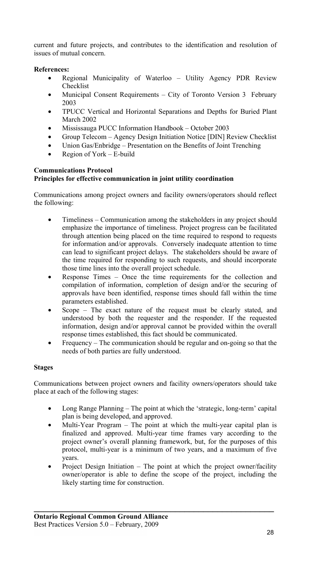current and future projects, and contributes to the identification and resolution of issues of mutual concern.

# **References:**

- Regional Municipality of Waterloo Utility Agency PDR Review Checklist
- Municipal Consent Requirements City of Toronto Version 3 February 2003
- TPUCC Vertical and Horizontal Separations and Depths for Buried Plant March 2002
- Mississauga PUCC Information Handbook October 2003
- Group Telecom Agency Design Initiation Notice [DIN] Review Checklist
- Union Gas/Enbridge Presentation on the Benefits of Joint Trenching
- Region of York E-build

#### **Communications Protocol Principles for effective communication in joint utility coordination**

Communications among project owners and facility owners/operators should reflect the following:

- Timeliness Communication among the stakeholders in any project should emphasize the importance of timeliness. Project progress can be facilitated through attention being placed on the time required to respond to requests for information and/or approvals. Conversely inadequate attention to time can lead to significant project delays. The stakeholders should be aware of the time required for responding to such requests, and should incorporate those time lines into the overall project schedule.
- Response Times Once the time requirements for the collection and compilation of information, completion of design and/or the securing of approvals have been identified, response times should fall within the time parameters established.
- Scope The exact nature of the request must be clearly stated, and understood by both the requester and the responder. If the requested information, design and/or approval cannot be provided within the overall response times established, this fact should be communicated.
- Frequency The communication should be regular and on-going so that the needs of both parties are fully understood.

# **Stages**

Communications between project owners and facility owners/operators should take place at each of the following stages:

- Long Range Planning The point at which the 'strategic, long-term' capital plan is being developed, and approved.
- Multi-Year Program The point at which the multi-year capital plan is finalized and approved. Multi-year time frames vary according to the project owner's overall planning framework, but, for the purposes of this protocol, multi-year is a minimum of two years, and a maximum of five years.
- Project Design Initiation The point at which the project owner/facility owner/operator is able to define the scope of the project, including the likely starting time for construction.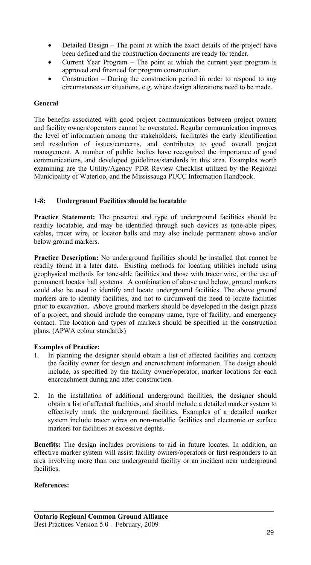- Detailed Design The point at which the exact details of the project have been defined and the construction documents are ready for tender.
- Current Year Program The point at which the current year program is approved and financed for program construction.
- Construction During the construction period in order to respond to any circumstances or situations, e.g. where design alterations need to be made.

#### **General**

The benefits associated with good project communications between project owners and facility owners/operators cannot be overstated. Regular communication improves the level of information among the stakeholders, facilitates the early identification and resolution of issues/concerns, and contributes to good overall project management. A number of public bodies have recognized the importance of good communications, and developed guidelines/standards in this area. Examples worth examining are the Utility/Agency PDR Review Checklist utilized by the Regional Municipality of Waterloo, and the Mississauga PUCC Information Handbook.

# **1-8: Underground Facilities should be locatable**

Practice Statement: The presence and type of underground facilities should be readily locatable, and may be identified through such devices as tone-able pipes, cables, tracer wire, or locator balls and may also include permanent above and/or below ground markers.

**Practice Description:** No underground facilities should be installed that cannot be readily found at a later date. Existing methods for locating utilities include using geophysical methods for tone-able facilities and those with tracer wire, or the use of permanent locator ball systems. A combination of above and below, ground markers could also be used to identify and locate underground facilities. The above ground markers are to identify facilities, and not to circumvent the need to locate facilities prior to excavation. Above ground markers should be developed in the design phase of a project, and should include the company name, type of facility, and emergency contact. The location and types of markers should be specified in the construction plans. (APWA colour standards)

#### **Examples of Practice:**

- 1. In planning the designer should obtain a list of affected facilities and contacts the facility owner for design and encroachment information. The design should include, as specified by the facility owner/operator, marker locations for each encroachment during and after construction.
- 2. In the installation of additional underground facilities, the designer should obtain a list of affected facilities, and should include a detailed marker system to effectively mark the underground facilities. Examples of a detailed marker system include tracer wires on non-metallic facilities and electronic or surface markers for facilities at excessive depths.

**Benefits:** The design includes provisions to aid in future locates. In addition, an effective marker system will assist facility owners/operators or first responders to an area involving more than one underground facility or an incident near underground facilities.

**\_\_\_\_\_\_\_\_\_\_\_\_\_\_\_\_\_\_\_\_\_\_\_\_\_\_\_\_\_\_\_\_\_\_\_\_\_\_\_\_\_\_\_\_\_\_\_\_\_\_\_** 

#### **References:**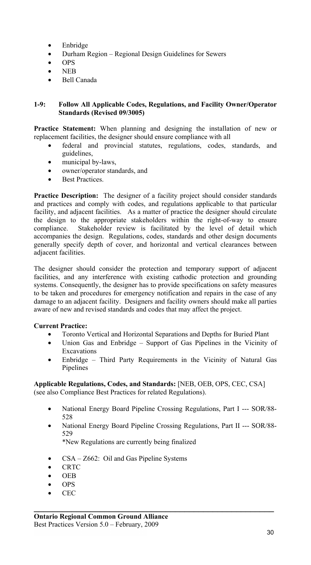- Enbridge
- Durham Region Regional Design Guidelines for Sewers
- OPS
- NEB
- Bell Canada

#### **1-9: Follow All Applicable Codes, Regulations, and Facility Owner/Operator Standards (Revised 09/3005)**

**Practice Statement:** When planning and designing the installation of new or replacement facilities, the designer should ensure compliance with all

- federal and provincial statutes, regulations, codes, standards, and guidelines,
- municipal by-laws,
- owner/operator standards, and
- **Best Practices**

**Practice Description:** The designer of a facility project should consider standards and practices and comply with codes, and regulations applicable to that particular facility, and adjacent facilities. As a matter of practice the designer should circulate the design to the appropriate stakeholders within the right-of-way to ensure compliance. Stakeholder review is facilitated by the level of detail which accompanies the design. Regulations, codes, standards and other design documents generally specify depth of cover, and horizontal and vertical clearances between adjacent facilities.

The designer should consider the protection and temporary support of adjacent facilities, and any interference with existing cathodic protection and grounding systems. Consequently, the designer has to provide specifications on safety measures to be taken and procedures for emergency notification and repairs in the case of any damage to an adjacent facility. Designers and facility owners should make all parties aware of new and revised standards and codes that may affect the project.

#### **Current Practice:**

- Toronto Vertical and Horizontal Separations and Depths for Buried Plant
- Union Gas and Enbridge Support of Gas Pipelines in the Vicinity of Excavations
- Enbridge Third Party Requirements in the Vicinity of Natural Gas Pipelines

**Applicable Regulations, Codes, and Standards:** [NEB, OEB, OPS, CEC, CSA] (see also Compliance Best Practices for related Regulations).

- National Energy Board Pipeline Crossing Regulations, Part I --- SOR/88- 528
- National Energy Board Pipeline Crossing Regulations, Part II --- SOR/88- 529

**\_\_\_\_\_\_\_\_\_\_\_\_\_\_\_\_\_\_\_\_\_\_\_\_\_\_\_\_\_\_\_\_\_\_\_\_\_\_\_\_\_\_\_\_\_\_\_\_\_\_\_** 

\*New Regulations are currently being finalized

- CSA Z662: Oil and Gas Pipeline Systems
- CRTC
- OEB
- OPS
- CEC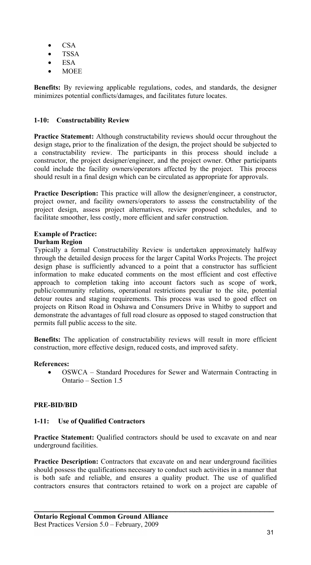- CSA
- TSSA
- ESA
- MOEE

**Benefits:** By reviewing applicable regulations, codes, and standards, the designer minimizes potential conflicts/damages, and facilitates future locates.

# **1-10: Constructability Review**

**Practice Statement:** Although constructability reviews should occur throughout the design stage**,** prior to the finalization of the design, the project should be subjected to a constructability review. The participants in this process should include a constructor, the project designer/engineer, and the project owner. Other participants could include the facility owners/operators affected by the project. This process should result in a final design which can be circulated as appropriate for approvals.

**Practice Description:** This practice will allow the designer/engineer, a constructor, project owner, and facility owners/operators to assess the constructability of the project design, assess project alternatives, review proposed schedules, and to facilitate smoother, less costly, more efficient and safer construction.

# **Example of Practice:**

# **Durham Region**

Typically a formal Constructability Review is undertaken approximately halfway through the detailed design process for the larger Capital Works Projects. The project design phase is sufficiently advanced to a point that a constructor has sufficient information to make educated comments on the most efficient and cost effective approach to completion taking into account factors such as scope of work, public/community relations, operational restrictions peculiar to the site, potential detour routes and staging requirements. This process was used to good effect on projects on Ritson Road in Oshawa and Consumers Drive in Whitby to support and demonstrate the advantages of full road closure as opposed to staged construction that permits full public access to the site.

**Benefits:** The application of constructability reviews will result in more efficient construction, more effective design, reduced costs, and improved safety.

# **References:**

• OSWCA – Standard Procedures for Sewer and Watermain Contracting in Ontario – Section 1.5

# **PRE-BID/BID**

# **1-11: Use of Qualified Contractors**

Practice Statement: Qualified contractors should be used to excavate on and near underground facilities.

**Practice Description:** Contractors that excavate on and near underground facilities should possess the qualifications necessary to conduct such activities in a manner that is both safe and reliable, and ensures a quality product. The use of qualified contractors ensures that contractors retained to work on a project are capable of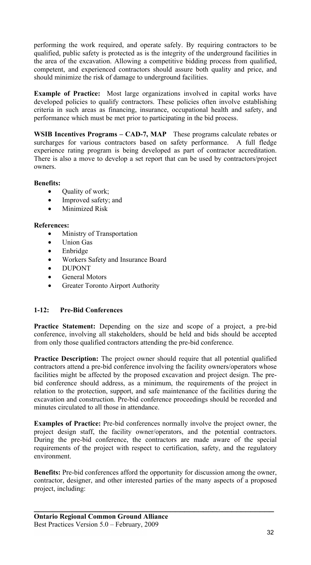performing the work required, and operate safely. By requiring contractors to be qualified, public safety is protected as is the integrity of the underground facilities in the area of the excavation. Allowing a competitive bidding process from qualified, competent, and experienced contractors should assure both quality and price, and should minimize the risk of damage to underground facilities.

**Example of Practice:** Most large organizations involved in capital works have developed policies to qualify contractors. These policies often involve establishing criteria in such areas as financing, insurance, occupational health and safety, and performance which must be met prior to participating in the bid process.

**WSIB Incentives Programs – CAD-7, MAP** These programs calculate rebates or surcharges for various contractors based on safety performance. A full fledge experience rating program is being developed as part of contractor accreditation. There is also a move to develop a set report that can be used by contractors/project owners.

# **Benefits:**

- Quality of work;
- Improved safety; and
- Minimized Risk

#### **References:**

- Ministry of Transportation
- Union Gas
- Enbridge
- Workers Safety and Insurance Board
- DUPONT
- General Motors
- Greater Toronto Airport Authority

# **1-12: Pre-Bid Conferences**

**Practice Statement:** Depending on the size and scope of a project, a pre-bid conference, involving all stakeholders, should be held and bids should be accepted from only those qualified contractors attending the pre-bid conference.

**Practice Description:** The project owner should require that all potential qualified contractors attend a pre-bid conference involving the facility owners/operators whose facilities might be affected by the proposed excavation and project design. The prebid conference should address, as a minimum, the requirements of the project in relation to the protection, support, and safe maintenance of the facilities during the excavation and construction. Pre-bid conference proceedings should be recorded and minutes circulated to all those in attendance.

**Examples of Practice:** Pre-bid conferences normally involve the project owner, the project design staff, the facility owner/operators, and the potential contractors. During the pre-bid conference, the contractors are made aware of the special requirements of the project with respect to certification, safety, and the regulatory environment.

**Benefits:** Pre-bid conferences afford the opportunity for discussion among the owner, contractor, designer, and other interested parties of the many aspects of a proposed project, including: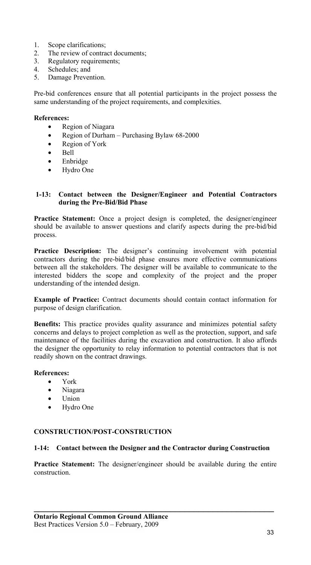- 1. Scope clarifications;
- 2. The review of contract documents;<br>3. Regulatory requirements;
- Regulatory requirements;
- 4. Schedules; and
- 5. Damage Prevention.

Pre-bid conferences ensure that all potential participants in the project possess the same understanding of the project requirements, and complexities.

#### **References:**

- Region of Niagara
- Region of Durham Purchasing Bylaw 68-2000
- Region of York
- Bell
- Enbridge
- Hydro One

#### **1-13: Contact between the Designer/Engineer and Potential Contractors during the Pre-Bid/Bid Phase**

**Practice Statement:** Once a project design is completed, the designer/engineer should be available to answer questions and clarify aspects during the pre-bid/bid process.

**Practice Description:** The designer's continuing involvement with potential contractors during the pre-bid/bid phase ensures more effective communications between all the stakeholders. The designer will be available to communicate to the interested bidders the scope and complexity of the project and the proper understanding of the intended design.

**Example of Practice:** Contract documents should contain contact information for purpose of design clarification.

**Benefits:** This practice provides quality assurance and minimizes potential safety concerns and delays to project completion as well as the protection, support, and safe maintenance of the facilities during the excavation and construction. It also affords the designer the opportunity to relay information to potential contractors that is not readily shown on the contract drawings.

#### **References:**

- York
- Niagara
- Union
- Hydro One

#### **CONSTRUCTION/POST-CONSTRUCTION**

#### **1-14: Contact between the Designer and the Contractor during Construction**

**Practice Statement:** The designer/engineer should be available during the entire construction.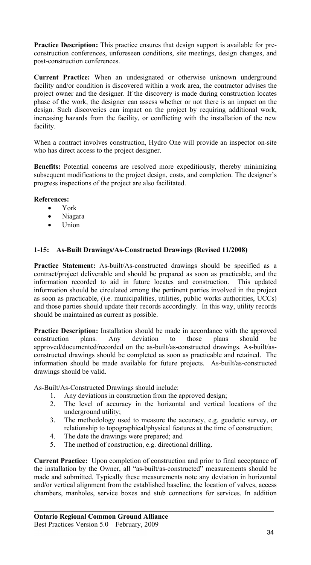**Practice Description:** This practice ensures that design support is available for preconstruction conferences, unforeseen conditions, site meetings, design changes, and post-construction conferences.

**Current Practice:** When an undesignated or otherwise unknown underground facility and/or condition is discovered within a work area, the contractor advises the project owner and the designer. If the discovery is made during construction locates phase of the work, the designer can assess whether or not there is an impact on the design. Such discoveries can impact on the project by requiring additional work, increasing hazards from the facility, or conflicting with the installation of the new facility.

When a contract involves construction, Hydro One will provide an inspector on-site who has direct access to the project designer.

**Benefits:** Potential concerns are resolved more expeditiously, thereby minimizing subsequent modifications to the project design, costs, and completion. The designer's progress inspections of the project are also facilitated.

#### **References:**

- York
- Niagara
- Union

#### **1-15: As-Built Drawings/As-Constructed Drawings (Revised 11/2008)**

Practice Statement: As-built/As-constructed drawings should be specified as a contract/project deliverable and should be prepared as soon as practicable, and the information recorded to aid in future locates and construction. This updated information should be circulated among the pertinent parties involved in the project as soon as practicable, (i.e. municipalities, utilities, public works authorities, UCCs) and those parties should update their records accordingly. In this way, utility records should be maintained as current as possible.

**Practice Description:** Installation should be made in accordance with the approved construction plans. Any deviation to those plans should be approved/documented/recorded on the as-built/as-constructed drawings. As-built/asconstructed drawings should be completed as soon as practicable and retained. The information should be made available for future projects. As-built/as-constructed drawings should be valid.

As-Built/As-Constructed Drawings should include:

- 1. Any deviations in construction from the approved design;
- 2. The level of accuracy in the horizontal and vertical locations of the underground utility;
- 3. The methodology used to measure the accuracy, e.g. geodetic survey, or relationship to topographical/physical features at the time of construction;
- 4. The date the drawings were prepared; and
- 5. The method of construction, e.g. directional drilling.

**Current Practice:** Upon completion of construction and prior to final acceptance of the installation by the Owner, all "as-built/as-constructed" measurements should be made and submitted. Typically these measurements note any deviation in horizontal and/or vertical alignment from the established baseline, the location of valves, access chambers, manholes, service boxes and stub connections for services. In addition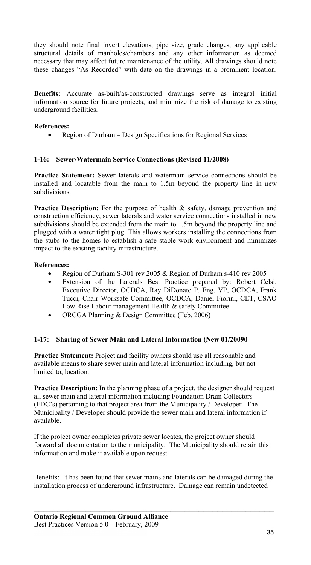they should note final invert elevations, pipe size, grade changes, any applicable structural details of manholes/chambers and any other information as deemed necessary that may affect future maintenance of the utility. All drawings should note these changes "As Recorded" with date on the drawings in a prominent location.

**Benefits:** Accurate as-built/as-constructed drawings serve as integral initial information source for future projects, and minimize the risk of damage to existing underground facilities.

# **References:**

• Region of Durham – Design Specifications for Regional Services

# **1-16: Sewer/Watermain Service Connections (Revised 11/2008)**

**Practice Statement:** Sewer laterals and watermain service connections should be installed and locatable from the main to 1.5m beyond the property line in new subdivisions.

**Practice Description:** For the purpose of health & safety, damage prevention and construction efficiency, sewer laterals and water service connections installed in new subdivisions should be extended from the main to 1.5m beyond the property line and plugged with a water tight plug. This allows workers installing the connections from the stubs to the homes to establish a safe stable work environment and minimizes impact to the existing facility infrastructure.

# **References:**

- Region of Durham S-301 rev 2005 & Region of Durham s-410 rev 2005
- Extension of the Laterals Best Practice prepared by: Robert Celsi, Executive Director, OCDCA, Ray DiDonato P. Eng, VP, OCDCA, Frank Tucci, Chair Worksafe Committee, OCDCA, Daniel Fiorini, CET, CSAO Low Rise Labour management Health & safety Committee
- ORCGA Planning & Design Committee (Feb, 2006)

#### **1-17: Sharing of Sewer Main and Lateral Information (New 01/20090**

**Practice Statement:** Project and facility owners should use all reasonable and available means to share sewer main and lateral information including, but not limited to, location.

**Practice Description:** In the planning phase of a project, the designer should request all sewer main and lateral information including Foundation Drain Collectors (FDC's) pertaining to that project area from the Municipality / Developer. The Municipality / Developer should provide the sewer main and lateral information if available.

If the project owner completes private sewer locates, the project owner should forward all documentation to the municipality. The Municipality should retain this information and make it available upon request.

Benefits: It has been found that sewer mains and laterals can be damaged during the installation process of underground infrastructure. Damage can remain undetected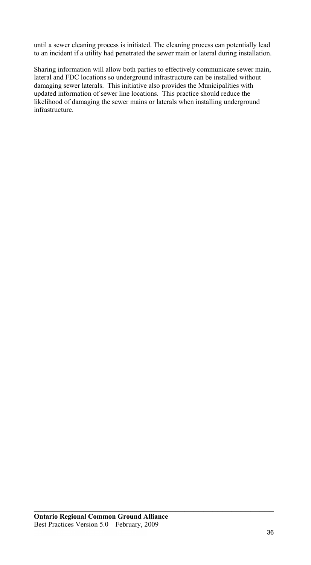until a sewer cleaning process is initiated. The cleaning process can potentially lead to an incident if a utility had penetrated the sewer main or lateral during installation.

Sharing information will allow both parties to effectively communicate sewer main, lateral and FDC locations so underground infrastructure can be installed without damaging sewer laterals. This initiative also provides the Municipalities with updated information of sewer line locations. This practice should reduce the likelihood of damaging the sewer mains or laterals when installing underground infrastructure.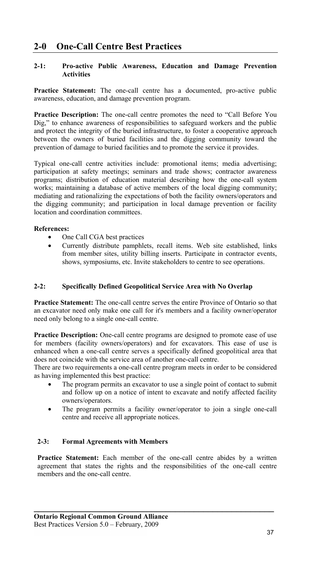#### **2-1: Pro-active Public Awareness, Education and Damage Prevention Activities**

**Practice Statement:** The one-call centre has a documented, pro-active public awareness, education, and damage prevention program.

**Practice Description:** The one-call centre promotes the need to "Call Before You Dig," to enhance awareness of responsibilities to safeguard workers and the public and protect the integrity of the buried infrastructure, to foster a cooperative approach between the owners of buried facilities and the digging community toward the prevention of damage to buried facilities and to promote the service it provides.

Typical one-call centre activities include: promotional items; media advertising; participation at safety meetings; seminars and trade shows; contractor awareness programs; distribution of education material describing how the one-call system works; maintaining a database of active members of the local digging community; mediating and rationalizing the expectations of both the facility owners/operators and the digging community; and participation in local damage prevention or facility location and coordination committees.

### **References:**

- One Call CGA best practices
- Currently distribute pamphlets, recall items. Web site established, links from member sites, utility billing inserts. Participate in contractor events, shows, symposiums, etc. Invite stakeholders to centre to see operations.

### **2-2: Specifically Defined Geopolitical Service Area with No Overlap**

**Practice Statement:** The one-call centre serves the entire Province of Ontario so that an excavator need only make one call for it's members and a facility owner/operator need only belong to a single one-call centre.

**Practice Description:** One-call centre programs are designed to promote ease of use for members (facility owners/operators) and for excavators. This ease of use is enhanced when a one-call centre serves a specifically defined geopolitical area that does not coincide with the service area of another one-call centre.

There are two requirements a one-call centre program meets in order to be considered as having implemented this best practice:

- The program permits an excavator to use a single point of contact to submit and follow up on a notice of intent to excavate and notify affected facility owners/operators.
- The program permits a facility owner/operator to join a single one-call centre and receive all appropriate notices.

### **2-3: Formal Agreements with Members**

Practice Statement: Each member of the one-call centre abides by a written agreement that states the rights and the responsibilities of the one-call centre members and the one-call centre.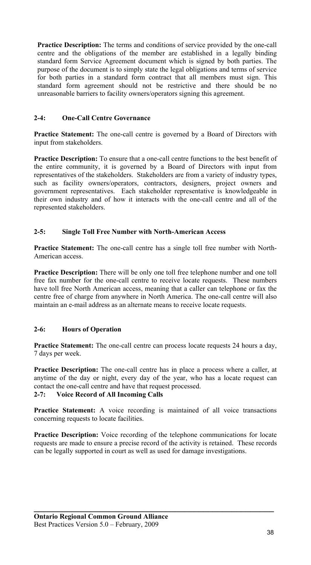**Practice Description:** The terms and conditions of service provided by the one-call centre and the obligations of the member are established in a legally binding standard form Service Agreement document which is signed by both parties. The purpose of the document is to simply state the legal obligations and terms of service for both parties in a standard form contract that all members must sign. This standard form agreement should not be restrictive and there should be no unreasonable barriers to facility owners/operators signing this agreement.

### **2-4: One-Call Centre Governance**

**Practice Statement:** The one-call centre is governed by a Board of Directors with input from stakeholders.

**Practice Description:** To ensure that a one-call centre functions to the best benefit of the entire community, it is governed by a Board of Directors with input from representatives of the stakeholders. Stakeholders are from a variety of industry types, such as facility owners/operators, contractors, designers, project owners and government representatives. Each stakeholder representative is knowledgeable in their own industry and of how it interacts with the one-call centre and all of the represented stakeholders.

### **2-5: Single Toll Free Number with North-American Access**

**Practice Statement:** The one-call centre has a single toll free number with North-American access.

**Practice Description:** There will be only one toll free telephone number and one toll free fax number for the one-call centre to receive locate requests. These numbers have toll free North American access, meaning that a caller can telephone or fax the centre free of charge from anywhere in North America. The one-call centre will also maintain an e-mail address as an alternate means to receive locate requests.

# **2-6: Hours of Operation**

**Practice Statement:** The one-call centre can process locate requests 24 hours a day, 7 days per week.

**Practice Description:** The one-call centre has in place a process where a caller, at anytime of the day or night, every day of the year, who has a locate request can contact the one-call centre and have that request processed.

# **2-7: Voice Record of All Incoming Calls**

**Practice Statement:** A voice recording is maintained of all voice transactions concerning requests to locate facilities.

**Practice Description:** Voice recording of the telephone communications for locate requests are made to ensure a precise record of the activity is retained. These records can be legally supported in court as well as used for damage investigations.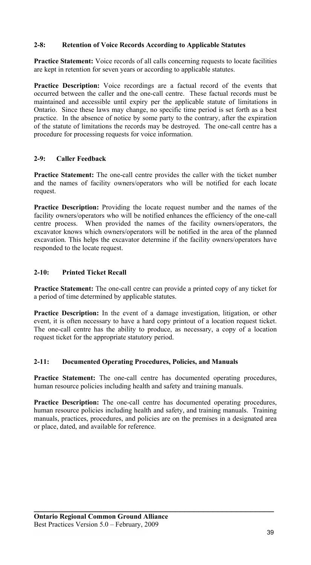### **2-8: Retention of Voice Records According to Applicable Statutes**

**Practice Statement:** Voice records of all calls concerning requests to locate facilities are kept in retention for seven years or according to applicable statutes.

**Practice Description:** Voice recordings are a factual record of the events that occurred between the caller and the one-call centre. These factual records must be maintained and accessible until expiry per the applicable statute of limitations in Ontario. Since these laws may change, no specific time period is set forth as a best practice. In the absence of notice by some party to the contrary, after the expiration of the statute of limitations the records may be destroyed. The one-call centre has a procedure for processing requests for voice information.

# **2-9: Caller Feedback**

**Practice Statement:** The one-call centre provides the caller with the ticket number and the names of facility owners/operators who will be notified for each locate request.

**Practice Description:** Providing the locate request number and the names of the facility owners/operators who will be notified enhances the efficiency of the one-call centre process. When provided the names of the facility owners/operators, the excavator knows which owners/operators will be notified in the area of the planned excavation. This helps the excavator determine if the facility owners/operators have responded to the locate request.

# **2-10: Printed Ticket Recall**

**Practice Statement:** The one-call centre can provide a printed copy of any ticket for a period of time determined by applicable statutes.

**Practice Description:** In the event of a damage investigation, litigation, or other event, it is often necessary to have a hard copy printout of a location request ticket. The one-call centre has the ability to produce, as necessary, a copy of a location request ticket for the appropriate statutory period.

# **2-11: Documented Operating Procedures, Policies, and Manuals**

**Practice Statement:** The one-call centre has documented operating procedures, human resource policies including health and safety and training manuals.

Practice Description: The one-call centre has documented operating procedures, human resource policies including health and safety, and training manuals. Training manuals, practices, procedures, and policies are on the premises in a designated area or place, dated, and available for reference.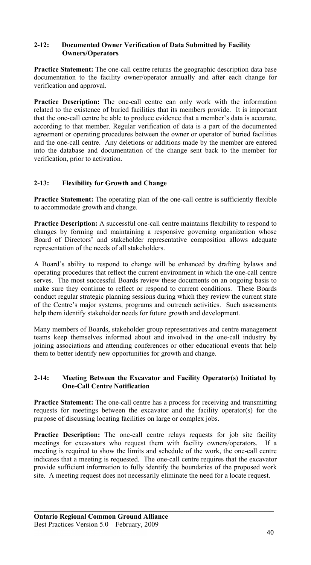#### **2-12: Documented Owner Verification of Data Submitted by Facility Owners/Operators**

**Practice Statement:** The one-call centre returns the geographic description data base documentation to the facility owner/operator annually and after each change for verification and approval.

**Practice Description:** The one-call centre can only work with the information related to the existence of buried facilities that its members provide. It is important that the one-call centre be able to produce evidence that a member's data is accurate, according to that member. Regular verification of data is a part of the documented agreement or operating procedures between the owner or operator of buried facilities and the one-call centre. Any deletions or additions made by the member are entered into the database and documentation of the change sent back to the member for verification, prior to activation.

# **2-13: Flexibility for Growth and Change**

**Practice Statement:** The operating plan of the one-call centre is sufficiently flexible to accommodate growth and change.

**Practice Description:** A successful one-call centre maintains flexibility to respond to changes by forming and maintaining a responsive governing organization whose Board of Directors' and stakeholder representative composition allows adequate representation of the needs of all stakeholders.

A Board's ability to respond to change will be enhanced by drafting bylaws and operating procedures that reflect the current environment in which the one-call centre serves. The most successful Boards review these documents on an ongoing basis to make sure they continue to reflect or respond to current conditions. These Boards conduct regular strategic planning sessions during which they review the current state of the Centre's major systems, programs and outreach activities. Such assessments help them identify stakeholder needs for future growth and development.

Many members of Boards, stakeholder group representatives and centre management teams keep themselves informed about and involved in the one-call industry by joining associations and attending conferences or other educational events that help them to better identify new opportunities for growth and change.

#### **2-14: Meeting Between the Excavator and Facility Operator(s) Initiated by One-Call Centre Notification**

**Practice Statement:** The one-call centre has a process for receiving and transmitting requests for meetings between the excavator and the facility operator(s) for the purpose of discussing locating facilities on large or complex jobs.

Practice Description: The one-call centre relays requests for job site facility meetings for excavators who request them with facility owners/operators. If a meeting is required to show the limits and schedule of the work, the one-call centre indicates that a meeting is requested. The one-call centre requires that the excavator provide sufficient information to fully identify the boundaries of the proposed work site. A meeting request does not necessarily eliminate the need for a locate request.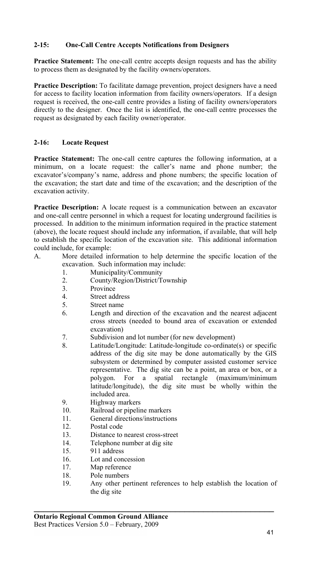# **2-15: One-Call Centre Accepts Notifications from Designers**

**Practice Statement:** The one-call centre accepts design requests and has the ability to process them as designated by the facility owners/operators.

**Practice Description:** To facilitate damage prevention, project designers have a need for access to facility location information from facility owners/operators. If a design request is received, the one-call centre provides a listing of facility owners/operators directly to the designer. Once the list is identified, the one-call centre processes the request as designated by each facility owner/operator.

# **2-16: Locate Request**

**Practice Statement:** The one-call centre captures the following information, at a minimum, on a locate request: the caller's name and phone number; the excavator's/company's name, address and phone numbers; the specific location of the excavation; the start date and time of the excavation; and the description of the excavation activity.

**Practice Description:** A locate request is a communication between an excavator and one-call centre personnel in which a request for locating underground facilities is processed. In addition to the minimum information required in the practice statement (above), the locate request should include any information, if available, that will help to establish the specific location of the excavation site. This additional information could include, for example:

- A. More detailed information to help determine the specific location of the excavation. Such information may include:
	- 1. Municipality/Community
	- 2. County/Region/District/Township
	- 3. Province
	- 4. Street address
	- 5. Street name
	- 6. Length and direction of the excavation and the nearest adjacent cross streets (needed to bound area of excavation or extended excavation)
	- 7. Subdivision and lot number (for new development)
	- 8. Latitude/Longitude: Latitude-longitude co-ordinate(s) or specific address of the dig site may be done automatically by the GIS subsystem or determined by computer assisted customer service representative. The dig site can be a point, an area or box, or a polygon. For a spatial rectangle (maximum/minimum latitude/longitude), the dig site must be wholly within the included area.
	- 9. Highway markers
	- 10. Railroad or pipeline markers
	- 11. General directions/instructions<br>12 Postal code
	- Postal code
	- 13. Distance to nearest cross-street
	- 14. Telephone number at dig site
	- 15. 911 address
	- 16. Lot and concession
	- 17. Map reference
	- 18. Pole numbers
	- 19. Any other pertinent references to help establish the location of the dig site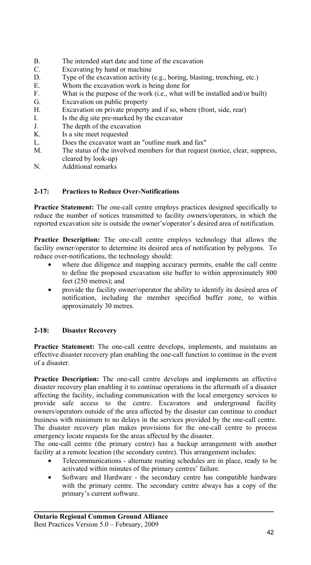- B. The intended start date and time of the excavation
- C. Excavating by hand or machine
- D. Type of the excavation activity (e.g., boring, blasting, trenching, etc.)
- E. Whom the excavation work is being done for  $\overline{F}$  What is the purpose of the work (i.e. what wi
- What is the purpose of the work (i.e., what will be installed and/or built)
- G. Excavation on public property
- H. Excavation on private property and if so, where (front, side, rear)
- I. Is the dig site pre-marked by the excavator
- J. The depth of the excavation
- K. Is a site meet requested
- L. Does the excavator want an "outline mark and fax"
- M. The status of the involved members for that request (notice, clear, suppress, cleared by look-up)
- N. Additional remarks

### **2-17: Practices to Reduce Over-Notifications**

**Practice Statement:** The one-call centre employs practices designed specifically to reduce the number of notices transmitted to facility owners/operators, in which the reported excavation site is outside the owner's/operator's desired area of notification.

**Practice Description:** The one-call centre employs technology that allows the facility owner/operator to determine its desired area of notification by polygons. To reduce over-notifications, the technology should:

- where due diligence and mapping accuracy permits, enable the call centre to define the proposed excavation site buffer to within approximately 800 feet (250 metres); and
- provide the facility owner/operator the ability to identify its desired area of notification, including the member specified buffer zone, to within approximately 30 metres.

# **2-18: Disaster Recovery**

**Practice Statement:** The one-call centre develops, implements, and maintains an effective disaster recovery plan enabling the one-call function to continue in the event of a disaster.

**Practice Description:** The one-call centre develops and implements an effective disaster recovery plan enabling it to continue operations in the aftermath of a disaster affecting the facility, including communication with the local emergency services to provide safe access to the centre. Excavators and underground facility owners/operators outside of the area affected by the disaster can continue to conduct business with minimum to no delays in the services provided by the one-call centre. The disaster recovery plan makes provisions for the one-call centre to process emergency locate requests for the areas affected by the disaster.

The one-call centre (the primary centre) has a backup arrangement with another facility at a remote location (the secondary centre). This arrangement includes:

- Telecommunications alternate routing schedules are in place, ready to be activated within minutes of the primary centres' failure.
- Software and Hardware the secondary centre has compatible hardware with the primary centre. The secondary centre always has a copy of the primary's current software.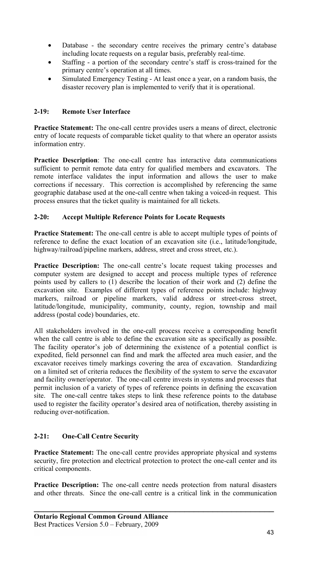- Database the secondary centre receives the primary centre's database including locate requests on a regular basis, preferably real-time.
- Staffing a portion of the secondary centre's staff is cross-trained for the primary centre's operation at all times.
- Simulated Emergency Testing At least once a year, on a random basis, the disaster recovery plan is implemented to verify that it is operational.

### **2-19: Remote User Interface**

**Practice Statement:** The one-call centre provides users a means of direct, electronic entry of locate requests of comparable ticket quality to that where an operator assists information entry.

**Practice Description**: The one-call centre has interactive data communications sufficient to permit remote data entry for qualified members and excavators. The remote interface validates the input information and allows the user to make corrections if necessary. This correction is accomplished by referencing the same geographic database used at the one-call centre when taking a voiced-in request. This process ensures that the ticket quality is maintained for all tickets.

# **2-20: Accept Multiple Reference Points for Locate Requests**

**Practice Statement:** The one-call centre is able to accept multiple types of points of reference to define the exact location of an excavation site (i.e., latitude/longitude, highway/railroad/pipeline markers, address, street and cross street, etc.).

**Practice Description:** The one-call centre's locate request taking processes and computer system are designed to accept and process multiple types of reference points used by callers to (1) describe the location of their work and (2) define the excavation site. Examples of different types of reference points include: highway markers, railroad or pipeline markers, valid address or street-cross street, latitude/longitude, municipality, community, county, region, township and mail address (postal code) boundaries, etc.

All stakeholders involved in the one-call process receive a corresponding benefit when the call centre is able to define the excavation site as specifically as possible. The facility operator's job of determining the existence of a potential conflict is expedited, field personnel can find and mark the affected area much easier, and the excavator receives timely markings covering the area of excavation. Standardizing on a limited set of criteria reduces the flexibility of the system to serve the excavator and facility owner/operator. The one-call centre invests in systems and processes that permit inclusion of a variety of types of reference points in defining the excavation site. The one-call centre takes steps to link these reference points to the database used to register the facility operator's desired area of notification, thereby assisting in reducing over-notification.

# **2-21: One-Call Centre Security**

**Practice Statement:** The one-call centre provides appropriate physical and systems security, fire protection and electrical protection to protect the one-call center and its critical components.

**Practice Description:** The one-call centre needs protection from natural disasters and other threats. Since the one-call centre is a critical link in the communication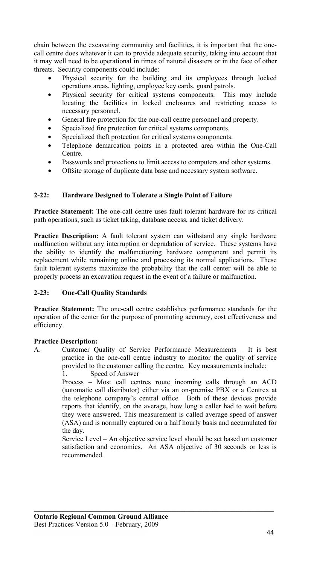chain between the excavating community and facilities, it is important that the onecall centre does whatever it can to provide adequate security, taking into account that it may well need to be operational in times of natural disasters or in the face of other threats. Security components could include:

- Physical security for the building and its employees through locked operations areas, lighting, employee key cards, guard patrols.
- Physical security for critical systems components. This may include locating the facilities in locked enclosures and restricting access to necessary personnel.
- General fire protection for the one-call centre personnel and property.
- Specialized fire protection for critical systems components.
- Specialized theft protection for critical systems components.
- Telephone demarcation points in a protected area within the One-Call Centre.
- Passwords and protections to limit access to computers and other systems.
- Offsite storage of duplicate data base and necessary system software.

### **2-22: Hardware Designed to Tolerate a Single Point of Failure**

**Practice Statement:** The one-call centre uses fault tolerant hardware for its critical path operations, such as ticket taking, database access, and ticket delivery.

**Practice Description:** A fault tolerant system can withstand any single hardware malfunction without any interruption or degradation of service. These systems have the ability to identify the malfunctioning hardware component and permit its replacement while remaining online and processing its normal applications. These fault tolerant systems maximize the probability that the call center will be able to properly process an excavation request in the event of a failure or malfunction.

#### **2-23: One-Call Quality Standards**

**Practice Statement:** The one-call centre establishes performance standards for the operation of the center for the purpose of promoting accuracy, cost effectiveness and efficiency.

#### **Practice Description:**

A. Customer Quality of Service Performance Measurements – It is best practice in the one-call centre industry to monitor the quality of service provided to the customer calling the centre. Key measurements include: 1. Speed of Answer

> Process – Most call centres route incoming calls through an ACD (automatic call distributor) either via an on-premise PBX or a Centrex at the telephone company's central office. Both of these devices provide reports that identify, on the average, how long a caller had to wait before they were answered. This measurement is called average speed of answer (ASA) and is normally captured on a half hourly basis and accumulated for the day.

> Service Level – An objective service level should be set based on customer satisfaction and economics. An ASA objective of 30 seconds or less is recommended.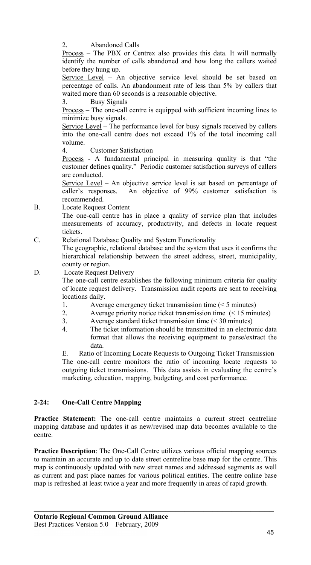2. Abandoned Calls

Process – The PBX or Centrex also provides this data. It will normally identify the number of calls abandoned and how long the callers waited before they hung up.

Service Level – An objective service level should be set based on percentage of calls. An abandonment rate of less than 5% by callers that waited more than 60 seconds is a reasonable objective.

3. Busy Signals

Process – The one-call centre is equipped with sufficient incoming lines to minimize busy signals.

Service Level – The performance level for busy signals received by callers into the one-call centre does not exceed 1% of the total incoming call volume.

4. Customer Satisfaction

Process - A fundamental principal in measuring quality is that "the customer defines quality." Periodic customer satisfaction surveys of callers are conducted.

Service Level – An objective service level is set based on percentage of caller's responses. An objective of 99% customer satisfaction is recommended.

B. Locate Request Content

The one-call centre has in place a quality of service plan that includes measurements of accuracy, productivity, and defects in locate request tickets.

C. Relational Database Quality and System Functionality

The geographic, relational database and the system that uses it confirms the hierarchical relationship between the street address, street, municipality, county or region.

D. Locate Request Delivery

The one-call centre establishes the following minimum criteria for quality of locate request delivery. Transmission audit reports are sent to receiving locations daily.

- 1. Average emergency ticket transmission time (< 5 minutes)
- 2. Average priority notice ticket transmission time (< 15 minutes)
- 3. Average standard ticket transmission time (< 30 minutes)
- 4. The ticket information should be transmitted in an electronic data format that allows the receiving equipment to parse/extract the data.

E. Ratio of Incoming Locate Requests to Outgoing Ticket Transmission The one-call centre monitors the ratio of incoming locate requests to outgoing ticket transmissions. This data assists in evaluating the centre's marketing, education, mapping, budgeting, and cost performance.

# **2-24: One-Call Centre Mapping**

**Practice Statement:** The one-call centre maintains a current street centreline mapping database and updates it as new/revised map data becomes available to the centre.

**Practice Description**: The One-Call Centre utilizes various official mapping sources to maintain an accurate and up to date street centreline base map for the centre. This map is continuously updated with new street names and addressed segments as well as current and past place names for various political entities. The centre online base map is refreshed at least twice a year and more frequently in areas of rapid growth.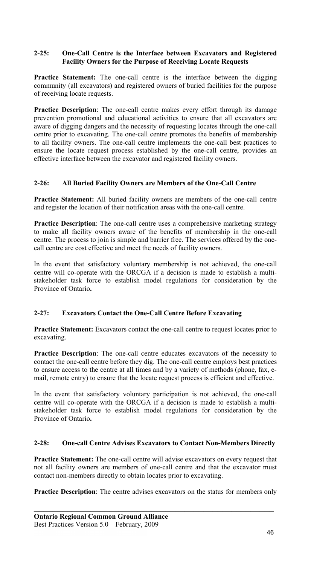### **2-25: One-Call Centre is the Interface between Excavators and Registered Facility Owners for the Purpose of Receiving Locate Requests**

**Practice Statement:** The one-call centre is the interface between the digging community (all excavators) and registered owners of buried facilities for the purpose of receiving locate requests.

**Practice Description**: The one-call centre makes every effort through its damage prevention promotional and educational activities to ensure that all excavators are aware of digging dangers and the necessity of requesting locates through the one-call centre prior to excavating. The one-call centre promotes the benefits of membership to all facility owners. The one-call centre implements the one-call best practices to ensure the locate request process established by the one-call centre, provides an effective interface between the excavator and registered facility owners.

### **2-26: All Buried Facility Owners are Members of the One-Call Centre**

**Practice Statement:** All buried facility owners are members of the one-call centre and register the location of their notification areas with the one-call centre.

**Practice Description**: The one-call centre uses a comprehensive marketing strategy to make all facility owners aware of the benefits of membership in the one-call centre. The process to join is simple and barrier free. The services offered by the onecall centre are cost effective and meet the needs of facility owners.

In the event that satisfactory voluntary membership is not achieved, the one-call centre will co-operate with the ORCGA if a decision is made to establish a multistakeholder task force to establish model regulations for consideration by the Province of Ontario**.** 

# **2-27: Excavators Contact the One-Call Centre Before Excavating**

**Practice Statement:** Excavators contact the one-call centre to request locates prior to excavating.

**Practice Description**: The one-call centre educates excavators of the necessity to contact the one-call centre before they dig. The one-call centre employs best practices to ensure access to the centre at all times and by a variety of methods (phone, fax, email, remote entry) to ensure that the locate request process is efficient and effective.

In the event that satisfactory voluntary participation is not achieved, the one-call centre will co-operate with the ORCGA if a decision is made to establish a multistakeholder task force to establish model regulations for consideration by the Province of Ontario**.** 

#### **2-28: One-call Centre Advises Excavators to Contact Non-Members Directly**

**Practice Statement:** The one-call centre will advise excavators on every request that not all facility owners are members of one-call centre and that the excavator must contact non-members directly to obtain locates prior to excavating.

**Practice Description**: The centre advises excavators on the status for members only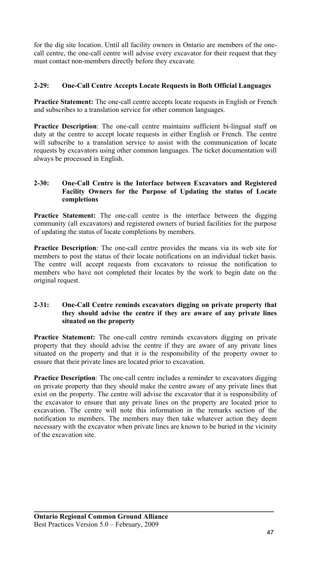for the dig site location. Until all facility owners in Ontario are members of the onecall centre, the one-call centre will advise every excavator for their request that they must contact non-members directly before they excavate.

# **2-29: One-Call Centre Accepts Locate Requests in Both Official Languages**

**Practice Statement:** The one-call centre accepts locate requests in English or French and subscribes to a translation service for other common languages.

**Practice Description**: The one-call centre maintains sufficient bi-lingual staff on duty at the centre to accept locate requests in either English or French. The centre will subscribe to a translation service to assist with the communication of locate requests by excavators using other common languages. The ticket documentation will always be processed in English.

### **2-30: One-Call Centre is the Interface between Excavators and Registered Facility Owners for the Purpose of Updating the status of Locate completions**

**Practice Statement:** The one-call centre is the interface between the digging community (all excavators) and registered owners of buried facilities for the purpose of updating the status of locate completions by members.

**Practice Description**: The one-call centre provides the means via its web site for members to post the status of their locate notifications on an individual ticket basis. The centre will accept requests from excavators to reissue the notification to members who have not completed their locates by the work to begin date on the original request.

#### **2-31: One-Call Centre reminds excavators digging on private property that they should advise the centre if they are aware of any private lines situated on the property**

**Practice Statement:** The one-call centre reminds excavators digging on private property that they should advise the centre if they are aware of any private lines situated on the property and that it is the responsibility of the property owner to ensure that their private lines are located prior to excavation.

**Practice Description**: The one-call centre includes a reminder to excavators digging on private property that they should make the centre aware of any private lines that exist on the property. The centre will advise the excavator that it is responsibility of the excavator to ensure that any private lines on the property are located prior to excavation. The centre will note this information in the remarks section of the notification to members. The members may then take whatever action they deem necessary with the excavator when private lines are known to be buried in the vicinity of the excavation site.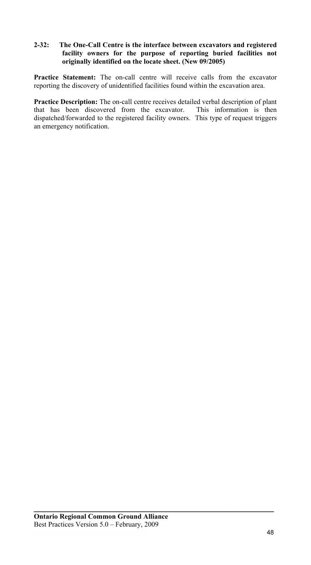#### **2-32: The One-Call Centre is the interface between excavators and registered facility owners for the purpose of reporting buried facilities not originally identified on the locate sheet. (New 09/2005)**

**Practice Statement:** The on-call centre will receive calls from the excavator reporting the discovery of unidentified facilities found within the excavation area.

**Practice Description:** The on-call centre receives detailed verbal description of plant that has been discovered from the excavator. This information is then dispatched/forwarded to the registered facility owners. This type of request triggers an emergency notification.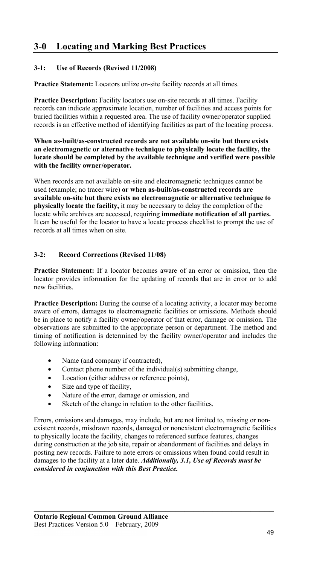# **3-0 Locating and Marking Best Practices**

# **3-1: Use of Records (Revised 11/2008)**

**Practice Statement:** Locators utilize on-site facility records at all times.

Practice Description: Facility locators use on-site records at all times. Facility records can indicate approximate location, number of facilities and access points for buried facilities within a requested area. The use of facility owner/operator supplied records is an effective method of identifying facilities as part of the locating process.

**When as-built/as-constructed records are not available on-site but there exists an electromagnetic or alternative technique to physically locate the facility, the locate should be completed by the available technique and verified were possible with the facility owner/operator.** 

When records are not available on-site and electromagnetic techniques cannot be used (example; no tracer wire) **or when as-built/as-constructed records are available on-site but there exists no electromagnetic or alternative technique to physically locate the facility,** it may be necessary to delay the completion of the locate while archives are accessed, requiring **immediate notification of all parties.**  It can be useful for the locator to have a locate process checklist to prompt the use of records at all times when on site.

# **3-2: Record Corrections (Revised 11/08)**

**Practice Statement:** If a locator becomes aware of an error or omission, then the locator provides information for the updating of records that are in error or to add new facilities.

**Practice Description:** During the course of a locating activity, a locator may become aware of errors, damages to electromagnetic facilities or omissions. Methods should be in place to notify a facility owner/operator of that error, damage or omission. The observations are submitted to the appropriate person or department. The method and timing of notification is determined by the facility owner/operator and includes the following information:

- Name (and company if contracted),
- Contact phone number of the individual(s) submitting change,
- Location (either address or reference points),
- Size and type of facility,
- Nature of the error, damage or omission, and
- Sketch of the change in relation to the other facilities.

Errors, omissions and damages, may include, but are not limited to, missing or nonexistent records, misdrawn records, damaged or nonexistent electromagnetic facilities to physically locate the facility, changes to referenced surface features, changes during construction at the job site, repair or abandonment of facilities and delays in posting new records. Failure to note errors or omissions when found could result in damages to the facility at a later date. *Additionally, 3.1, Use of Records must be considered in conjunction with this Best Practice.*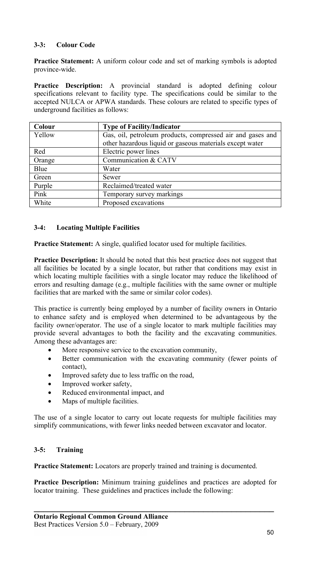# **3-3: Colour Code**

**Practice Statement:** A uniform colour code and set of marking symbols is adopted province-wide.

**Practice Description:** A provincial standard is adopted defining colour specifications relevant to facility type. The specifications could be similar to the accepted NULCA or APWA standards. These colours are related to specific types of underground facilities as follows:

| Colour | <b>Type of Facility/Indicator</b>                          |
|--------|------------------------------------------------------------|
| Yellow | Gas, oil, petroleum products, compressed air and gases and |
|        | other hazardous liquid or gaseous materials except water   |
| Red    | Electric power lines                                       |
| Orange | Communication & CATV                                       |
| Blue   | Water                                                      |
| Green  | Sewer                                                      |
| Purple | Reclaimed/treated water                                    |
| Pink   | Temporary survey markings                                  |
| White  | Proposed excavations                                       |

# **3-4: Locating Multiple Facilities**

**Practice Statement:** A single, qualified locator used for multiple facilities.

**Practice Description:** It should be noted that this best practice does not suggest that all facilities be located by a single locator, but rather that conditions may exist in which locating multiple facilities with a single locator may reduce the likelihood of errors and resulting damage (e.g., multiple facilities with the same owner or multiple facilities that are marked with the same or similar color codes).

This practice is currently being employed by a number of facility owners in Ontario to enhance safety and is employed when determined to be advantageous by the facility owner/operator. The use of a single locator to mark multiple facilities may provide several advantages to both the facility and the excavating communities. Among these advantages are:

- More responsive service to the excavation community,
- Better communication with the excavating community (fewer points of contact),
- Improved safety due to less traffic on the road,
- Improved worker safety,
- Reduced environmental impact, and
- Maps of multiple facilities.

The use of a single locator to carry out locate requests for multiple facilities may simplify communications, with fewer links needed between excavator and locator.

#### **3-5: Training**

**Practice Statement:** Locators are properly trained and training is documented.

**Practice Description:** Minimum training guidelines and practices are adopted for locator training. These guidelines and practices include the following: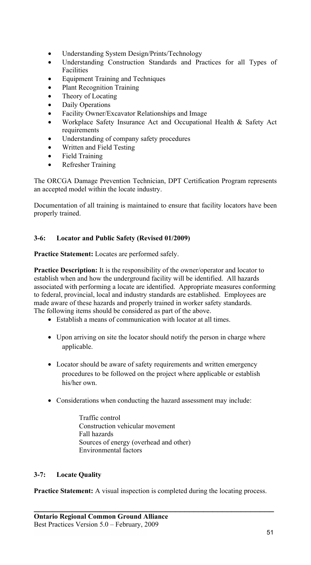- Understanding System Design/Prints/Technology
- Understanding Construction Standards and Practices for all Types of Facilities
- Equipment Training and Techniques
- Plant Recognition Training
- Theory of Locating
- Daily Operations
- Facility Owner/Excavator Relationships and Image
- Workplace Safety Insurance Act and Occupational Health & Safety Act requirements
- Understanding of company safety procedures
- Written and Field Testing
- Field Training
- Refresher Training

The ORCGA Damage Prevention Technician, DPT Certification Program represents an accepted model within the locate industry.

Documentation of all training is maintained to ensure that facility locators have been properly trained.

# **3-6: Locator and Public Safety (Revised 01/2009)**

**Practice Statement:** Locates are performed safely.

**Practice Description:** It is the responsibility of the owner/operator and locator to establish when and how the underground facility will be identified. All hazards associated with performing a locate are identified. Appropriate measures conforming to federal, provincial, local and industry standards are established. Employees are made aware of these hazards and properly trained in worker safety standards. The following items should be considered as part of the above.

- Establish a means of communication with locator at all times.
- Upon arriving on site the locator should notify the person in charge where applicable.
- Locator should be aware of safety requirements and written emergency procedures to be followed on the project where applicable or establish his/her own.
- Considerations when conducting the hazard assessment may include:
	- Traffic control Construction vehicular movement Fall hazards Sources of energy (overhead and other) Environmental factors

# **3-7: Locate Quality**

**Practice Statement:** A visual inspection is completed during the locating process.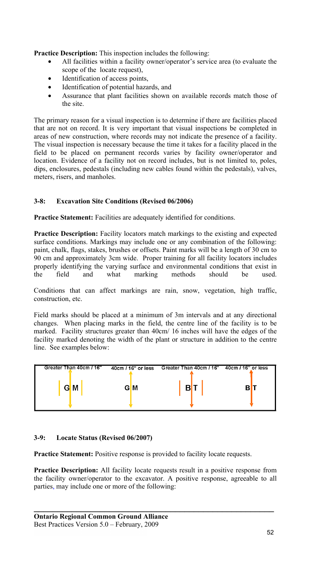**Practice Description:** This inspection includes the following:

- All facilities within a facility owner/operator's service area (to evaluate the scope of the locate request),
- Identification of access points,
- Identification of potential hazards, and
- Assurance that plant facilities shown on available records match those of the site.

The primary reason for a visual inspection is to determine if there are facilities placed that are not on record. It is very important that visual inspections be completed in areas of new construction, where records may not indicate the presence of a facility. The visual inspection is necessary because the time it takes for a facility placed in the field to be placed on permanent records varies by facility owner/operator and location. Evidence of a facility not on record includes, but is not limited to, poles, dips, enclosures, pedestals (including new cables found within the pedestals), valves, meters, risers, and manholes.

# **3-8: Excavation Site Conditions (Revised 06/2006)**

Practice Statement: Facilities are adequately identified for conditions.

**Practice Description:** Facility locators match markings to the existing and expected surface conditions. Markings may include one or any combination of the following: paint, chalk, flags, stakes, brushes or offsets. Paint marks will be a length of 30 cm to 90 cm and approximately 3cm wide. Proper training for all facility locators includes properly identifying the varying surface and environmental conditions that exist in the field and what marking methods should be used.

Conditions that can affect markings are rain, snow, vegetation, high traffic, construction, etc.

Field marks should be placed at a minimum of 3m intervals and at any directional changes. When placing marks in the field, the centre line of the facility is to be marked. Facility structures greater than 40cm/ 16 inches will have the edges of the facility marked denoting the width of the plant or structure in addition to the centre line. See examples below:



# **3-9: Locate Status (Revised 06/2007)**

**Practice Statement:** Positive response is provided to facility locate requests.

**Practice Description:** All facility locate requests result in a positive response from the facility owner/operator to the excavator. A positive response, agreeable to all parties, may include one or more of the following: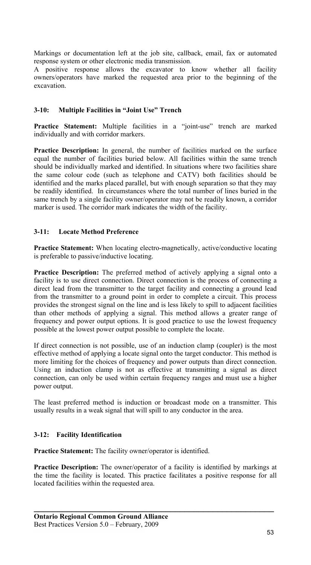Markings or documentation left at the job site, callback, email, fax or automated response system or other electronic media transmission.

A positive response allows the excavator to know whether all facility owners/operators have marked the requested area prior to the beginning of the excavation.

### **3-10: Multiple Facilities in "Joint Use" Trench**

**Practice Statement:** Multiple facilities in a "joint-use" trench are marked individually and with corridor markers.

**Practice Description:** In general, the number of facilities marked on the surface equal the number of facilities buried below. All facilities within the same trench should be individually marked and identified. In situations where two facilities share the same colour code (such as telephone and CATV) both facilities should be identified and the marks placed parallel, but with enough separation so that they may be readily identified. In circumstances where the total number of lines buried in the same trench by a single facility owner/operator may not be readily known, a corridor marker is used. The corridor mark indicates the width of the facility.

### **3-11: Locate Method Preference**

**Practice Statement:** When locating electro-magnetically, active/conductive locating is preferable to passive/inductive locating.

**Practice Description:** The preferred method of actively applying a signal onto a facility is to use direct connection. Direct connection is the process of connecting a direct lead from the transmitter to the target facility and connecting a ground lead from the transmitter to a ground point in order to complete a circuit. This process provides the strongest signal on the line and is less likely to spill to adjacent facilities than other methods of applying a signal. This method allows a greater range of frequency and power output options. It is good practice to use the lowest frequency possible at the lowest power output possible to complete the locate.

If direct connection is not possible, use of an induction clamp (coupler) is the most effective method of applying a locate signal onto the target conductor. This method is more limiting for the choices of frequency and power outputs than direct connection. Using an induction clamp is not as effective at transmitting a signal as direct connection, can only be used within certain frequency ranges and must use a higher power output.

The least preferred method is induction or broadcast mode on a transmitter. This usually results in a weak signal that will spill to any conductor in the area.

#### **3-12: Facility Identification**

**Practice Statement:** The facility owner/operator is identified.

**Practice Description:** The owner/operator of a facility is identified by markings at the time the facility is located. This practice facilitates a positive response for all located facilities within the requested area.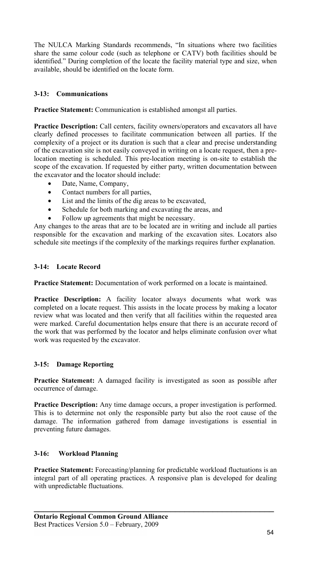The NULCA Marking Standards recommends, "In situations where two facilities share the same colour code (such as telephone or CATV) both facilities should be identified." During completion of the locate the facility material type and size, when available, should be identified on the locate form.

# **3-13: Communications**

**Practice Statement:** Communication is established amongst all parties.

**Practice Description:** Call centers, facility owners/operators and excavators all have clearly defined processes to facilitate communication between all parties. If the complexity of a project or its duration is such that a clear and precise understanding of the excavation site is not easily conveyed in writing on a locate request, then a prelocation meeting is scheduled. This pre-location meeting is on-site to establish the scope of the excavation. If requested by either party, written documentation between the excavator and the locator should include:

- Date, Name, Company,
- Contact numbers for all parties,
- List and the limits of the dig areas to be excavated,
- Schedule for both marking and excavating the areas, and
- Follow up agreements that might be necessary.

Any changes to the areas that are to be located are in writing and include all parties responsible for the excavation and marking of the excavation sites. Locators also schedule site meetings if the complexity of the markings requires further explanation.

# **3-14: Locate Record**

Practice Statement: Documentation of work performed on a locate is maintained.

**Practice Description:** A facility locator always documents what work was completed on a locate request. This assists in the locate process by making a locator review what was located and then verify that all facilities within the requested area were marked. Careful documentation helps ensure that there is an accurate record of the work that was performed by the locator and helps eliminate confusion over what work was requested by the excavator.

# **3-15: Damage Reporting**

**Practice Statement:** A damaged facility is investigated as soon as possible after occurrence of damage.

**Practice Description:** Any time damage occurs, a proper investigation is performed. This is to determine not only the responsible party but also the root cause of the damage. The information gathered from damage investigations is essential in preventing future damages.

# **3-16: Workload Planning**

**Practice Statement:** Forecasting/planning for predictable workload fluctuations is an integral part of all operating practices. A responsive plan is developed for dealing with unpredictable fluctuations.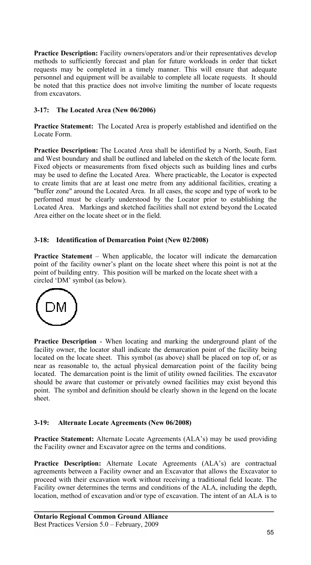Practice Description: Facility owners/operators and/or their representatives develop methods to sufficiently forecast and plan for future workloads in order that ticket requests may be completed in a timely manner. This will ensure that adequate personnel and equipment will be available to complete all locate requests. It should be noted that this practice does not involve limiting the number of locate requests from excavators.

# **3-17: The Located Area (New 06/2006)**

**Practice Statement:** The Located Area is properly established and identified on the Locate Form.

**Practice Description:** The Located Area shall be identified by a North, South, East and West boundary and shall be outlined and labeled on the sketch of the locate form. Fixed objects or measurements from fixed objects such as building lines and curbs may be used to define the Located Area. Where practicable, the Locator is expected to create limits that are at least one metre from any additional facilities, creating a "buffer zone" around the Located Area. In all cases, the scope and type of work to be performed must be clearly understood by the Locator prior to establishing the Located Area. Markings and sketched facilities shall not extend beyond the Located Area either on the locate sheet or in the field.

# **3-18: Identification of Demarcation Point (New 02/2008)**

**Practice Statement** – When applicable, the locator will indicate the demarcation point of the facility owner's plant on the locate sheet where this point is not at the point of building entry. This position will be marked on the locate sheet with a circled 'DM' symbol (as below).



**Practice Description** - When locating and marking the underground plant of the facility owner, the locator shall indicate the demarcation point of the facility being located on the locate sheet. This symbol (as above) shall be placed on top of, or as near as reasonable to, the actual physical demarcation point of the facility being located. The demarcation point is the limit of utility owned facilities. The excavator should be aware that customer or privately owned facilities may exist beyond this point. The symbol and definition should be clearly shown in the legend on the locate sheet.

# **3-19: Alternate Locate Agreements (New 06/2008)**

**Practice Statement:** Alternate Locate Agreements (ALA's) may be used providing the Facility owner and Excavator agree on the terms and conditions.

**Practice Description:** Alternate Locate Agreements (ALA's) are contractual agreements between a Facility owner and an Excavator that allows the Excavator to proceed with their excavation work without receiving a traditional field locate. The Facility owner determines the terms and conditions of the ALA, including the depth, location, method of excavation and/or type of excavation. The intent of an ALA is to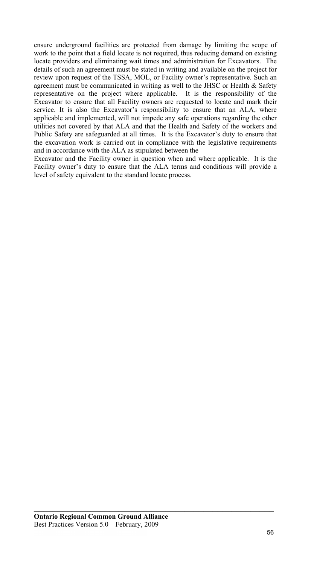ensure underground facilities are protected from damage by limiting the scope of work to the point that a field locate is not required, thus reducing demand on existing locate providers and eliminating wait times and administration for Excavators. The details of such an agreement must be stated in writing and available on the project for review upon request of the TSSA, MOL, or Facility owner's representative. Such an agreement must be communicated in writing as well to the JHSC or Health & Safety representative on the project where applicable. It is the responsibility of the Excavator to ensure that all Facility owners are requested to locate and mark their service. It is also the Excavator's responsibility to ensure that an ALA, where applicable and implemented, will not impede any safe operations regarding the other utilities not covered by that ALA and that the Health and Safety of the workers and Public Safety are safeguarded at all times. It is the Excavator's duty to ensure that the excavation work is carried out in compliance with the legislative requirements and in accordance with the ALA as stipulated between the

Excavator and the Facility owner in question when and where applicable. It is the Facility owner's duty to ensure that the ALA terms and conditions will provide a level of safety equivalent to the standard locate process.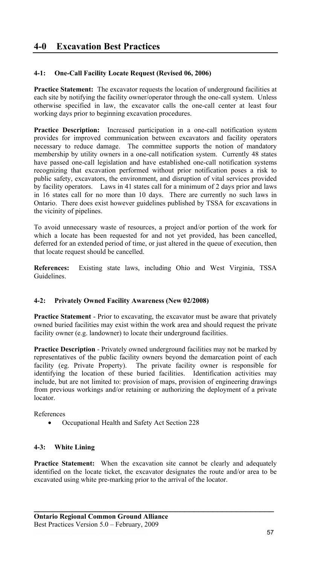# **4-1: One-Call Facility Locate Request (Revised 06, 2006)**

Practice Statement: The excavator requests the location of underground facilities at each site by notifying the facility owner/operator through the one-call system. Unless otherwise specified in law, the excavator calls the one-call center at least four working days prior to beginning excavation procedures.

**Practice Description:** Increased participation in a one-call notification system provides for improved communication between excavators and facility operators necessary to reduce damage. The committee supports the notion of mandatory membership by utility owners in a one-call notification system. Currently 48 states have passed one-call legislation and have established one-call notification systems recognizing that excavation performed without prior notification poses a risk to public safety, excavators, the environment, and disruption of vital services provided by facility operators. Laws in 41 states call for a minimum of 2 days prior and laws in 16 states call for no more than 10 days. There are currently no such laws in Ontario. There does exist however guidelines published by TSSA for excavations in the vicinity of pipelines.

To avoid unnecessary waste of resources, a project and/or portion of the work for which a locate has been requested for and not yet provided, has been cancelled, deferred for an extended period of time, or just altered in the queue of execution, then that locate request should be cancelled.

**References:** Existing state laws, including Ohio and West Virginia, TSSA Guidelines.

#### **4-2: Privately Owned Facility Awareness (New 02/2008)**

**Practice Statement** - Prior to excavating, the excavator must be aware that privately owned buried facilities may exist within the work area and should request the private facility owner (e.g. landowner) to locate their underground facilities.

**Practice Description** - Privately owned underground facilities may not be marked by representatives of the public facility owners beyond the demarcation point of each facility (eg. Private Property). The private facility owner is responsible for identifying the location of these buried facilities. Identification activities may identifying the location of these buried facilities. include, but are not limited to: provision of maps, provision of engineering drawings from previous workings and/or retaining or authorizing the deployment of a private locator.

References

• Occupational Health and Safety Act Section 228

#### **4-3: White Lining**

**Practice Statement:** When the excavation site cannot be clearly and adequately identified on the locate ticket, the excavator designates the route and/or area to be excavated using white pre-marking prior to the arrival of the locator.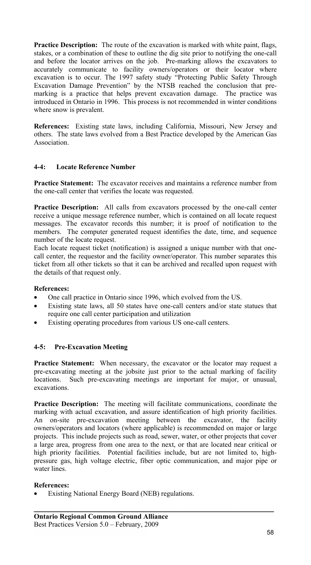**Practice Description:** The route of the excavation is marked with white paint, flags, stakes, or a combination of these to outline the dig site prior to notifying the one-call and before the locator arrives on the job. Pre-marking allows the excavators to accurately communicate to facility owners/operators or their locator where excavation is to occur. The 1997 safety study "Protecting Public Safety Through Excavation Damage Prevention" by the NTSB reached the conclusion that premarking is a practice that helps prevent excavation damage. The practice was introduced in Ontario in 1996. This process is not recommended in winter conditions where snow is prevalent.

**References:** Existing state laws, including California, Missouri, New Jersey and others. The state laws evolved from a Best Practice developed by the American Gas Association.

# **4-4: Locate Reference Number**

**Practice Statement:** The excavator receives and maintains a reference number from the one-call center that verifies the locate was requested.

**Practice Description:** All calls from excavators processed by the one-call center receive a unique message reference number, which is contained on all locate request messages. The excavator records this number; it is proof of notification to the members. The computer generated request identifies the date, time, and sequence number of the locate request.

Each locate request ticket (notification) is assigned a unique number with that onecall center, the requestor and the facility owner/operator. This number separates this ticket from all other tickets so that it can be archived and recalled upon request with the details of that request only.

#### **References:**

- One call practice in Ontario since 1996, which evolved from the US.
- Existing state laws, all 50 states have one-call centers and/or state statues that require one call center participation and utilization
- Existing operating procedures from various US one-call centers.

#### **4-5: Pre-Excavation Meeting**

**Practice Statement:** When necessary, the excavator or the locator may request a pre-excavating meeting at the jobsite just prior to the actual marking of facility locations. Such pre-excavating meetings are important for major, or unusual, excavations.

**Practice Description:** The meeting will facilitate communications, coordinate the marking with actual excavation, and assure identification of high priority facilities. An on-site pre-excavation meeting between the excavator, the facility owners/operators and locators (where applicable) is recommended on major or large projects. This include projects such as road, sewer, water, or other projects that cover a large area, progress from one area to the next, or that are located near critical or high priority facilities. Potential facilities include, but are not limited to, highpressure gas, high voltage electric, fiber optic communication, and major pipe or water lines.

**\_\_\_\_\_\_\_\_\_\_\_\_\_\_\_\_\_\_\_\_\_\_\_\_\_\_\_\_\_\_\_\_\_\_\_\_\_\_\_\_\_\_\_\_\_\_\_\_\_\_\_** 

#### **References:**

• Existing National Energy Board (NEB) regulations.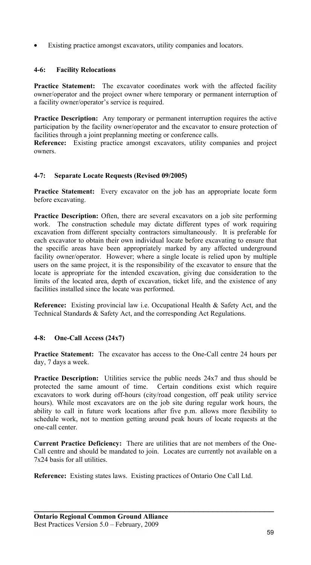Existing practice amongst excavators, utility companies and locators.

# **4-6: Facility Relocations**

**Practice Statement:** The excavator coordinates work with the affected facility owner/operator and the project owner where temporary or permanent interruption of a facility owner/operator's service is required.

**Practice Description:** Any temporary or permanent interruption requires the active participation by the facility owner/operator and the excavator to ensure protection of facilities through a joint preplanning meeting or conference calls.

**Reference:** Existing practice amongst excavators, utility companies and project owners.

# **4-7: Separate Locate Requests (Revised 09/2005)**

**Practice Statement:** Every excavator on the job has an appropriate locate form before excavating.

**Practice Description:** Often, there are several excavators on a job site performing work. The construction schedule may dictate different types of work requiring excavation from different specialty contractors simultaneously. It is preferable for each excavator to obtain their own individual locate before excavating to ensure that the specific areas have been appropriately marked by any affected underground facility owner/operator. However; where a single locate is relied upon by multiple users on the same project, it is the responsibility of the excavator to ensure that the locate is appropriate for the intended excavation, giving due consideration to the limits of the located area, depth of excavation, ticket life, and the existence of any facilities installed since the locate was performed.

**Reference:** Existing provincial law i.e. Occupational Health & Safety Act, and the Technical Standards & Safety Act, and the corresponding Act Regulations.

# **4-8: One-Call Access (24x7)**

**Practice Statement:** The excavator has access to the One-Call centre 24 hours per day, 7 days a week.

**Practice Description:** Utilities service the public needs 24x7 and thus should be protected the same amount of time. Certain conditions exist which require excavators to work during off-hours (city/road congestion, off peak utility service hours). While most excavators are on the job site during regular work hours, the ability to call in future work locations after five p.m. allows more flexibility to schedule work, not to mention getting around peak hours of locate requests at the one-call center.

**Current Practice Deficiency:** There are utilities that are not members of the One-Call centre and should be mandated to join. Locates are currently not available on a 7x24 basis for all utilities.

**\_\_\_\_\_\_\_\_\_\_\_\_\_\_\_\_\_\_\_\_\_\_\_\_\_\_\_\_\_\_\_\_\_\_\_\_\_\_\_\_\_\_\_\_\_\_\_\_\_\_\_** 

**Reference:** Existing states laws. Existing practices of Ontario One Call Ltd.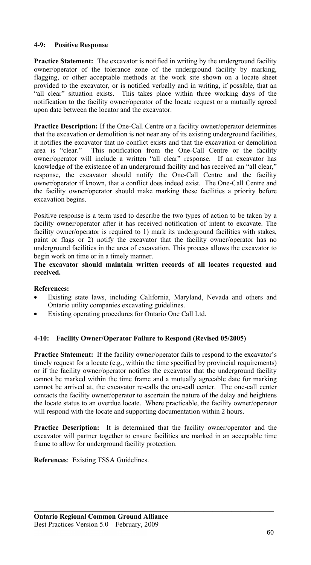### **4-9: Positive Response**

**Practice Statement:** The excavator is notified in writing by the underground facility owner/operator of the tolerance zone of the underground facility by marking, flagging, or other acceptable methods at the work site shown on a locate sheet provided to the excavator, or is notified verbally and in writing, if possible, that an all clear" situation exists. This takes place within three working days of the notification to the facility owner/operator of the locate request or a mutually agreed upon date between the locator and the excavator.

**Practice Description:** If the One-Call Centre or a facility owner/operator determines that the excavation or demolition is not near any of its existing underground facilities, it notifies the excavator that no conflict exists and that the excavation or demolition area is "clear." This notification from the One-Call Centre or the facility owner/operator will include a written "all clear" response. If an excavator has knowledge of the existence of an underground facility and has received an "all clear," response, the excavator should notify the One-Call Centre and the facility owner/operator if known, that a conflict does indeed exist. The One-Call Centre and the facility owner/operator should make marking these facilities a priority before excavation begins.

Positive response is a term used to describe the two types of action to be taken by a facility owner/operator after it has received notification of intent to excavate. The facility owner/operator is required to 1) mark its underground facilities with stakes, paint or flags or 2) notify the excavator that the facility owner/operator has no underground facilities in the area of excavation. This process allows the excavator to begin work on time or in a timely manner.

#### **The excavator should maintain written records of all locates requested and received.**

# **References:**

- Existing state laws, including California, Maryland, Nevada and others and Ontario utility companies excavating guidelines.
- Existing operating procedures for Ontario One Call Ltd.

#### **4-10: Facility Owner/Operator Failure to Respond (Revised 05/2005)**

**Practice Statement:** If the facility owner/operator fails to respond to the excavator's timely request for a locate (e.g., within the time specified by provincial requirements) or if the facility owner/operator notifies the excavator that the underground facility cannot be marked within the time frame and a mutually agreeable date for marking cannot be arrived at, the excavator re-calls the one-call center. The one-call center contacts the facility owner/operator to ascertain the nature of the delay and heightens the locate status to an overdue locate. Where practicable, the facility owner/operator will respond with the locate and supporting documentation within 2 hours.

**Practice Description:** It is determined that the facility owner/operator and the excavator will partner together to ensure facilities are marked in an acceptable time frame to allow for underground facility protection.

**\_\_\_\_\_\_\_\_\_\_\_\_\_\_\_\_\_\_\_\_\_\_\_\_\_\_\_\_\_\_\_\_\_\_\_\_\_\_\_\_\_\_\_\_\_\_\_\_\_\_\_** 

**References**: Existing TSSA Guidelines.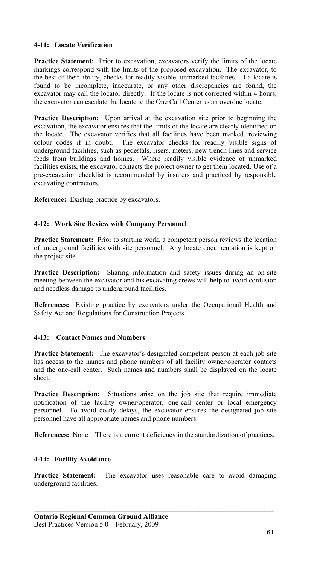### **4-11: Locate Verification**

**Practice Statement:** Prior to excavation, excavators verify the limits of the locate markings correspond with the limits of the proposed excavation. The excavator, to the best of their ability, checks for readily visible, unmarked facilities. If a locate is found to be incomplete, inaccurate, or any other discrepancies are found, the excavator may call the locator directly. If the locate is not corrected within 4 hours, the excavator can escalate the locate to the One Call Center as an overdue locate.

**Practice Description:** Upon arrival at the excavation site prior to beginning the excavation, the excavator ensures that the limits of the locate are clearly identified on the locate. The excavator verifies that all facilities have been marked, reviewing colour codes if in doubt. The excavator checks for readily visible signs of underground facilities, such as pedestals, risers, meters, new trench lines and service feeds from buildings and homes. Where readily visible evidence of unmarked facilities exists, the excavator contacts the project owner to get them located. Use of a pre-excavation checklist is recommended by insurers and practiced by responsible excavating contractors.

**Reference:** Existing practice by excavators.

### **4-12: Work Site Review with Company Personnel**

**Practice Statement:** Prior to starting work, a competent person reviews the location of underground facilities with site personnel. Any locate documentation is kept on the project site.

**Practice Description:** Sharing information and safety issues during an on-site meeting between the excavator and his excavating crews will help to avoid confusion and needless damage to underground facilities.

**References:** Existing practice by excavators under the Occupational Health and Safety Act and Regulations for Construction Projects.

#### **4-13: Contact Names and Numbers**

**Practice Statement:** The excavator's designated competent person at each job site has access to the names and phone numbers of all facility owner/operator contacts and the one-call center. Such names and numbers shall be displayed on the locate sheet.

**Practice Description:** Situations arise on the job site that require immediate notification of the facility owner/operator, one-call center or local emergency personnel. To avoid costly delays, the excavator ensures the designated job site personnel have all appropriate names and phone numbers.

**References:** None – There is a current deficiency in the standardization of practices.

#### **4-14: Facility Avoidance**

**Practice Statement:** The excavator uses reasonable care to avoid damaging underground facilities.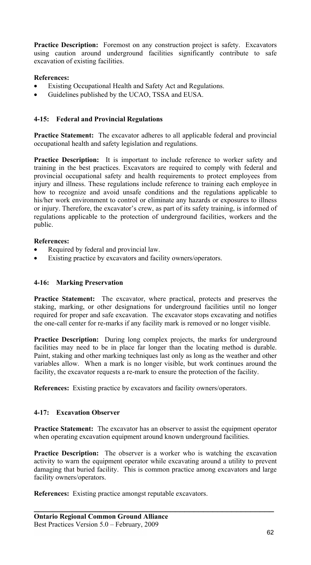**Practice Description:** Foremost on any construction project is safety. Excavators using caution around underground facilities significantly contribute to safe excavation of existing facilities.

### **References:**

- Existing Occupational Health and Safety Act and Regulations.
- Guidelines published by the UCAO, TSSA and EUSA.

#### **4-15: Federal and Provincial Regulations**

**Practice Statement:** The excavator adheres to all applicable federal and provincial occupational health and safety legislation and regulations.

**Practice Description:** It is important to include reference to worker safety and training in the best practices. Excavators are required to comply with federal and provincial occupational safety and health requirements to protect employees from injury and illness. These regulations include reference to training each employee in how to recognize and avoid unsafe conditions and the regulations applicable to his/her work environment to control or eliminate any hazards or exposures to illness or injury. Therefore, the excavator's crew, as part of its safety training, is informed of regulations applicable to the protection of underground facilities, workers and the public.

### **References:**

- Required by federal and provincial law.
- Existing practice by excavators and facility owners/operators.

#### **4-16: Marking Preservation**

**Practice Statement:** The excavator, where practical, protects and preserves the staking, marking, or other designations for underground facilities until no longer required for proper and safe excavation. The excavator stops excavating and notifies the one-call center for re-marks if any facility mark is removed or no longer visible.

**Practice Description:** During long complex projects, the marks for underground facilities may need to be in place far longer than the locating method is durable. Paint, staking and other marking techniques last only as long as the weather and other variables allow. When a mark is no longer visible, but work continues around the facility, the excavator requests a re-mark to ensure the protection of the facility.

**References:** Existing practice by excavators and facility owners/operators.

#### **4-17: Excavation Observer**

**Practice Statement:** The excavator has an observer to assist the equipment operator when operating excavation equipment around known underground facilities.

**Practice Description:** The observer is a worker who is watching the excavation activity to warn the equipment operator while excavating around a utility to prevent damaging that buried facility. This is common practice among excavators and large facility owners/operators.

**\_\_\_\_\_\_\_\_\_\_\_\_\_\_\_\_\_\_\_\_\_\_\_\_\_\_\_\_\_\_\_\_\_\_\_\_\_\_\_\_\_\_\_\_\_\_\_\_\_\_\_** 

**References:** Existing practice amongst reputable excavators.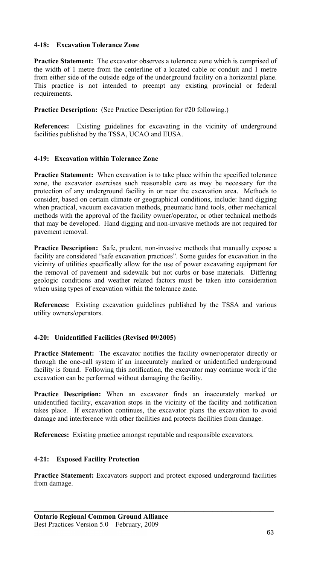### **4-18: Excavation Tolerance Zone**

**Practice Statement:** The excavator observes a tolerance zone which is comprised of the width of 1 metre from the centerline of a located cable or conduit and 1 metre from either side of the outside edge of the underground facility on a horizontal plane. This practice is not intended to preempt any existing provincial or federal requirements.

**Practice Description:** (See Practice Description for #20 following.)

**References:** Existing guidelines for excavating in the vicinity of underground facilities published by the TSSA, UCAO and EUSA.

### **4-19: Excavation within Tolerance Zone**

**Practice Statement:** When excavation is to take place within the specified tolerance zone, the excavator exercises such reasonable care as may be necessary for the protection of any underground facility in or near the excavation area. Methods to consider, based on certain climate or geographical conditions, include: hand digging when practical, vacuum excavation methods, pneumatic hand tools, other mechanical methods with the approval of the facility owner/operator, or other technical methods that may be developed. Hand digging and non-invasive methods are not required for pavement removal.

**Practice Description:** Safe, prudent, non-invasive methods that manually expose a facility are considered "safe excavation practices". Some guides for excavation in the vicinity of utilities specifically allow for the use of power excavating equipment for the removal of pavement and sidewalk but not curbs or base materials. Differing geologic conditions and weather related factors must be taken into consideration when using types of excavation within the tolerance zone.

**References:** Existing excavation guidelines published by the TSSA and various utility owners/operators.

# **4-20: Unidentified Facilities (Revised 09/2005)**

**Practice Statement:** The excavator notifies the facility owner/operator directly or through the one-call system if an inaccurately marked or unidentified underground facility is found. Following this notification, the excavator may continue work if the excavation can be performed without damaging the facility.

**Practice Description:** When an excavator finds an inaccurately marked or unidentified facility, excavation stops in the vicinity of the facility and notification takes place. If excavation continues, the excavator plans the excavation to avoid damage and interference with other facilities and protects facilities from damage.

**References:** Existing practice amongst reputable and responsible excavators.

#### **4-21: Exposed Facility Protection**

**Practice Statement:** Excavators support and protect exposed underground facilities from damage.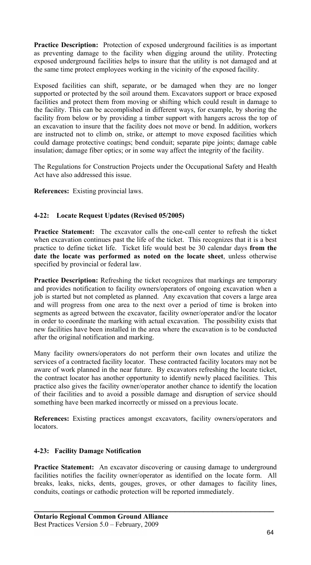**Practice Description:** Protection of exposed underground facilities is as important as preventing damage to the facility when digging around the utility. Protecting exposed underground facilities helps to insure that the utility is not damaged and at the same time protect employees working in the vicinity of the exposed facility.

Exposed facilities can shift, separate, or be damaged when they are no longer supported or protected by the soil around them. Excavators support or brace exposed facilities and protect them from moving or shifting which could result in damage to the facility. This can be accomplished in different ways, for example, by shoring the facility from below or by providing a timber support with hangers across the top of an excavation to insure that the facility does not move or bend. In addition, workers are instructed not to climb on, strike, or attempt to move exposed facilities which could damage protective coatings; bend conduit; separate pipe joints; damage cable insulation; damage fiber optics; or in some way affect the integrity of the facility.

The Regulations for Construction Projects under the Occupational Safety and Health Act have also addressed this issue.

**References:** Existing provincial laws.

# **4-22: Locate Request Updates (Revised 05/2005)**

**Practice Statement:** The excavator calls the one-call center to refresh the ticket when excavation continues past the life of the ticket. This recognizes that it is a best practice to define ticket life. Ticket life would best be 30 calendar days **from the date the locate was performed as noted on the locate sheet**, unless otherwise specified by provincial or federal law.

**Practice Description:** Refreshing the ticket recognizes that markings are temporary and provides notification to facility owners/operators of ongoing excavation when a job is started but not completed as planned. Any excavation that covers a large area and will progress from one area to the next over a period of time is broken into segments as agreed between the excavator, facility owner/operator and/or the locator in order to coordinate the marking with actual excavation. The possibility exists that new facilities have been installed in the area where the excavation is to be conducted after the original notification and marking.

Many facility owners/operators do not perform their own locates and utilize the services of a contracted facility locator. These contracted facility locators may not be aware of work planned in the near future. By excavators refreshing the locate ticket, the contract locator has another opportunity to identify newly placed facilities. This practice also gives the facility owner/operator another chance to identify the location of their facilities and to avoid a possible damage and disruption of service should something have been marked incorrectly or missed on a previous locate.

**References:** Existing practices amongst excavators, facility owners/operators and locators.

#### **4-23: Facility Damage Notification**

**Practice Statement:** An excavator discovering or causing damage to underground facilities notifies the facility owner/operator as identified on the locate form. All breaks, leaks, nicks, dents, gouges, groves, or other damages to facility lines, conduits, coatings or cathodic protection will be reported immediately.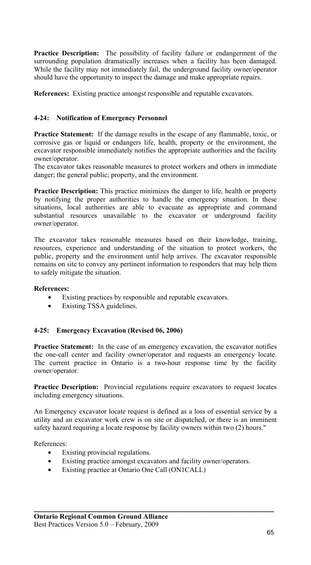**Practice Description:** The possibility of facility failure or endangerment of the surrounding population dramatically increases when a facility has been damaged. While the facility may not immediately fail, the underground facility owner/operator should have the opportunity to inspect the damage and make appropriate repairs.

**References:** Existing practice amongst responsible and reputable excavators.

### **4-24: Notification of Emergency Personnel**

**Practice Statement:** If the damage results in the escape of any flammable, toxic, or corrosive gas or liquid or endangers life, health, property or the environment, the excavator responsible immediately notifies the appropriate authorities and the facility owner/operator.

The excavator takes reasonable measures to protect workers and others in immediate danger; the general public; property, and the environment.

**Practice Description:** This practice minimizes the danger to life, health or property by notifying the proper authorities to handle the emergency situation. In these situations, local authorities are able to evacuate as appropriate and command substantial resources unavailable to the excavator or underground facility owner/operator.

The excavator takes reasonable measures based on their knowledge, training, resources, experience and understanding of the situation to protect workers, the public, property and the environment until help arrives. The excavator responsible remains on site to convey any pertinent information to responders that may help them to safely mitigate the situation.

#### **References:**

- Existing practices by responsible and reputable excavators.
- Existing TSSA guidelines.

#### **4-25: Emergency Excavation (Revised 06, 2006)**

**Practice Statement:** In the case of an emergency excavation, the excavator notifies the one-call center and facility owner/operator and requests an emergency locate. The current practice in Ontario is a two-hour response time by the facility owner/operator.

**Practice Description:** Provincial regulations require excavators to request locates including emergency situations.

An Emergency excavator locate request is defined as a loss of essential service by a utility and an excavator work crew is on site or dispatched, or there is an imminent safety hazard requiring a locate response by facility owners within two (2) hours."

References:

- Existing provincial regulations.
- Existing practice amongst excavators and facility owner/operators.

**\_\_\_\_\_\_\_\_\_\_\_\_\_\_\_\_\_\_\_\_\_\_\_\_\_\_\_\_\_\_\_\_\_\_\_\_\_\_\_\_\_\_\_\_\_\_\_\_\_\_\_** 

Existing practice at Ontario One Call (ON1CALL)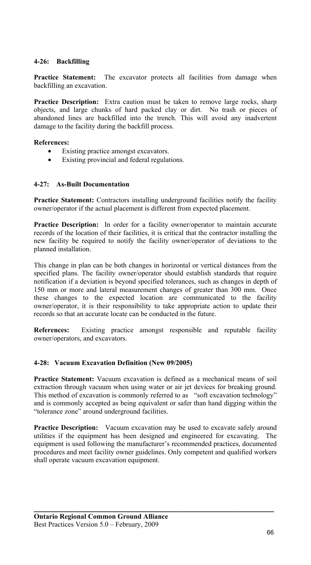### **4-26: Backfilling**

**Practice Statement:** The excavator protects all facilities from damage when backfilling an excavation.

**Practice Description:** Extra caution must be taken to remove large rocks, sharp objects, and large chunks of hard packed clay or dirt. No trash or pieces of abandoned lines are backfilled into the trench. This will avoid any inadvertent damage to the facility during the backfill process.

#### **References:**

- Existing practice amongst excavators.
- Existing provincial and federal regulations.

#### **4-27: As-Built Documentation**

**Practice Statement:** Contractors installing underground facilities notify the facility owner/operator if the actual placement is different from expected placement.

**Practice Description:** In order for a facility owner/operator to maintain accurate records of the location of their facilities, it is critical that the contractor installing the new facility be required to notify the facility owner/operator of deviations to the planned installation.

This change in plan can be both changes in horizontal or vertical distances from the specified plans. The facility owner/operator should establish standards that require notification if a deviation is beyond specified tolerances, such as changes in depth of 150 mm or more and lateral measurement changes of greater than 300 mm. Once these changes to the expected location are communicated to the facility owner/operator, it is their responsibility to take appropriate action to update their records so that an accurate locate can be conducted in the future.

**References:** Existing practice amongst responsible and reputable facility owner/operators, and excavators.

#### **4-28: Vacuum Excavation Definition (New 09/2005)**

**Practice Statement:** Vacuum excavation is defined as a mechanical means of soil extraction through vacuum when using water or air jet devices for breaking ground. This method of excavation is commonly referred to as "soft excavation technology" and is commonly accepted as being equivalent or safer than hand digging within the "tolerance zone" around underground facilities.

**Practice Description:** Vacuum excavation may be used to excavate safely around utilities if the equipment has been designed and engineered for excavating. The equipment is used following the manufacturer's recommended practices, documented procedures and meet facility owner guidelines. Only competent and qualified workers shall operate vacuum excavation equipment.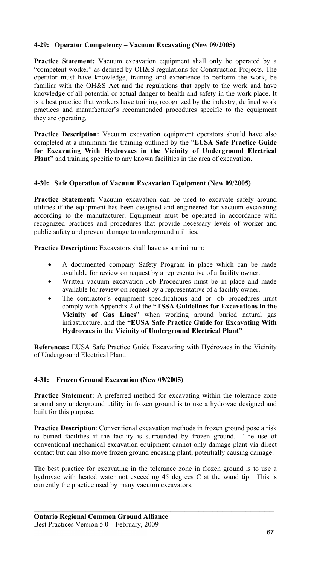### **4-29: Operator Competency – Vacuum Excavating (New 09/2005)**

**Practice Statement:** Vacuum excavation equipment shall only be operated by a "competent worker" as defined by OH&S regulations for Construction Projects. The operator must have knowledge, training and experience to perform the work, be familiar with the OH&S Act and the regulations that apply to the work and have knowledge of all potential or actual danger to health and safety in the work place. It is a best practice that workers have training recognized by the industry, defined work practices and manufacturer's recommended procedures specific to the equipment they are operating.

**Practice Description:** Vacuum excavation equipment operators should have also completed at a minimum the training outlined by the "**EUSA Safe Practice Guide for Excavating With Hydrovacs in the Vicinity of Underground Electrical Plant"** and training specific to any known facilities in the area of excavation.

### **4-30: Safe Operation of Vacuum Excavation Equipment (New 09/2005)**

**Practice Statement:** Vacuum excavation can be used to excavate safely around utilities if the equipment has been designed and engineered for vacuum excavating according to the manufacturer. Equipment must be operated in accordance with recognized practices and procedures that provide necessary levels of worker and public safety and prevent damage to underground utilities.

**Practice Description:** Excavators shall have as a minimum:

- A documented company Safety Program in place which can be made available for review on request by a representative of a facility owner.
- Written vacuum excavation Job Procedures must be in place and made available for review on request by a representative of a facility owner.
- The contractor's equipment specifications and or job procedures must comply with Appendix 2 of the **"TSSA Guidelines for Excavations in the Vicinity of Gas Lines**" when working around buried natural gas infrastructure, and the **"EUSA Safe Practice Guide for Excavating With Hydrovacs in the Vicinity of Underground Electrical Plant"**

**References:** EUSA Safe Practice Guide Excavating with Hydrovacs in the Vicinity of Underground Electrical Plant.

#### **4-31: Frozen Ground Excavation (New 09/2005)**

**Practice Statement:** A preferred method for excavating within the tolerance zone around any underground utility in frozen ground is to use a hydrovac designed and built for this purpose.

**Practice Description**: Conventional excavation methods in frozen ground pose a risk to buried facilities if the facility is surrounded by frozen ground. The use of conventional mechanical excavation equipment cannot only damage plant via direct contact but can also move frozen ground encasing plant; potentially causing damage.

The best practice for excavating in the tolerance zone in frozen ground is to use a hydrovac with heated water not exceeding 45 degrees C at the wand tip. This is currently the practice used by many vacuum excavators.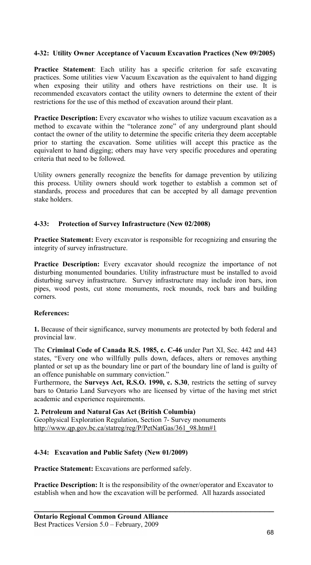### **4-32: Utility Owner Acceptance of Vacuum Excavation Practices (New 09/2005)**

**Practice Statement**: Each utility has a specific criterion for safe excavating practices. Some utilities view Vacuum Excavation as the equivalent to hand digging when exposing their utility and others have restrictions on their use. It is recommended excavators contact the utility owners to determine the extent of their restrictions for the use of this method of excavation around their plant.

**Practice Description:** Every excavator who wishes to utilize vacuum excavation as a method to excavate within the "tolerance zone" of any underground plant should contact the owner of the utility to determine the specific criteria they deem acceptable prior to starting the excavation. Some utilities will accept this practice as the equivalent to hand digging; others may have very specific procedures and operating criteria that need to be followed.

Utility owners generally recognize the benefits for damage prevention by utilizing this process. Utility owners should work together to establish a common set of standards, process and procedures that can be accepted by all damage prevention stake holders.

#### **4-33: Protection of Survey Infrastructure (New 02/2008)**

**Practice Statement:** Every excavator is responsible for recognizing and ensuring the integrity of survey infrastructure.

**Practice Description:** Every excavator should recognize the importance of not disturbing monumented boundaries. Utility infrastructure must be installed to avoid disturbing survey infrastructure. Survey infrastructure may include iron bars, iron pipes, wood posts, cut stone monuments, rock mounds, rock bars and building corners.

#### **References:**

**1.** Because of their significance, survey monuments are protected by both federal and provincial law.

The **Criminal Code of Canada R.S. 1985, c. C-46** under Part XI, Sec. 442 and 443 states, "Every one who willfully pulls down, defaces, alters or removes anything planted or set up as the boundary line or part of the boundary line of land is guilty of an offence punishable on summary conviction."

Furthermore, the **Surveys Act, R.S.O. 1990, c. S.30**, restricts the setting of survey bars to Ontario Land Surveyors who are licensed by virtue of the having met strict academic and experience requirements.

**2. Petroleum and Natural Gas Act (British Columbia)**  Geophysical Exploration Regulation, Section 7- Survey monuments http://www.qp.gov.bc.ca/statreg/reg/P/PetNatGas/361\_98.htm#1

# **4-34: Excavation and Public Safety (New 01/2009)**

**Practice Statement:** Excavations are performed safely.

**Practice Description:** It is the responsibility of the owner/operator and Excavator to establish when and how the excavation will be performed. All hazards associated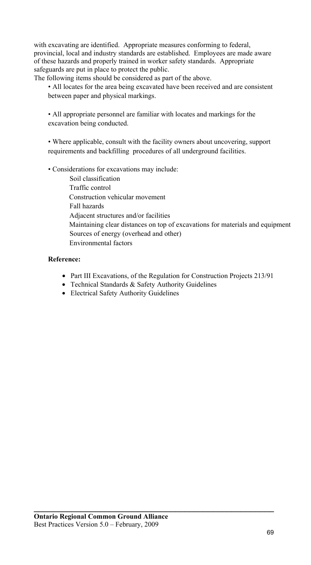with excavating are identified. Appropriate measures conforming to federal, provincial, local and industry standards are established. Employees are made aware of these hazards and properly trained in worker safety standards. Appropriate safeguards are put in place to protect the public.

The following items should be considered as part of the above.

 • All locates for the area being excavated have been received and are consistent between paper and physical markings.

 • All appropriate personnel are familiar with locates and markings for the excavation being conducted.

 • Where applicable, consult with the facility owners about uncovering, support requirements and backfilling procedures of all underground facilities.

• Considerations for excavations may include:

 Soil classification Traffic control Construction vehicular movement Fall hazards Adjacent structures and/or facilities Maintaining clear distances on top of excavations for materials and equipment Sources of energy (overhead and other) Environmental factors

#### **Reference:**

- Part III Excavations, of the Regulation for Construction Projects 213/91
- Technical Standards & Safety Authority Guidelines
- Electrical Safety Authority Guidelines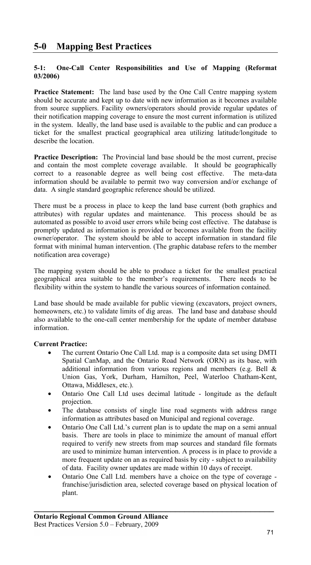# **5-1: One-Call Center Responsibilities and Use of Mapping (Reformat 03/2006)**

**Practice Statement:** The land base used by the One Call Centre mapping system should be accurate and kept up to date with new information as it becomes available from source suppliers. Facility owners/operators should provide regular updates of their notification mapping coverage to ensure the most current information is utilized in the system. Ideally, the land base used is available to the public and can produce a ticket for the smallest practical geographical area utilizing latitude/longitude to describe the location.

**Practice Description:** The Provincial land base should be the most current, precise and contain the most complete coverage available. It should be geographically correct to a reasonable degree as well being cost effective. The meta-data information should be available to permit two way conversion and/or exchange of data. A single standard geographic reference should be utilized.

There must be a process in place to keep the land base current (both graphics and attributes) with regular updates and maintenance. This process should be as automated as possible to avoid user errors while being cost effective. The database is promptly updated as information is provided or becomes available from the facility owner/operator. The system should be able to accept information in standard file format with minimal human intervention. (The graphic database refers to the member notification area coverage)

The mapping system should be able to produce a ticket for the smallest practical geographical area suitable to the member's requirements. There needs to be flexibility within the system to handle the various sources of information contained.

Land base should be made available for public viewing (excavators, project owners, homeowners, etc.) to validate limits of dig areas. The land base and database should also available to the one-call center membership for the update of member database information.

# **Current Practice:**

- The current Ontario One Call Ltd. map is a composite data set using DMTI Spatial CanMap, and the Ontario Road Network (ORN) as its base, with additional information from various regions and members (e.g. Bell  $\&$ Union Gas, York, Durham, Hamilton, Peel, Waterloo Chatham-Kent, Ottawa, Middlesex, etc.).
- Ontario One Call Ltd uses decimal latitude longitude as the default projection.
- The database consists of single line road segments with address range information as attributes based on Municipal and regional coverage.
- Ontario One Call Ltd.'s current plan is to update the map on a semi annual basis. There are tools in place to minimize the amount of manual effort required to verify new streets from map sources and standard file formats are used to minimize human intervention. A process is in place to provide a more frequent update on an as required basis by city - subject to availability of data. Facility owner updates are made within 10 days of receipt.
- Ontario One Call Ltd. members have a choice on the type of coverage franchise/jurisdiction area, selected coverage based on physical location of plant.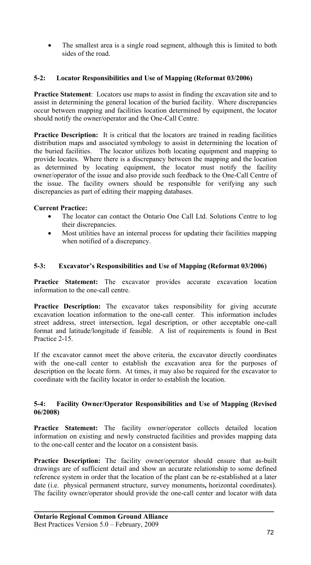The smallest area is a single road segment, although this is limited to both sides of the road.

### **5-2: Locator Responsibilities and Use of Mapping (Reformat 03/2006)**

**Practice Statement**: Locators use maps to assist in finding the excavation site and to assist in determining the general location of the buried facility. Where discrepancies occur between mapping and facilities location determined by equipment, the locator should notify the owner/operator and the One-Call Centre.

Practice Description: It is critical that the locators are trained in reading facilities distribution maps and associated symbology to assist in determining the location of the buried facilities.The locator utilizes both locating equipment and mapping to provide locates. Where there is a discrepancy between the mapping and the location as determined by locating equipment, the locator must notify the facility owner/operator of the issue and also provide such feedback to the One-Call Centre of the issue. The facility owners should be responsible for verifying any such discrepancies as part of editing their mapping databases.

### **Current Practice:**

- The locator can contact the Ontario One Call Ltd. Solutions Centre to log their discrepancies.
- Most utilities have an internal process for updating their facilities mapping when notified of a discrepancy.

### **5-3: Excavator's Responsibilities and Use of Mapping (Reformat 03/2006)**

**Practice Statement:** The excavator provides accurate excavation location information to the one-call centre.

**Practice Description:** The excavator takes responsibility for giving accurate excavation location information to the one-call center. This information includes street address, street intersection, legal description, or other acceptable one-call format and latitude/longitude if feasible. A list of requirements is found in Best Practice 2-15.

If the excavator cannot meet the above criteria, the excavator directly coordinates with the one-call center to establish the excavation area for the purposes of description on the locate form. At times, it may also be required for the excavator to coordinate with the facility locator in order to establish the location.

#### **5-4: Facility Owner/Operator Responsibilities and Use of Mapping (Revised 06/2008)**

Practice Statement: The facility owner/operator collects detailed location information on existing and newly constructed facilities and provides mapping data to the one-call center and the locator on a consistent basis.

**Practice Description:** The facility owner/operator should ensure that as-built drawings are of sufficient detail and show an accurate relationship to some defined reference system in order that the location of the plant can be re-established at a later date (i.e. physical permanent structure, survey monuments**,** horizontal coordinates). The facility owner/operator should provide the one-call center and locator with data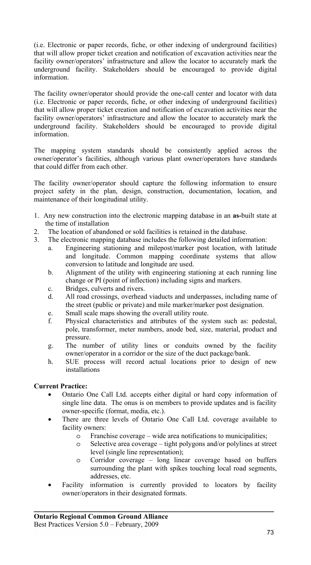(i.e. Electronic or paper records, fiche, or other indexing of underground facilities) that will allow proper ticket creation and notification of excavation activities near the facility owner/operators' infrastructure and allow the locator to accurately mark the underground facility. Stakeholders should be encouraged to provide digital information.

The facility owner/operator should provide the one-call center and locator with data (i.e. Electronic or paper records, fiche, or other indexing of underground facilities) that will allow proper ticket creation and notification of excavation activities near the facility owner/operators' infrastructure and allow the locator to accurately mark the underground facility. Stakeholders should be encouraged to provide digital information.

The mapping system standards should be consistently applied across the owner/operator's facilities, although various plant owner/operators have standards that could differ from each other.

The facility owner/operator should capture the following information to ensure project safety in the plan, design, construction, documentation, location, and maintenance of their longitudinal utility.

- 1. Any new construction into the electronic mapping database in an **as-**built state at the time of installation
- 2. The location of abandoned or sold facilities is retained in the database.
- 3. The electronic mapping database includes the following detailed information:
	- a. Engineering stationing and milepost/marker post location, with latitude and longitude. Common mapping coordinate systems that allow conversion to latitude and longitude are used.
	- b. Alignment of the utility with engineering stationing at each running line change or PI (point of inflection) including signs and markers.
	- c. Bridges, culverts and rivers.
	- d. All road crossings, overhead viaducts and underpasses, including name of the street (public or private) and mile marker/marker post designation.
	- e. Small scale maps showing the overall utility route.
	- f. Physical characteristics and attributes of the system such as: pedestal, pole, transformer, meter numbers, anode bed, size, material, product and pressure.
	- g. The number of utility lines or conduits owned by the facility owner/operator in a corridor or the size of the duct package/bank.
	- h. SUE process will record actual locations prior to design of new installations

# **Current Practice:**

- Ontario One Call Ltd. accepts either digital or hard copy information of single line data. The onus is on members to provide updates and is facility owner-specific (format, media, etc.).
- There are three levels of Ontario One Call Ltd. coverage available to facility owners:
	- o Franchise coverage wide area notifications to municipalities;
	- o Selective area coverage tight polygons and/or polylines at street level (single line representation);
	- o Corridor coverage long linear coverage based on buffers surrounding the plant with spikes touching local road segments, addresses, etc.
- Facility information is currently provided to locators by facility owner/operators in their designated formats.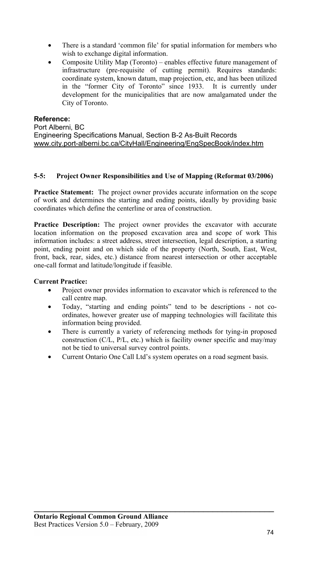- There is a standard 'common file' for spatial information for members who wish to exchange digital information.
- Composite Utility Map (Toronto) enables effective future management of infrastructure (pre-requisite of cutting permit). Requires standards: coordinate system, known datum, map projection, etc, and has been utilized in the "former City of Toronto" since 1933. It is currently under development for the municipalities that are now amalgamated under the City of Toronto.

## **Reference:**

Port Alberni, BC Engineering Specifications Manual, Section B-2 As-Built Records www.city.port-alberni.bc.ca/CityHall/Engineering/EngSpecBook/index.htm

#### **5-5: Project Owner Responsibilities and Use of Mapping (Reformat 03/2006)**

**Practice Statement:** The project owner provides accurate information on the scope of work and determines the starting and ending points, ideally by providing basic coordinates which define the centerline or area of construction.

**Practice Description:** The project owner provides the excavator with accurate location information on the proposed excavation area and scope of work This information includes: a street address, street intersection, legal description, a starting point, ending point and on which side of the property (North, South, East, West, front, back, rear, sides, etc.) distance from nearest intersection or other acceptable one-call format and latitude/longitude if feasible.

# **Current Practice:**

- Project owner provides information to excavator which is referenced to the call centre map.
- Today, "starting and ending points" tend to be descriptions not coordinates, however greater use of mapping technologies will facilitate this information being provided.
- There is currently a variety of referencing methods for tying-in proposed construction (C/L, P/L, etc.) which is facility owner specific and may/may not be tied to universal survey control points.
- Current Ontario One Call Ltd's system operates on a road segment basis.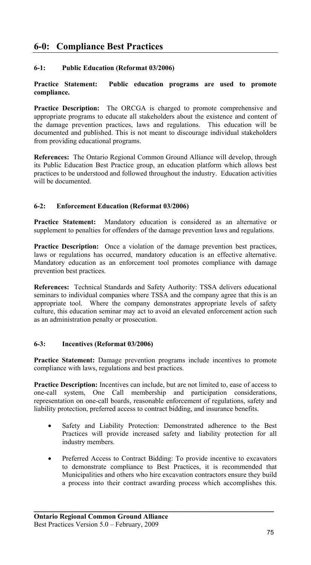# **6-0: Compliance Best Practices**

# **6-1: Public Education (Reformat 03/2006)**

#### **Practice Statement: Public education programs are used to promote compliance.**

**Practice Description:** The ORCGA is charged to promote comprehensive and appropriate programs to educate all stakeholders about the existence and content of the damage prevention practices, laws and regulations. This education will be documented and published. This is not meant to discourage individual stakeholders from providing educational programs.

**References:** The Ontario Regional Common Ground Alliance will develop, through its Public Education Best Practice group, an education platform which allows best practices to be understood and followed throughout the industry. Education activities will be documented.

## **6-2: Enforcement Education (Reformat 03/2006)**

**Practice Statement:** Mandatory education is considered as an alternative or supplement to penalties for offenders of the damage prevention laws and regulations.

**Practice Description:** Once a violation of the damage prevention best practices, laws or regulations has occurred, mandatory education is an effective alternative. Mandatory education as an enforcement tool promotes compliance with damage prevention best practices.

**References:** Technical Standards and Safety Authority: TSSA delivers educational seminars to individual companies where TSSA and the company agree that this is an appropriate tool. Where the company demonstrates appropriate levels of safety culture, this education seminar may act to avoid an elevated enforcement action such as an administration penalty or prosecution.

#### **6-3: Incentives (Reformat 03/2006)**

**Practice Statement:** Damage prevention programs include incentives to promote compliance with laws, regulations and best practices.

**Practice Description:** Incentives can include, but are not limited to, ease of access to one-call system, One Call membership and participation considerations, representation on one-call boards, reasonable enforcement of regulations, safety and liability protection, preferred access to contract bidding, and insurance benefits.

- Safety and Liability Protection: Demonstrated adherence to the Best Practices will provide increased safety and liability protection for all industry members.
- Preferred Access to Contract Bidding: To provide incentive to excavators to demonstrate compliance to Best Practices, it is recommended that Municipalities and others who hire excavation contractors ensure they build a process into their contract awarding process which accomplishes this.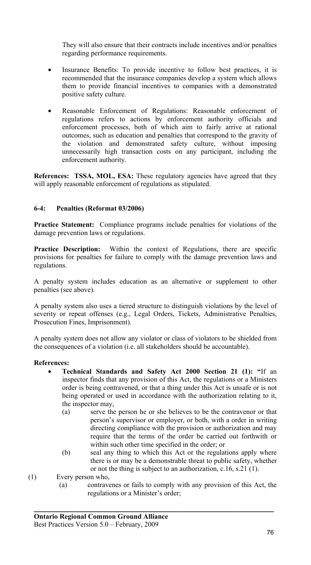They will also ensure that their contracts include incentives and/or penalties regarding performance requirements.

- Insurance Benefits: To provide incentive to follow best practices, it is recommended that the insurance companies develop a system which allows them to provide financial incentives to companies with a demonstrated positive safety culture.
- Reasonable Enforcement of Regulations: Reasonable enforcement of regulations refers to actions by enforcement authority officials and enforcement processes, both of which aim to fairly arrive at rational outcomes, such as education and penalties that correspond to the gravity of the violation and demonstrated safety culture, without imposing unnecessarily high transaction costs on any participant, including the enforcement authority.

**References: TSSA, MOL, ESA:** These regulatory agencies have agreed that they will apply reasonable enforcement of regulations as stipulated.

## **6-4: Penalties (Reformat 03/2006)**

**Practice Statement:** Compliance programs include penalties for violations of the damage prevention laws or regulations.

**Practice Description:** Within the context of Regulations, there are specific provisions for penalties for failure to comply with the damage prevention laws and regulations.

A penalty system includes education as an alternative or supplement to other penalties (see above).

A penalty system also uses a tiered structure to distinguish violations by the level of severity or repeat offenses (e.g., Legal Orders, Tickets, Administrative Penalties, Prosecution Fines, Imprisonment).

A penalty system does not allow any violator or class of violators to be shielded from the consequences of a violation (i.e. all stakeholders should be accountable).

#### **References:**

- **Technical Standards and Safety Act 2000 Section 21 (1): "**If an inspector finds that any provision of this Act, the regulations or a Ministers order is being contravened, or that a thing under this Act is unsafe or is not being operated or used in accordance with the authorization relating to it, the inspector may,
	- (a) serve the person he or she believes to be the contravenor or that person's supervisor or employer, or both, with a order in writing directing compliance with the provision or authorization and may require that the terms of the order be carried out forthwith or within such other time specified in the order; or
	- (b) seal any thing to which this Act or the regulations apply where there is or may be a demonstrable threat to public safety, whether or not the thing is subject to an authorization, c.16, s.21 (1).
- (1) Every person who,
	- (a) contravenes or fails to comply with any provision of this Act, the regulations or a Minister's order;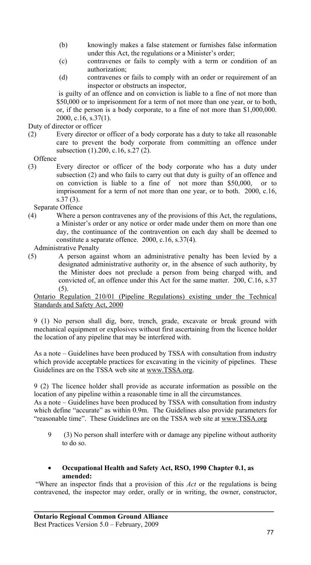- (b) knowingly makes a false statement or furnishes false information under this Act, the regulations or a Minister's order;
- (c) contravenes or fails to comply with a term or condition of an authorization;
- (d) contravenes or fails to comply with an order or requirement of an inspector or obstructs an inspector,

is guilty of an offence and on conviction is liable to a fine of not more than \$50,000 or to imprisonment for a term of not more than one year, or to both, or, if the person is a body corporate, to a fine of not more than \$1,000,000. 2000, c.16, s.37(1).

Duty of director or officer

- (2) Every director or officer of a body corporate has a duty to take all reasonable care to prevent the body corporate from committing an offence under subsection (1).200, c.16, s.27 (2).
- **Offence**
- (3) Every director or officer of the body corporate who has a duty under subsection (2) and who fails to carry out that duty is guilty of an offence and on conviction is liable to a fine of not more than \$50,000, or to imprisonment for a term of not more than one year, or to both. 2000, c.16, s.37 (3).

Separate Offence

(4) Where a person contravenes any of the provisions of this Act, the regulations, a Minister's order or any notice or order made under them on more than one day, the continuance of the contravention on each day shall be deemed to constitute a separate offence. 2000, c.16, s.37(4).

Administrative Penalty

(5) A person against whom an administrative penalty has been levied by a designated administrative authority or, in the absence of such authority, by the Minister does not preclude a person from being charged with, and convicted of, an offence under this Act for the same matter. 200, C.16, s.37 (5).

Ontario Regulation 210/01 (Pipeline Regulations) existing under the Technical Standards and Safety Act, 2000

9 (1) No person shall dig, bore, trench, grade, excavate or break ground with mechanical equipment or explosives without first ascertaining from the licence holder the location of any pipeline that may be interfered with.

As a note – Guidelines have been produced by TSSA with consultation from industry which provide acceptable practices for excavating in the vicinity of pipelines. These Guidelines are on the TSSA web site at www.TSSA.org.

9 (2) The licence holder shall provide as accurate information as possible on the location of any pipeline within a reasonable time in all the circumstances.

As a note – Guidelines have been produced by TSSA with consultation from industry which define "accurate" as within 0.9m. The Guidelines also provide parameters for "reasonable time". These Guidelines are on the TSSA web site at www.TSSA.org

- 9 (3) No person shall interfere with or damage any pipeline without authority to do so.
- **Occupational Health and Safety Act, RSO, 1990 Chapter 0.1, as amended:**

"Where an inspector finds that a provision of this *Act* or the regulations is being contravened, the inspector may order, orally or in writing, the owner, constructor,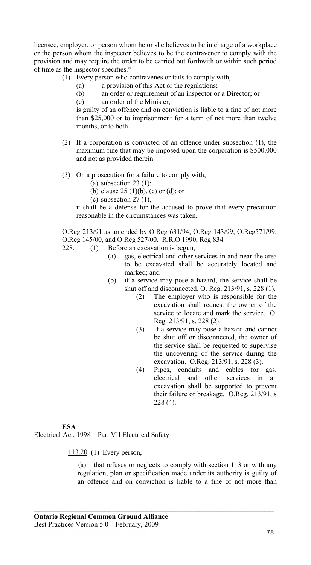licensee, employer, or person whom he or she believes to be in charge of a workplace or the person whom the inspector believes to be the contravener to comply with the provision and may require the order to be carried out forthwith or within such period of time as the inspector specifies."

- (1) Every person who contravenes or fails to comply with,
	- (a) a provision of this Act or the regulations;
	- (b) an order or requirement of an inspector or a Director; or
	- (c) an order of the Minister,

is guilty of an offence and on conviction is liable to a fine of not more than \$25,000 or to imprisonment for a term of not more than twelve months, or to both.

- (2) If a corporation is convicted of an offence under subsection (1), the maximum fine that may be imposed upon the corporation is \$500,000 and not as provided therein.
- (3) On a prosecution for a failure to comply with,
	- (a) subsection  $23(1)$ ;
	- (b) clause 25 (1)(b), (c) or (d); or
	- (c) subsection  $27(1)$ ,

it shall be a defense for the accused to prove that every precaution reasonable in the circumstances was taken.

O.Reg 213/91 as amended by O.Reg 631/94, O.Reg 143/99, O.Reg571/99, O.Reg 145/00, and O.Reg 527/00. R.R.O 1990, Reg 834

- 228. (1) Before an excavation is begun,
	- (a) gas, electrical and other services in and near the area to be excavated shall be accurately located and marked; and
	- (b) if a service may pose a hazard, the service shall be shut off and disconnected. O. Reg. 213/91, s. 228 (1).
		- (2) The employer who is responsible for the excavation shall request the owner of the service to locate and mark the service. O. Reg. 213/91, s. 228 (2).
		- (3) If a service may pose a hazard and cannot be shut off or disconnected, the owner of the service shall be requested to supervise the uncovering of the service during the excavation. O.Reg. 213/91, s. 228 (3).
		- (4) Pipes, conduits and cables for gas, electrical and other services in an excavation shall be supported to prevent their failure or breakage. O.Reg. 213/91, s 228 (4).

#### **ESA**

Electrical Act, 1998 – Part VII Electrical Safety

113.20 (1) Every person,

 (a) that refuses or neglects to comply with section 113 or with any regulation, plan or specification made under its authority is guilty of an offence and on conviction is liable to a fine of not more than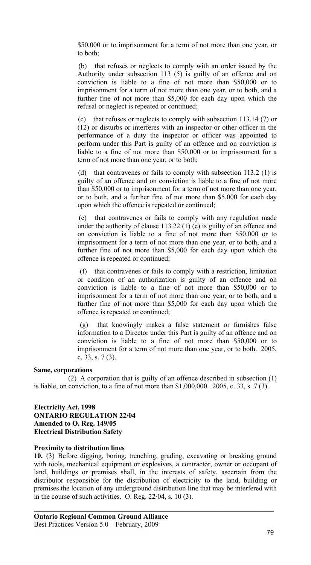\$50,000 or to imprisonment for a term of not more than one year, or to both;

 (b) that refuses or neglects to comply with an order issued by the Authority under subsection 113 (5) is guilty of an offence and on conviction is liable to a fine of not more than \$50,000 or to imprisonment for a term of not more than one year, or to both, and a further fine of not more than \$5,000 for each day upon which the refusal or neglect is repeated or continued;

 (c) that refuses or neglects to comply with subsection 113.14 (7) or (12) or disturbs or interferes with an inspector or other officer in the performance of a duty the inspector or officer was appointed to perform under this Part is guilty of an offence and on conviction is liable to a fine of not more than \$50,000 or to imprisonment for a term of not more than one year, or to both;

 (d) that contravenes or fails to comply with subsection 113.2 (1) is guilty of an offence and on conviction is liable to a fine of not more than \$50,000 or to imprisonment for a term of not more than one year, or to both, and a further fine of not more than \$5,000 for each day upon which the offence is repeated or continued;

 (e) that contravenes or fails to comply with any regulation made under the authority of clause 113.22 (1) (e) is guilty of an offence and on conviction is liable to a fine of not more than \$50,000 or to imprisonment for a term of not more than one year, or to both, and a further fine of not more than \$5,000 for each day upon which the offence is repeated or continued;

 (f) that contravenes or fails to comply with a restriction, limitation or condition of an authorization is guilty of an offence and on conviction is liable to a fine of not more than \$50,000 or to imprisonment for a term of not more than one year, or to both, and a further fine of not more than \$5,000 for each day upon which the offence is repeated or continued;

 (g) that knowingly makes a false statement or furnishes false information to a Director under this Part is guilty of an offence and on conviction is liable to a fine of not more than \$50,000 or to imprisonment for a term of not more than one year, or to both. 2005, c. 33, s. 7 (3).

#### **Same, corporations**

 (2) A corporation that is guilty of an offence described in subsection (1) is liable, on conviction, to a fine of not more than  $$1,000,000$ .  $2005$ , c. 33, s. 7 (3).

#### **Electricity Act, 1998 ONTARIO REGULATION 22/04 Amended to O. Reg. 149/05 Electrical Distribution Safety**

#### **Proximity to distribution lines**

**10.** (3) Before digging, boring, trenching, grading, excavating or breaking ground with tools, mechanical equipment or explosives, a contractor, owner or occupant of land, buildings or premises shall, in the interests of safety, ascertain from the distributor responsible for the distribution of electricity to the land, building or premises the location of any underground distribution line that may be interfered with in the course of such activities. O. Reg. 22/04, s. 10 (3).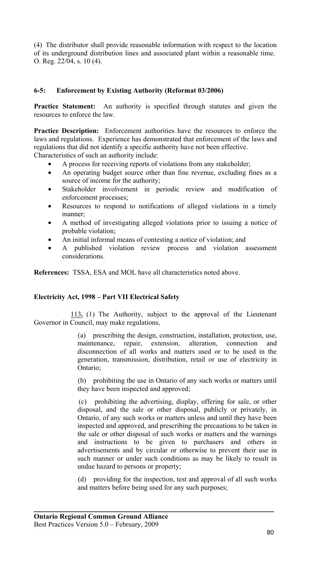(4) The distributor shall provide reasonable information with respect to the location of its underground distribution lines and associated plant within a reasonable time. O. Reg. 22/04, s. 10 (4).

# **6-5: Enforcement by Existing Authority (Reformat 03/2006)**

**Practice Statement:** An authority is specified through statutes and given the resources to enforce the law.

**Practice Description:** Enforcement authorities have the resources to enforce the laws and regulations. Experience has demonstrated that enforcement of the laws and regulations that did not identify a specific authority have not been effective. Characteristics of such an authority include:

• A process for receiving reports of violations from any stakeholder;

- An operating budget source other than fine revenue, excluding fines as a source of income for the authority;
- Stakeholder involvement in periodic review and modification of enforcement processes;
- Resources to respond to notifications of alleged violations in a timely manner;
- A method of investigating alleged violations prior to issuing a notice of probable violation;
- An initial informal means of contesting a notice of violation; and
- A published violation review process and violation assessment considerations.

**References:**TSSA, ESA and MOL have all characteristics noted above.

#### **Electricity Act, 1998 – Part VII Electrical Safety**

 113**.** (1) The Authority, subject to the approval of the Lieutenant Governor in Council, may make regulations,

> (a) prescribing the design, construction, installation, protection, use, maintenance, repair, extension, alteration, connection and maintenance, repair, extension, alteration, connection and disconnection of all works and matters used or to be used in the generation, transmission, distribution, retail or use of electricity in Ontario;

> (b) prohibiting the use in Ontario of any such works or matters until they have been inspected and approved;

> (c) prohibiting the advertising, display, offering for sale, or other disposal, and the sale or other disposal, publicly or privately, in Ontario, of any such works or matters unless and until they have been inspected and approved, and prescribing the precautions to be taken in the sale or other disposal of such works or matters and the warnings and instructions to be given to purchasers and others in advertisements and by circular or otherwise to prevent their use in such manner or under such conditions as may be likely to result in undue hazard to persons or property;

> (d) providing for the inspection, test and approval of all such works and matters before being used for any such purposes;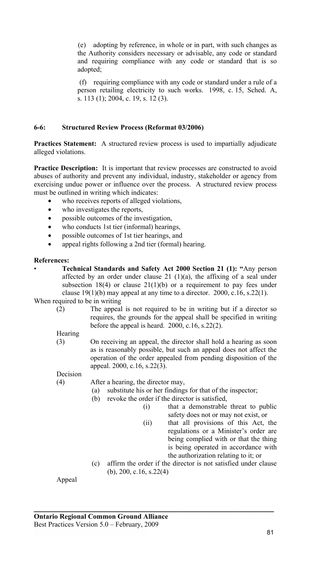(e) adopting by reference, in whole or in part, with such changes as the Authority considers necessary or advisable, any code or standard and requiring compliance with any code or standard that is so adopted;

 (f) requiring compliance with any code or standard under a rule of a person retailing electricity to such works. 1998, c. 15, Sched. A, s. 113 (1); 2004, c. 19, s. 12 (3).

## **6-6: Structured Review Process (Reformat 03/2006)**

**Practices Statement:** A structured review process is used to impartially adjudicate alleged violations.

**Practice Description:** It is important that review processes are constructed to avoid abuses of authority and prevent any individual, industry, stakeholder or agency from exercising undue power or influence over the process. A structured review process must be outlined in writing which indicates:

- who receives reports of alleged violations,
- who investigates the reports,
- possible outcomes of the investigation,
- who conducts 1st tier (informal) hearings,
- possible outcomes of 1st tier hearings, and
- appeal rights following a 2nd tier (formal) hearing.

#### **References:**

• **Technical Standards and Safety Act 2000 Section 21 (1): "**Any person affected by an order under clause 21  $(1)(a)$ , the affixing of a seal under subsection 18(4) or clause  $21(1)(b)$  or a requirement to pay fees under clause 19(1)(b) may appeal at any time to a director. 2000, c.16, s.22(1).

When required to be in writing

- (2) The appeal is not required to be in writing but if a director so requires, the grounds for the appeal shall be specified in writing before the appeal is heard. 2000, c.16, s.22(2).
- **Hearing**
- (3) On receiving an appeal, the director shall hold a hearing as soon as is reasonably possible, but such an appeal does not affect the operation of the order appealed from pending disposition of the appeal. 2000, c.16, s.22(3).

Decision

(4) After a hearing, the director may,

- (a) substitute his or her findings for that of the inspector;
- (b) revoke the order if the director is satisfied,

**\_\_\_\_\_\_\_\_\_\_\_\_\_\_\_\_\_\_\_\_\_\_\_\_\_\_\_\_\_\_\_\_\_\_\_\_\_\_\_\_\_\_\_\_\_\_\_\_\_\_\_** 

- (i) that a demonstrable threat to public safety does not or may not exist, or
- (ii) that all provisions of this Act, the regulations or a Minister's order are being complied with or that the thing is being operated in accordance with the authorization relating to it; or
- (c) affirm the order if the director is not satisfied under clause (b), 200, c.16, s.22(4)

Appeal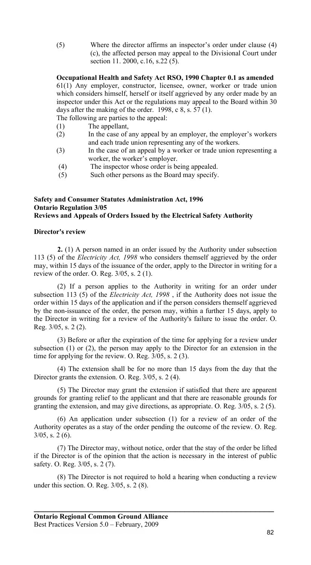(5) Where the director affirms an inspector's order under clause (4) (c), the affected person may appeal to the Divisional Court under section 11. 2000, c.16, s.22 (5).

**Occupational Health and Safety Act RSO, 1990 Chapter 0.1 as amended**  61(1) Any employer, constructor, licensee, owner, worker or trade union which considers himself, herself or itself aggrieved by any order made by an inspector under this Act or the regulations may appeal to the Board within 30 days after the making of the order. 1998, c  $8, s. 57(1)$ .

The following are parties to the appeal:

- (1) The appellant,
- (2) In the case of any appeal by an employer, the employer's workers and each trade union representing any of the workers.
- (3) In the case of an appeal by a worker or trade union representing a worker, the worker's employer.
- (4) The inspector whose order is being appealed.
- (5) Such other persons as the Board may specify.

#### **Safety and Consumer Statutes Administration Act, 1996 Ontario Regulation 3/05 Reviews and Appeals of Orders Issued by the Electrical Safety Authority**

#### **Director's review**

**2.** (1) A person named in an order issued by the Authority under subsection 113 (5) of the *Electricity Act, 1998* who considers themself aggrieved by the order may, within 15 days of the issuance of the order, apply to the Director in writing for a review of the order. O. Reg. 3/05, s. 2 (1).

(2) If a person applies to the Authority in writing for an order under subsection 113 (5) of the *Electricity Act, 1998* , if the Authority does not issue the order within 15 days of the application and if the person considers themself aggrieved by the non-issuance of the order, the person may, within a further 15 days, apply to the Director in writing for a review of the Authority's failure to issue the order. O. Reg. 3/05, s. 2 (2).

(3) Before or after the expiration of the time for applying for a review under subsection (1) or (2), the person may apply to the Director for an extension in the time for applying for the review. O. Reg. 3/05, s. 2 (3).

(4) The extension shall be for no more than 15 days from the day that the Director grants the extension. O. Reg. 3/05, s. 2 (4).

(5) The Director may grant the extension if satisfied that there are apparent grounds for granting relief to the applicant and that there are reasonable grounds for granting the extension, and may give directions, as appropriate. O. Reg. 3/05, s. 2 (5).

(6) An application under subsection (1) for a review of an order of the Authority operates as a stay of the order pending the outcome of the review. O. Reg. 3/05, s. 2 (6).

(7) The Director may, without notice, order that the stay of the order be lifted if the Director is of the opinion that the action is necessary in the interest of public safety. O. Reg. 3/05, s. 2 (7).

(8) The Director is not required to hold a hearing when conducting a review under this section. O. Reg. 3/05, s. 2 (8).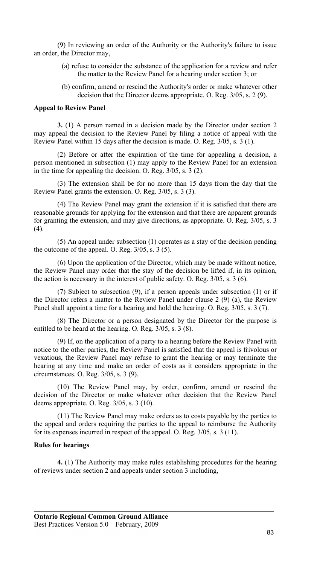(9) In reviewing an order of the Authority or the Authority's failure to issue an order, the Director may,

- (a) refuse to consider the substance of the application for a review and refer the matter to the Review Panel for a hearing under section 3; or
- (b) confirm, amend or rescind the Authority's order or make whatever other decision that the Director deems appropriate. O. Reg. 3/05, s. 2 (9).

#### **Appeal to Review Panel**

**3.** (1) A person named in a decision made by the Director under section 2 may appeal the decision to the Review Panel by filing a notice of appeal with the Review Panel within 15 days after the decision is made. O. Reg. 3/05, s. 3 (1).

(2) Before or after the expiration of the time for appealing a decision, a person mentioned in subsection (1) may apply to the Review Panel for an extension in the time for appealing the decision. O. Reg.  $3/05$ , s.  $3$  (2).

(3) The extension shall be for no more than 15 days from the day that the Review Panel grants the extension. O. Reg. 3/05, s. 3 (3).

(4) The Review Panel may grant the extension if it is satisfied that there are reasonable grounds for applying for the extension and that there are apparent grounds for granting the extension, and may give directions, as appropriate. O. Reg. 3/05, s. 3 (4).

(5) An appeal under subsection (1) operates as a stay of the decision pending the outcome of the appeal. O. Reg.  $3/05$ , s.  $3(5)$ .

(6) Upon the application of the Director, which may be made without notice, the Review Panel may order that the stay of the decision be lifted if, in its opinion, the action is necessary in the interest of public safety. O. Reg. 3/05, s. 3 (6).

(7) Subject to subsection (9), if a person appeals under subsection (1) or if the Director refers a matter to the Review Panel under clause 2 (9) (a), the Review Panel shall appoint a time for a hearing and hold the hearing. O. Reg. 3/05, s. 3 (7).

(8) The Director or a person designated by the Director for the purpose is entitled to be heard at the hearing. O. Reg. 3/05, s. 3 (8).

(9) If, on the application of a party to a hearing before the Review Panel with notice to the other parties, the Review Panel is satisfied that the appeal is frivolous or vexatious, the Review Panel may refuse to grant the hearing or may terminate the hearing at any time and make an order of costs as it considers appropriate in the circumstances. O. Reg. 3/05, s. 3 (9).

(10) The Review Panel may, by order, confirm, amend or rescind the decision of the Director or make whatever other decision that the Review Panel deems appropriate. O. Reg. 3/05, s. 3 (10).

(11) The Review Panel may make orders as to costs payable by the parties to the appeal and orders requiring the parties to the appeal to reimburse the Authority for its expenses incurred in respect of the appeal. O. Reg. 3/05, s. 3 (11).

#### **Rules for hearings**

**4.** (1) The Authority may make rules establishing procedures for the hearing of reviews under section 2 and appeals under section 3 including,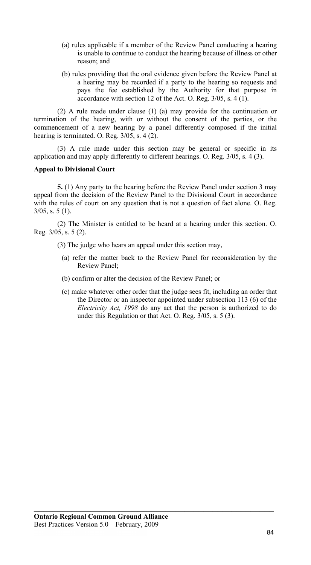- (a) rules applicable if a member of the Review Panel conducting a hearing is unable to continue to conduct the hearing because of illness or other reason; and
- (b) rules providing that the oral evidence given before the Review Panel at a hearing may be recorded if a party to the hearing so requests and pays the fee established by the Authority for that purpose in accordance with section 12 of the Act. O. Reg.  $3/05$ , s. 4 (1).

(2) A rule made under clause (1) (a) may provide for the continuation or termination of the hearing, with or without the consent of the parties, or the commencement of a new hearing by a panel differently composed if the initial hearing is terminated. O. Reg. 3/05, s. 4 (2).

(3) A rule made under this section may be general or specific in its application and may apply differently to different hearings. O. Reg. 3/05, s. 4 (3).

#### **Appeal to Divisional Court**

**5.** (1) Any party to the hearing before the Review Panel under section 3 may appeal from the decision of the Review Panel to the Divisional Court in accordance with the rules of court on any question that is not a question of fact alone. O. Reg. 3/05, s. 5 (1).

(2) The Minister is entitled to be heard at a hearing under this section. O. Reg. 3/05, s. 5 (2).

- (3) The judge who hears an appeal under this section may,
	- (a) refer the matter back to the Review Panel for reconsideration by the Review Panel;
	- (b) confirm or alter the decision of the Review Panel; or
	- (c) make whatever other order that the judge sees fit, including an order that the Director or an inspector appointed under subsection 113 (6) of the *Electricity Act, 1998* do any act that the person is authorized to do under this Regulation or that Act. O. Reg. 3/05, s. 5 (3).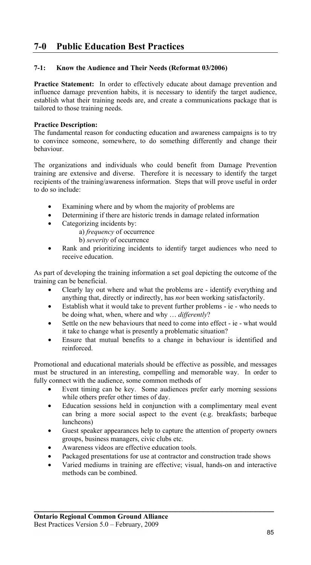# **7-0 Public Education Best Practices**

## **7-1: Know the Audience and Their Needs (Reformat 03/2006)**

**Practice Statement:** In order to effectively educate about damage prevention and influence damage prevention habits, it is necessary to identify the target audience, establish what their training needs are, and create a communications package that is tailored to those training needs.

#### **Practice Description:**

The fundamental reason for conducting education and awareness campaigns is to try to convince someone, somewhere, to do something differently and change their behaviour.

The organizations and individuals who could benefit from Damage Prevention training are extensive and diverse. Therefore it is necessary to identify the target recipients of the training/awareness information. Steps that will prove useful in order to do so include:

- Examining where and by whom the majority of problems are
- Determining if there are historic trends in damage related information
- Categorizing incidents by:
	- a) *frequency* of occurrence

b) *severity* of occurrence

Rank and prioritizing incidents to identify target audiences who need to receive education.

As part of developing the training information a set goal depicting the outcome of the training can be beneficial.

- Clearly lay out where and what the problems are identify everything and anything that, directly or indirectly, has *not* been working satisfactorily.
- Establish what it would take to prevent further problems ie who needs to be doing what, when, where and why … *differently*?
- Settle on the new behaviours that need to come into effect ie what would it take to change what is presently a problematic situation?
- Ensure that mutual benefits to a change in behaviour is identified and reinforced.

Promotional and educational materials should be effective as possible, and messages must be structured in an interesting, compelling and memorable way. In order to fully connect with the audience, some common methods of

- Event timing can be key. Some audiences prefer early morning sessions while others prefer other times of day.
- Education sessions held in conjunction with a complimentary meal event can bring a more social aspect to the event (e.g. breakfasts; barbeque luncheons)
- Guest speaker appearances help to capture the attention of property owners groups, business managers, civic clubs etc.
- Awareness videos are effective education tools.
- Packaged presentations for use at contractor and construction trade shows

**\_\_\_\_\_\_\_\_\_\_\_\_\_\_\_\_\_\_\_\_\_\_\_\_\_\_\_\_\_\_\_\_\_\_\_\_\_\_\_\_\_\_\_\_\_\_\_\_\_\_\_** 

• Varied mediums in training are effective; visual, hands-on and interactive methods can be combined.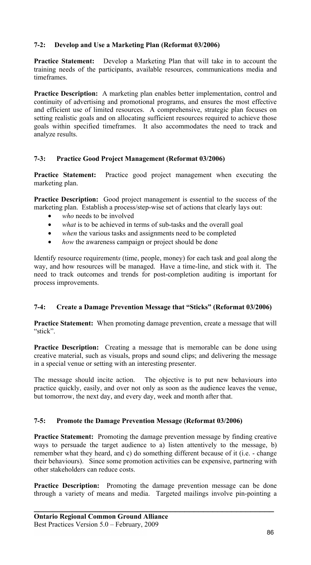# **7-2: Develop and Use a Marketing Plan (Reformat 03/2006)**

**Practice Statement:** Develop a Marketing Plan that will take in to account the training needs of the participants, available resources, communications media and timeframes.

**Practice Description:** A marketing plan enables better implementation, control and continuity of advertising and promotional programs, and ensures the most effective and efficient use of limited resources. A comprehensive, strategic plan focuses on setting realistic goals and on allocating sufficient resources required to achieve those goals within specified timeframes. It also accommodates the need to track and analyze results.

## **7-3: Practice Good Project Management (Reformat 03/2006)**

**Practice Statement:** Practice good project management when executing the marketing plan.

**Practice Description:** Good project management is essential to the success of the marketing plan. Establish a process/step-wise set of actions that clearly lays out:

- who needs to be involved
- what is to be achieved in terms of sub-tasks and the overall goal
- when the various tasks and assignments need to be completed
- *how* the awareness campaign or project should be done

Identify resource requirement*s* (time, people, money) for each task and goal along the way, and how resources will be managed. Have a time-line, and stick with it. The need to track outcomes and trends for post-completion auditing is important for process improvements.

#### **7-4: Create a Damage Prevention Message that "Sticks" (Reformat 03/2006)**

**Practice Statement:** When promoting damage prevention, create a message that will "stick".

**Practice Description:** Creating a message that is memorable can be done using creative material, such as visuals, props and sound clips; and delivering the message in a special venue or setting with an interesting presenter.

The message should incite action. The objective is to put new behaviours into practice quickly, easily, and over not only as soon as the audience leaves the venue, but tomorrow, the next day, and every day, week and month after that.

#### **7-5: Promote the Damage Prevention Message (Reformat 03/2006)**

**Practice Statement:** Promoting the damage prevention message by finding creative ways to persuade the target audience to a) listen attentively to the message, b) remember what they heard, and c) do something different because of it (i.e. - change their behaviours). Since some promotion activities can be expensive, partnering with other stakeholders can reduce costs.

**Practice Description:** Promoting the damage prevention message can be done through a variety of means and media. Targeted mailings involve pin-pointing a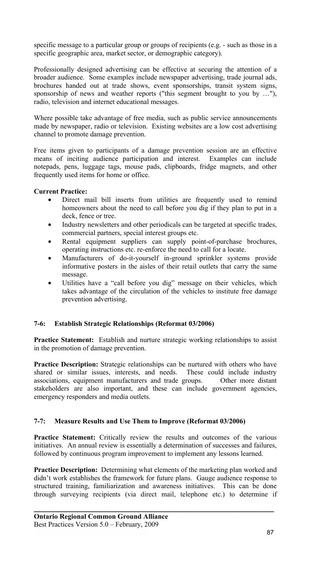specific message to a particular group or groups of recipients (e.g. - such as those in a specific geographic area, market sector, or demographic category).

Professionally designed advertising can be effective at securing the attention of a broader audience. Some examples include newspaper advertising, trade journal ads, brochures handed out at trade shows, event sponsorships, transit system signs, sponsorship of news and weather reports ("this segment brought to you by …"), radio, television and internet educational messages.

Where possible take advantage of free media, such as public service announcements made by newspaper, radio or television. Existing websites are a low cost advertising channel to promote damage prevention.

Free items given to participants of a damage prevention session are an effective means of inciting audience participation and interest. Examples can include notepads, pens, luggage tags, mouse pads, clipboards, fridge magnets, and other frequently used items for home or office.

## **Current Practice:**

- Direct mail bill inserts from utilities are frequently used to remind homeowners about the need to call before you dig if they plan to put in a deck, fence or tree.
- Industry newsletters and other periodicals can be targeted at specific trades, commercial partners, special interest groups etc.
- Rental equipment suppliers can supply point-of-purchase brochures, operating instructions etc. re-enforce the need to call for a locate.
- Manufacturers of do-it-yourself in-ground sprinkler systems provide informative posters in the aisles of their retail outlets that carry the same message.
- Utilities have a "call before you dig" message on their vehicles, which takes advantage of the circulation of the vehicles to institute free damage prevention advertising.

# **7-6: Establish Strategic Relationships (Reformat 03/2006)**

**Practice Statement:** Establish and nurture strategic working relationships to assist in the promotion of damage prevention.

**Practice Description:** Strategic relationships can be nurtured with others who have shared or similar issues, interests, and needs. These could include industry associations, equipment manufacturers and trade groups. Other more distant stakeholders are also important, and these can include government agencies, emergency responders and media outlets.

# **7-7: Measure Results and Use Them to Improve (Reformat 03/2006)**

Practice Statement: Critically review the results and outcomes of the various initiatives. An annual review is essentially a determination of successes and failures, followed by continuous program improvement to implement any lessons learned.

**Practice Description:** Determining what elements of the marketing plan worked and didn't work establishes the framework for future plans. Gauge audience response to structured training, familiarization and awareness initiatives. This can be done through surveying recipients (via direct mail, telephone etc.) to determine if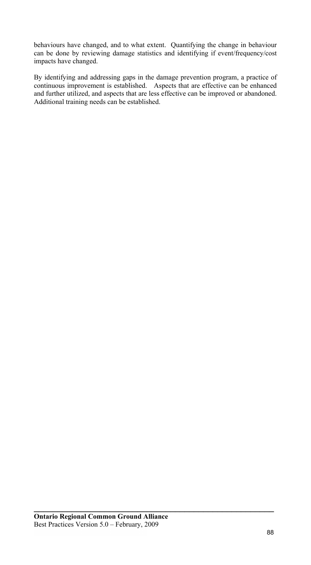behaviours have changed, and to what extent. Quantifying the change in behaviour can be done by reviewing damage statistics and identifying if event/frequency/cost impacts have changed.

By identifying and addressing gaps in the damage prevention program, a practice of continuous improvement is established. Aspects that are effective can be enhanced and further utilized, and aspects that are less effective can be improved or abandoned. Additional training needs can be established.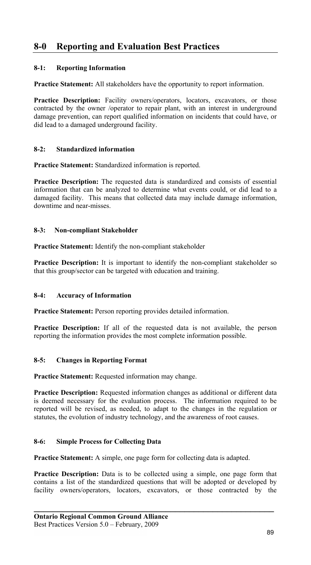# **8-0 Reporting and Evaluation Best Practices**

# **8-1: Reporting Information**

**Practice Statement:** All stakeholders have the opportunity to report information.

Practice Description: Facility owners/operators, locators, excavators, or those contracted by the owner /operator to repair plant, with an interest in underground damage prevention, can report qualified information on incidents that could have, or did lead to a damaged underground facility.

## **8-2: Standardized information**

**Practice Statement:** Standardized information is reported.

**Practice Description:** The requested data is standardized and consists of essential information that can be analyzed to determine what events could, or did lead to a damaged facility. This means that collected data may include damage information, downtime and near-misses.

## **8-3: Non-compliant Stakeholder**

**Practice Statement:** Identify the non-compliant stakeholder

**Practice Description:** It is important to identify the non-compliant stakeholder so that this group/sector can be targeted with education and training.

# **8-4: Accuracy of Information**

**Practice Statement:** Person reporting provides detailed information.

**Practice Description:** If all of the requested data is not available, the person reporting the information provides the most complete information possible.

#### **8-5: Changes in Reporting Format**

**Practice Statement:** Requested information may change.

**Practice Description:** Requested information changes as additional or different data is deemed necessary for the evaluation process. The information required to be reported will be revised, as needed, to adapt to the changes in the regulation or statutes, the evolution of industry technology, and the awareness of root causes.

## **8-6: Simple Process for Collecting Data**

**Practice Statement:** A simple, one page form for collecting data is adapted.

Practice Description: Data is to be collected using a simple, one page form that contains a list of the standardized questions that will be adopted or developed by facility owners/operators, locators, excavators, or those contracted by the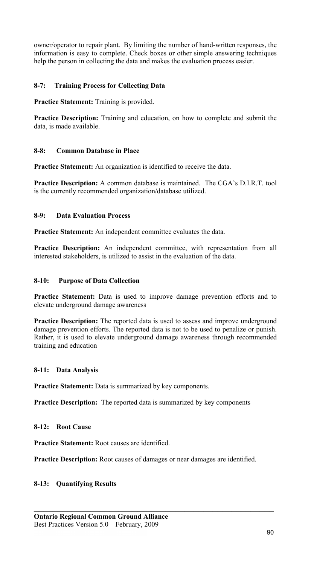owner/operator to repair plant. By limiting the number of hand-written responses, the information is easy to complete. Check boxes or other simple answering techniques help the person in collecting the data and makes the evaluation process easier.

# **8-7: Training Process for Collecting Data**

**Practice Statement:** Training is provided.

**Practice Description:** Training and education, on how to complete and submit the data, is made available.

#### **8-8: Common Database in Place**

**Practice Statement:** An organization is identified to receive the data.

**Practice Description:** A common database is maintained. The CGA's D.I.R.T. tool is the currently recommended organization/database utilized.

#### **8-9: Data Evaluation Process**

**Practice Statement:** An independent committee evaluates the data.

**Practice Description:** An independent committee, with representation from all interested stakeholders, is utilized to assist in the evaluation of the data.

#### **8-10: Purpose of Data Collection**

Practice Statement: Data is used to improve damage prevention efforts and to elevate underground damage awareness

**Practice Description:** The reported data is used to assess and improve underground damage prevention efforts. The reported data is not to be used to penalize or punish. Rather, it is used to elevate underground damage awareness through recommended training and education

#### **8-11: Data Analysis**

**Practice Statement:** Data is summarized by key components.

**Practice Description:** The reported data is summarized by key components

**8-12: Root Cause** 

**Practice Statement:** Root causes are identified.

**Practice Description:** Root causes of damages or near damages are identified.

**\_\_\_\_\_\_\_\_\_\_\_\_\_\_\_\_\_\_\_\_\_\_\_\_\_\_\_\_\_\_\_\_\_\_\_\_\_\_\_\_\_\_\_\_\_\_\_\_\_\_\_** 

#### **8-13: Quantifying Results**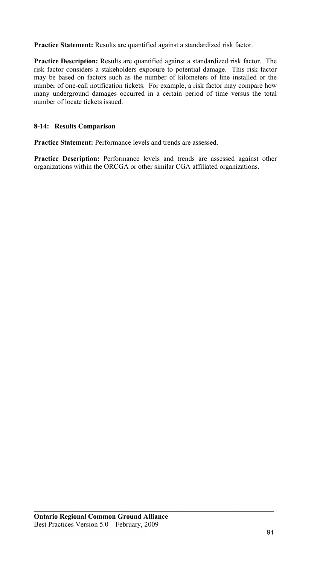**Practice Statement:** Results are quantified against a standardized risk factor.

**Practice Description:** Results are quantified against a standardized risk factor. The risk factor considers a stakeholders exposure to potential damage. This risk factor may be based on factors such as the number of kilometers of line installed or the number of one-call notification tickets. For example, a risk factor may compare how many underground damages occurred in a certain period of time versus the total number of locate tickets issued.

# **8-14: Results Comparison**

**Practice Statement:** Performance levels and trends are assessed.

**Practice Description:** Performance levels and trends are assessed against other organizations within the ORCGA or other similar CGA affiliated organizations.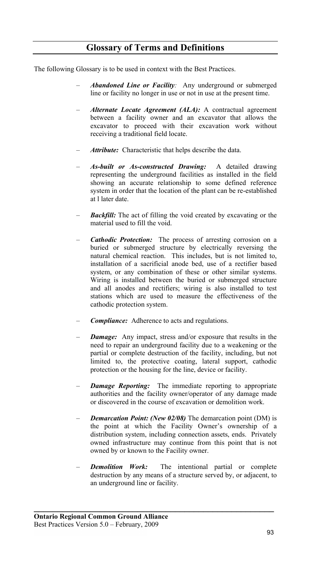# **Glossary of Terms and Definitions**

The following Glossary is to be used in context with the Best Practices.

- *Abandoned Line or Facility:* Any underground or submerged line or facility no longer in use or not in use at the present time.
- *Alternate Locate Agreement (ALA):* A contractual agreement between a facility owner and an excavator that allows the excavator to proceed with their excavation work without receiving a traditional field locate.
- *Attribute:* Characteristic that helps describe the data.
- *As-built or As-constructed Drawing:* A detailed drawing representing the underground facilities as installed in the field showing an accurate relationship to some defined reference system in order that the location of the plant can be re-established at l later date.
- *Backfill:* The act of filling the void created by excavating or the material used to fill the void.
- *Cathodic Protection:* The process of arresting corrosion on a buried or submerged structure by electrically reversing the natural chemical reaction. This includes, but is not limited to, installation of a sacrificial anode bed, use of a rectifier based system, or any combination of these or other similar systems. Wiring is installed between the buried or submerged structure and all anodes and rectifiers; wiring is also installed to test stations which are used to measure the effectiveness of the cathodic protection system.
- *Compliance:* Adherence to acts and regulations.
- *Damage:* Any impact, stress and/or exposure that results in the need to repair an underground facility due to a weakening or the partial or complete destruction of the facility, including, but not limited to, the protective coating, lateral support, cathodic protection or the housing for the line, device or facility.
- *Damage Reporting:* The immediate reporting to appropriate authorities and the facility owner/operator of any damage made or discovered in the course of excavation or demolition work.
- *Demarcation Point: (New 02/08)* The demarcation point (DM) is the point at which the Facility Owner's ownership of a distribution system, including connection assets, ends. Privately owned infrastructure may continue from this point that is not owned by or known to the Facility owner.
- *Demolition Work:* The intentional partial or complete destruction by any means of a structure served by, or adjacent, to an underground line or facility.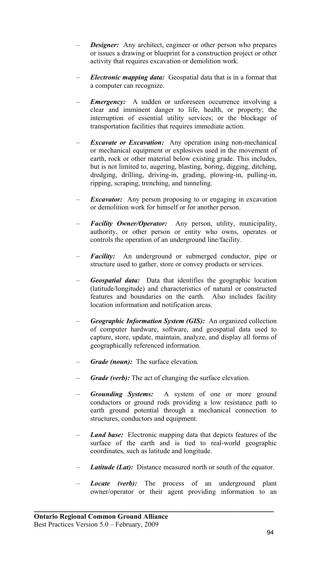- *Designer:* Any architect, engineer or other person who prepares or issues a drawing or blueprint for a construction project or other activity that requires excavation or demolition work.
- *Electronic mapping data:* Geospatial data that is in a format that a computer can recognize.
- *Emergency:* A sudden or unforeseen occurrence involving a clear and imminent danger to life, health, or property; the interruption of essential utility services; or the blockage of transportation facilities that requires immediate action.
- *Excavate or Excavation:* Any operation using non-mechanical or mechanical equipment or explosives used in the movement of earth, rock or other material below existing grade. This includes, but is not limited to, augering, blasting, boring, digging, ditching, dredging, drilling, driving-in, grading, plowing-in, pulling-in, ripping, scraping, trenching, and tunneling.
- *Excavator:* Any person proposing to or engaging in excavation or demolition work for himself or for another person.
- *Facility Owner/Operator:* Any person, utility, municipality, authority, or other person or entity who owns, operates or controls the operation of an underground line/facility.
- *Facility:* An underground or submerged conductor, pipe or structure used to gather, store or convey products or services.
- *Geospatial data:* Data that identifies the geographic location (latitude/longitude) and characteristics of natural or constructed features and boundaries on the earth. Also includes facility location information and notification areas.
- *Geographic Information System (GIS):*An organized collection of computer hardware, software, and geospatial data used to capture, store, update, maintain, analyze, and display all forms of geographically referenced information.
- *Grade (noun):* The surface elevation*.*
- Grade (verb): The act of changing the surface elevation.
- *Grounding Systems:* A system of one or more ground conductors or ground rods providing a low resistance path to earth ground potential through a mechanical connection to structures, conductors and equipment.
- *Land base:* Electronic mapping data that depicts features of the surface of the earth and is tied to real-world geographic coordinates, such as latitude and longitude.
- Latitude (Lat): Distance measured north or south of the equator.
- *Locate (verb):* The process of an underground plant owner/operator or their agent providing information to an